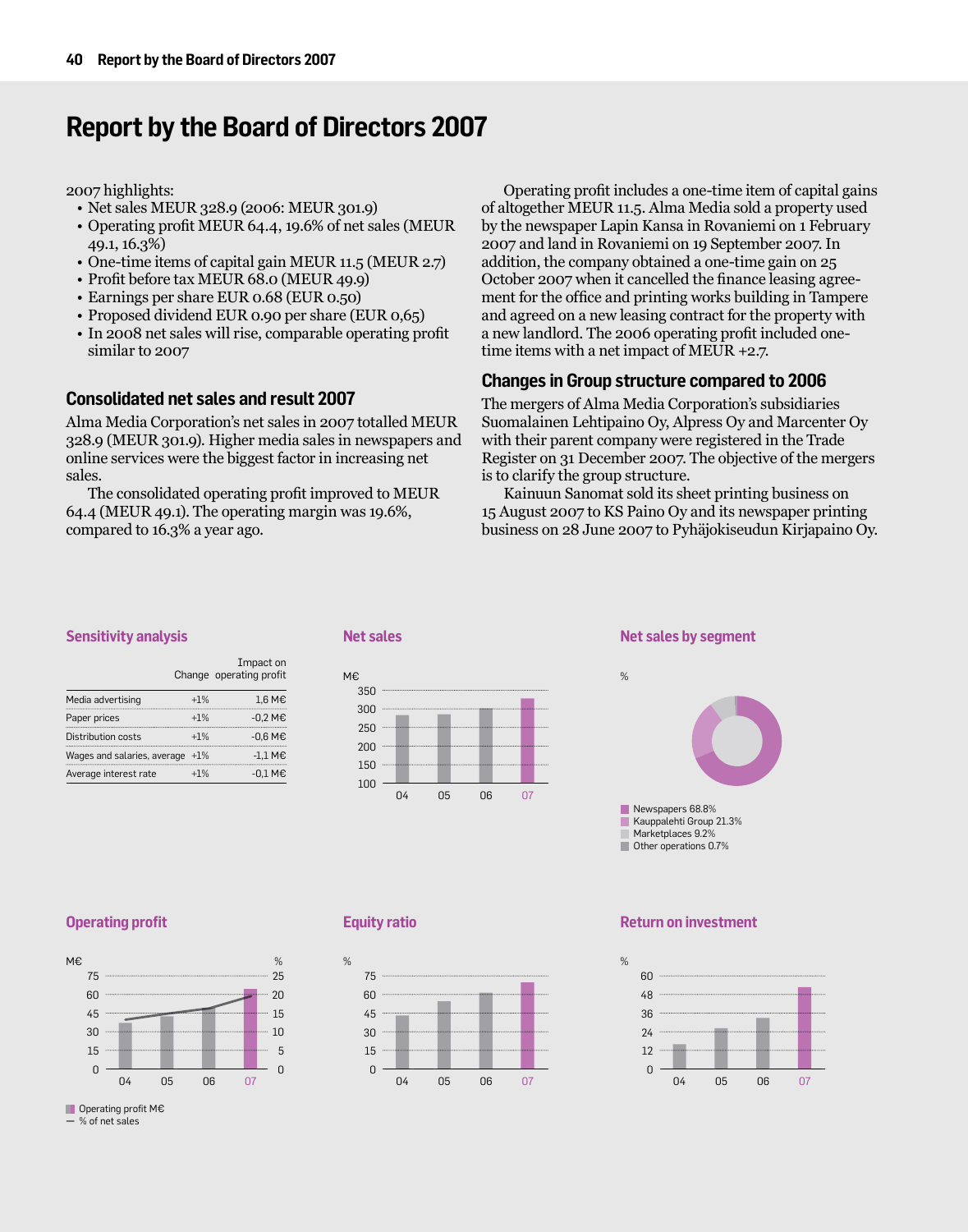# **Report by the Board of Directors 2007**

2007 highlights:

- • Net sales MEUR 328.9 (2006: MEUR 301.9)
- • Operating profit MEUR 64.4, 19.6% of net sales (MEUR 49.1, 16.3%)
- • One-time items of capital gain MEUR 11.5 (MEUR 2.7)
- • Profit before tax MEUR 68.0 (MEUR 49.9)
- Earnings per share EUR 0.68 (EUR 0.50)
- Proposed dividend EUR 0.90 per share (EUR 0,65)
- In 2008 net sales will rise, comparable operating profit similar to 2007

# **Consolidated net sales and result 2007**

Alma Media Corporation's net sales in 2007 totalled MEUR 328.9 (MEUR 301.9). Higher media sales in newspapers and online services were the biggest factor in increasing net sales.

The consolidated operating profit improved to MEUR 64.4 (MEUR 49.1). The operating margin was 19.6%, compared to 16.3% a year ago.

Operating profit includes a one-time item of capital gains of altogether MEUR 11.5. Alma Media sold a property used by the newspaper Lapin Kansa in Rovaniemi on 1 February 2007 and land in Rovaniemi on 19 September 2007. In addition, the company obtained a one-time gain on 25 October 2007 when it cancelled the finance leasing agreement for the office and printing works building in Tampere and agreed on a new leasing contract for the property with a new landlord. The 2006 operating profit included onetime items with a net impact of MEUR +2.7.

# **Changes in Group structure compared to 2006**

The mergers of Alma Media Corporation's subsidiaries Suomalainen Lehtipaino Oy, Alpress Oy and Marcenter Oy with their parent company were registered in the Trade Register on 31 December 2007. The objective of the mergers is to clarify the group structure.

Kainuun Sanomat sold its sheet printing business on 15 August 2007 to KS Paino Oy and its newspaper printing business on 28 June 2007 to Pyhäjokiseudun Kirjapaino Oy.

## **Sensitivity analysis**

|                                 |       | Impact on<br>Change operating profit |
|---------------------------------|-------|--------------------------------------|
| Media advertising               | $+1%$ | 1,6 M€                               |
| Paper prices                    | $+1%$ | $-0.2$ M <sub>€</sub>                |
| Distribution costs              | $+1%$ | $-0.6$ M <sub>€</sub>                |
| Wages and salaries, average +1% |       | $-1.1$ M <sub>€</sub>                |
| Average interest rate           | $+1%$ | $-0.1$ M <sub>€</sub>                |





## **Net sales by segment**



## **Operating profit**



 $\blacksquare$  Operating profit M $\epsilon$ 

 $-$  % of net sales

## **Equity ratio**



## **Return on investment**

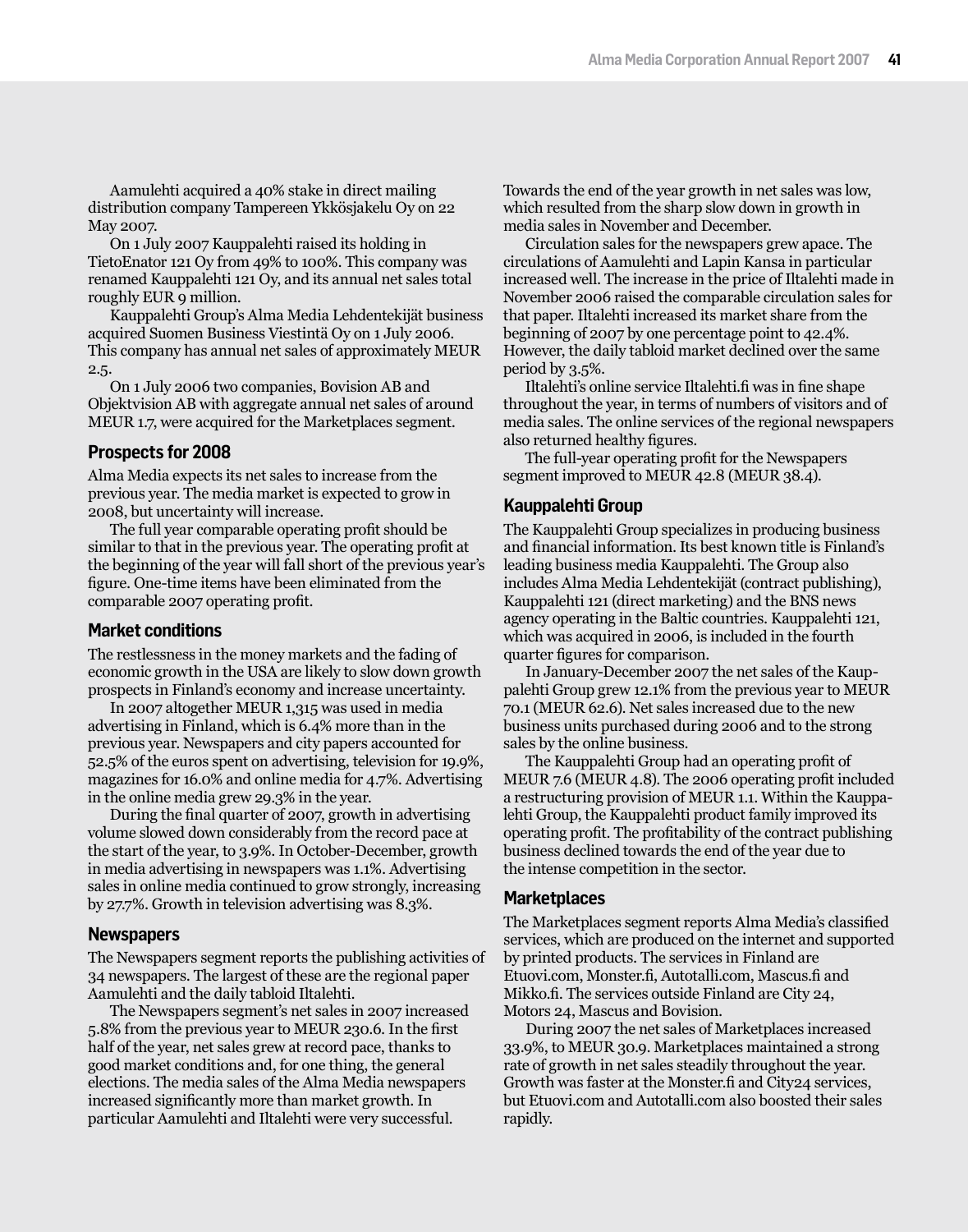Aamulehti acquired a 40% stake in direct mailing distribution company Tampereen Ykkösjakelu Oy on 22 May 2007.

On 1 July 2007 Kauppalehti raised its holding in TietoEnator 121 Oy from 49% to 100%. This company was renamed Kauppalehti 121 Oy, and its annual net sales total roughly EUR 9 million.

Kauppalehti Group's Alma Media Lehdentekijät business acquired Suomen Business Viestintä Oy on 1 July 2006. This company has annual net sales of approximately MEUR 2.5.

On 1 July 2006 two companies, Bovision AB and Objektvision AB with aggregate annual net sales of around MEUR 1.7, were acquired for the Marketplaces segment.

## **Prospects for 2008**

Alma Media expects its net sales to increase from the previous year. The media market is expected to grow in 2008, but uncertainty will increase.

The full year comparable operating profit should be similar to that in the previous year. The operating profit at the beginning of the year will fall short of the previous year's figure. One-time items have been eliminated from the comparable 2007 operating profit.

## **Market conditions**

The restlessness in the money markets and the fading of economic growth in the USA are likely to slow down growth prospects in Finland's economy and increase uncertainty.

In 2007 altogether MEUR 1,315 was used in media advertising in Finland, which is 6.4% more than in the previous year. Newspapers and city papers accounted for 52.5% of the euros spent on advertising, television for 19.9%, magazines for 16.0% and online media for 4.7%. Advertising in the online media grew 29.3% in the year.

During the final quarter of 2007, growth in advertising volume slowed down considerably from the record pace at the start of the year, to 3.9%. In October-December, growth in media advertising in newspapers was 1.1%. Advertising sales in online media continued to grow strongly, increasing by 27.7%. Growth in television advertising was 8.3%.

## **Newspapers**

The Newspapers segment reports the publishing activities of 34 newspapers. The largest of these are the regional paper Aamulehti and the daily tabloid Iltalehti.

The Newspapers segment's net sales in 2007 increased 5.8% from the previous year to MEUR 230.6. In the first half of the year, net sales grew at record pace, thanks to good market conditions and, for one thing, the general elections. The media sales of the Alma Media newspapers increased significantly more than market growth. In particular Aamulehti and Iltalehti were very successful.

Towards the end of the year growth in net sales was low, which resulted from the sharp slow down in growth in media sales in November and December.

Circulation sales for the newspapers grew apace. The circulations of Aamulehti and Lapin Kansa in particular increased well. The increase in the price of Iltalehti made in November 2006 raised the comparable circulation sales for that paper. Iltalehti increased its market share from the beginning of 2007 by one percentage point to 42.4%. However, the daily tabloid market declined over the same period by 3.5%.

Iltalehti's online service Iltalehti.fi was in fine shape throughout the year, in terms of numbers of visitors and of media sales. The online services of the regional newspapers also returned healthy figures.

The full-year operating profit for the Newspapers segment improved to MEUR 42.8 (MEUR 38.4).

## **Kauppalehti Group**

The Kauppalehti Group specializes in producing business and financial information. Its best known title is Finland's leading business media Kauppalehti. The Group also includes Alma Media Lehdentekijät (contract publishing), Kauppalehti 121 (direct marketing) and the BNS news agency operating in the Baltic countries. Kauppalehti 121, which was acquired in 2006, is included in the fourth quarter figures for comparison.

In January-December 2007 the net sales of the Kauppalehti Group grew 12.1% from the previous year to MEUR 70.1 (MEUR 62.6). Net sales increased due to the new business units purchased during 2006 and to the strong sales by the online business.

The Kauppalehti Group had an operating profit of MEUR 7.6 (MEUR 4.8). The 2006 operating profit included a restructuring provision of MEUR 1.1. Within the Kauppalehti Group, the Kauppalehti product family improved its operating profit. The profitability of the contract publishing business declined towards the end of the year due to the intense competition in the sector.

## **Marketplaces**

The Marketplaces segment reports Alma Media's classified services, which are produced on the internet and supported by printed products. The services in Finland are Etuovi.com, Monster.fi, Autotalli.com, Mascus.fi and Mikko.fi. The services outside Finland are City 24, Motors 24, Mascus and Bovision.

During 2007 the net sales of Marketplaces increased 33.9%, to MEUR 30.9. Marketplaces maintained a strong rate of growth in net sales steadily throughout the year. Growth was faster at the Monster.fi and City24 services, but Etuovi.com and Autotalli.com also boosted their sales rapidly.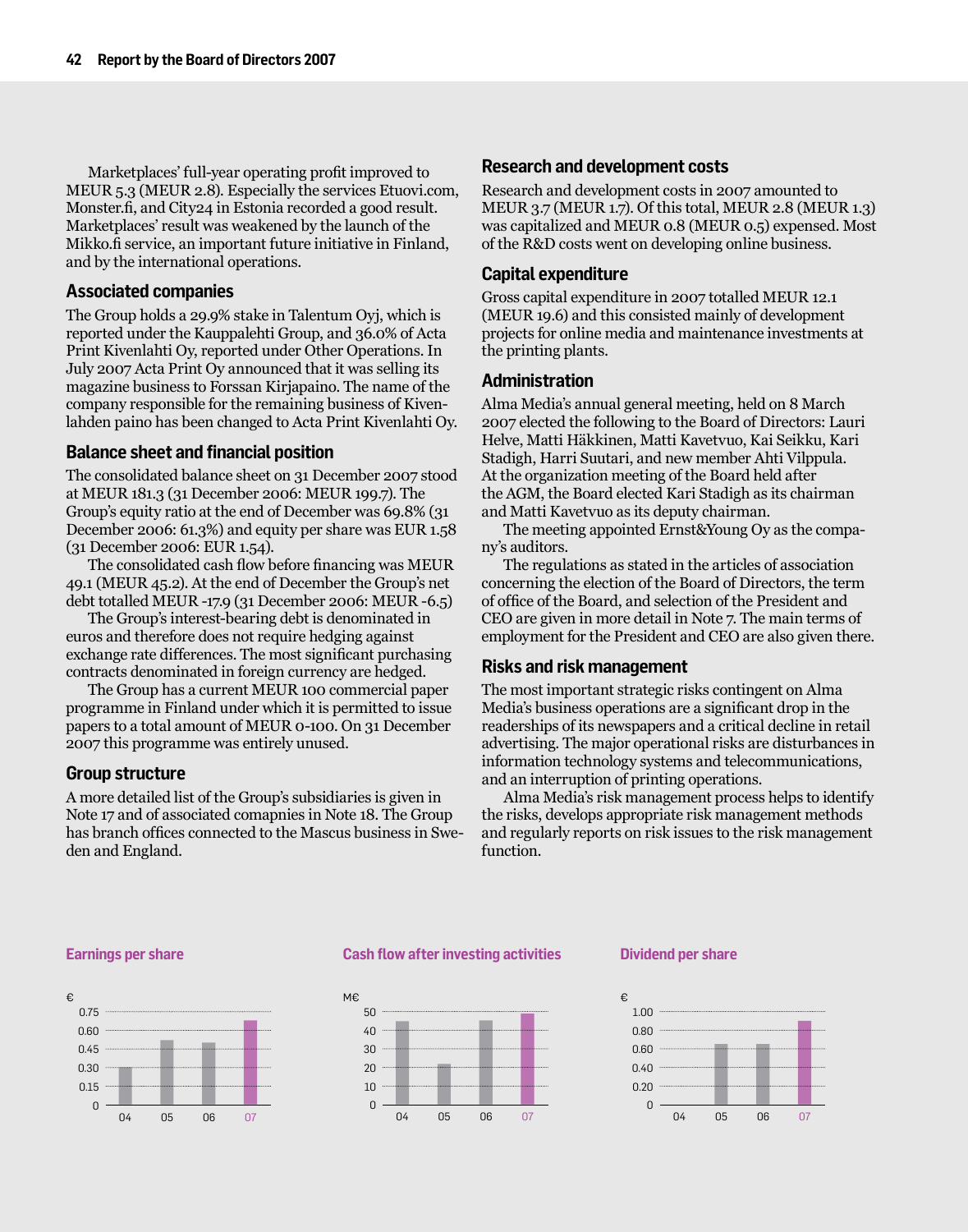Marketplaces' full-year operating profit improved to MEUR 5.3 (MEUR 2.8). Especially the services Etuovi.com, Monster.fi, and City24 in Estonia recorded a good result. Marketplaces' result was weakened by the launch of the Mikko.fi service, an important future initiative in Finland, and by the international operations.

## **Associated companies**

The Group holds a 29.9% stake in Talentum Oyj, which is reported under the Kauppalehti Group, and 36.0% of Acta Print Kivenlahti Oy, reported under Other Operations. In July 2007 Acta Print Oy announced that it was selling its magazine business to Forssan Kirjapaino. The name of the company responsible for the remaining business of Kivenlahden paino has been changed to Acta Print Kivenlahti Oy.

## **Balance sheet and financial position**

The consolidated balance sheet on 31 December 2007 stood at MEUR 181.3 (31 December 2006: MEUR 199.7). The Group's equity ratio at the end of December was 69.8% (31 December 2006: 61.3%) and equity per share was EUR 1.58 (31 December 2006: EUR 1.54).

The consolidated cash flow before financing was MEUR 49.1 (MEUR 45.2). At the end of December the Group's net debt totalled MEUR -17.9 (31 December 2006: MEUR -6.5)

The Group's interest-bearing debt is denominated in euros and therefore does not require hedging against exchange rate differences. The most significant purchasing contracts denominated in foreign currency are hedged.

The Group has a current MEUR 100 commercial paper programme in Finland under which it is permitted to issue papers to a total amount of MEUR 0-100. On 31 December 2007 this programme was entirely unused.

### **Group structure**

A more detailed list of the Group's subsidiaries is given in Note 17 and of associated comapnies in Note 18. The Group has branch offices connected to the Mascus business in Sweden and England.

## **Research and development costs**

Research and development costs in 2007 amounted to MEUR 3.7 (MEUR 1.7). Of this total, MEUR 2.8 (MEUR 1.3) was capitalized and MEUR 0.8 (MEUR 0.5) expensed. Most of the R&D costs went on developing online business.

### **Capital expenditure**

Gross capital expenditure in 2007 totalled MEUR 12.1 (MEUR 19.6) and this consisted mainly of development projects for online media and maintenance investments at the printing plants.

## **Administration**

Alma Media's annual general meeting, held on 8 March 2007 elected the following to the Board of Directors: Lauri Helve, Matti Häkkinen, Matti Kavetvuo, Kai Seikku, Kari Stadigh, Harri Suutari, and new member Ahti Vilppula. At the organization meeting of the Board held after the AGM, the Board elected Kari Stadigh as its chairman and Matti Kavetvuo as its deputy chairman.

The meeting appointed Ernst&Young Oy as the company's auditors.

The regulations as stated in the articles of association concerning the election of the Board of Directors, the term of office of the Board, and selection of the President and CEO are given in more detail in Note 7. The main terms of employment for the President and CEO are also given there.

### **Risks and risk management**

The most important strategic risks contingent on Alma Media's business operations are a significant drop in the readerships of its newspapers and a critical decline in retail advertising. The major operational risks are disturbances in information technology systems and telecommunications, and an interruption of printing operations.

Alma Media's risk management process helps to identify the risks, develops appropriate risk management methods and regularly reports on risk issues to the risk management function.

#### **Earnings per share**



#### **Cash flow after investing activities**



#### **Dividend per share**

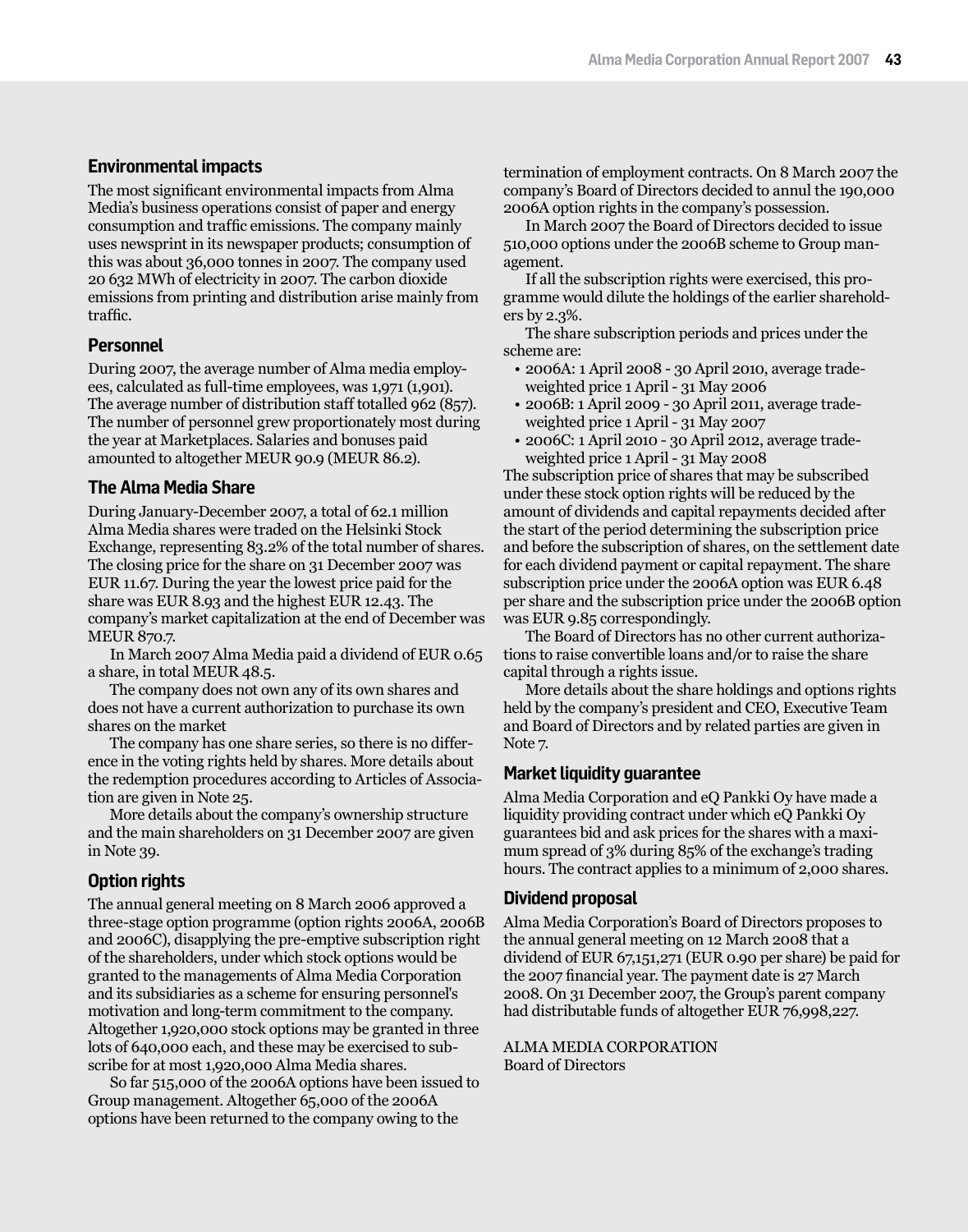# **Environmental impacts**

The most significant environmental impacts from Alma Media's business operations consist of paper and energy consumption and traffic emissions. The company mainly uses newsprint in its newspaper products; consumption of this was about 36,000 tonnes in 2007. The company used 20 632 MWh of electricity in 2007. The carbon dioxide emissions from printing and distribution arise mainly from traffic.

# **Personnel**

During 2007, the average number of Alma media employees, calculated as full-time employees, was 1,971 (1,901). The average number of distribution staff totalled 962 (857). The number of personnel grew proportionately most during the year at Marketplaces. Salaries and bonuses paid amounted to altogether MEUR 90.9 (MEUR 86.2).

# **The Alma Media Share**

During January-December 2007, a total of 62.1 million Alma Media shares were traded on the Helsinki Stock Exchange, representing 83.2% of the total number of shares. The closing price for the share on 31 December 2007 was EUR 11.67. During the year the lowest price paid for the share was EUR 8.93 and the highest EUR 12.43. The company's market capitalization at the end of December was MEUR 870.7.

In March 2007 Alma Media paid a dividend of EUR 0.65 a share, in total MEUR 48.5.

The company does not own any of its own shares and does not have a current authorization to purchase its own shares on the market

The company has one share series, so there is no difference in the voting rights held by shares. More details about the redemption procedures according to Articles of Association are given in Note 25.

More details about the company's ownership structure and the main shareholders on 31 December 2007 are given in Note 39.

# **Option rights**

The annual general meeting on 8 March 2006 approved a three-stage option programme (option rights 2006A, 2006B and 2006C), disapplying the pre-emptive subscription right of the shareholders, under which stock options would be granted to the managements of Alma Media Corporation and its subsidiaries as a scheme for ensuring personnel's motivation and long-term commitment to the company. Altogether 1,920,000 stock options may be granted in three lots of 640,000 each, and these may be exercised to subscribe for at most 1,920,000 Alma Media shares.

So far 515,000 of the 2006A options have been issued to Group management. Altogether 65,000 of the 2006A options have been returned to the company owing to the

termination of employment contracts. On 8 March 2007 the company's Board of Directors decided to annul the 190,000 2006A option rights in the company's possession.

In March 2007 the Board of Directors decided to issue 510,000 options under the 2006B scheme to Group management.

If all the subscription rights were exercised, this programme would dilute the holdings of the earlier shareholders by 2.3%.

The share subscription periods and prices under the scheme are:

- 2006A: 1 April 2008 30 April 2010, average tradeweighted price 1 April - 31 May 2006
- • 2006B: 1 April 2009 30 April 2011, average tradeweighted price 1 April - 31 May 2007
- • 2006C: 1 April 2010 30 April 2012, average tradeweighted price 1 April - 31 May 2008

The subscription price of shares that may be subscribed under these stock option rights will be reduced by the amount of dividends and capital repayments decided after the start of the period determining the subscription price and before the subscription of shares, on the settlement date for each dividend payment or capital repayment. The share subscription price under the 2006A option was EUR 6.48 per share and the subscription price under the 2006B option was EUR 9.85 correspondingly.

The Board of Directors has no other current authorizations to raise convertible loans and/or to raise the share capital through a rights issue.

More details about the share holdings and options rights held by the company's president and CEO, Executive Team and Board of Directors and by related parties are given in Note 7.

## **Market liquidity guarantee**

Alma Media Corporation and eQ Pankki Oy have made a liquidity providing contract under which eQ Pankki Oy guarantees bid and ask prices for the shares with a maximum spread of 3% during 85% of the exchange's trading hours. The contract applies to a minimum of 2,000 shares.

# **Dividend proposal**

Alma Media Corporation's Board of Directors proposes to the annual general meeting on 12 March 2008 that a dividend of EUR 67,151,271 (EUR 0.90 per share) be paid for the 2007 financial year. The payment date is 27 March 2008. On 31 December 2007, the Group's parent company had distributable funds of altogether EUR 76,998,227.

ALMA MEDIA CORPORATION Board of Directors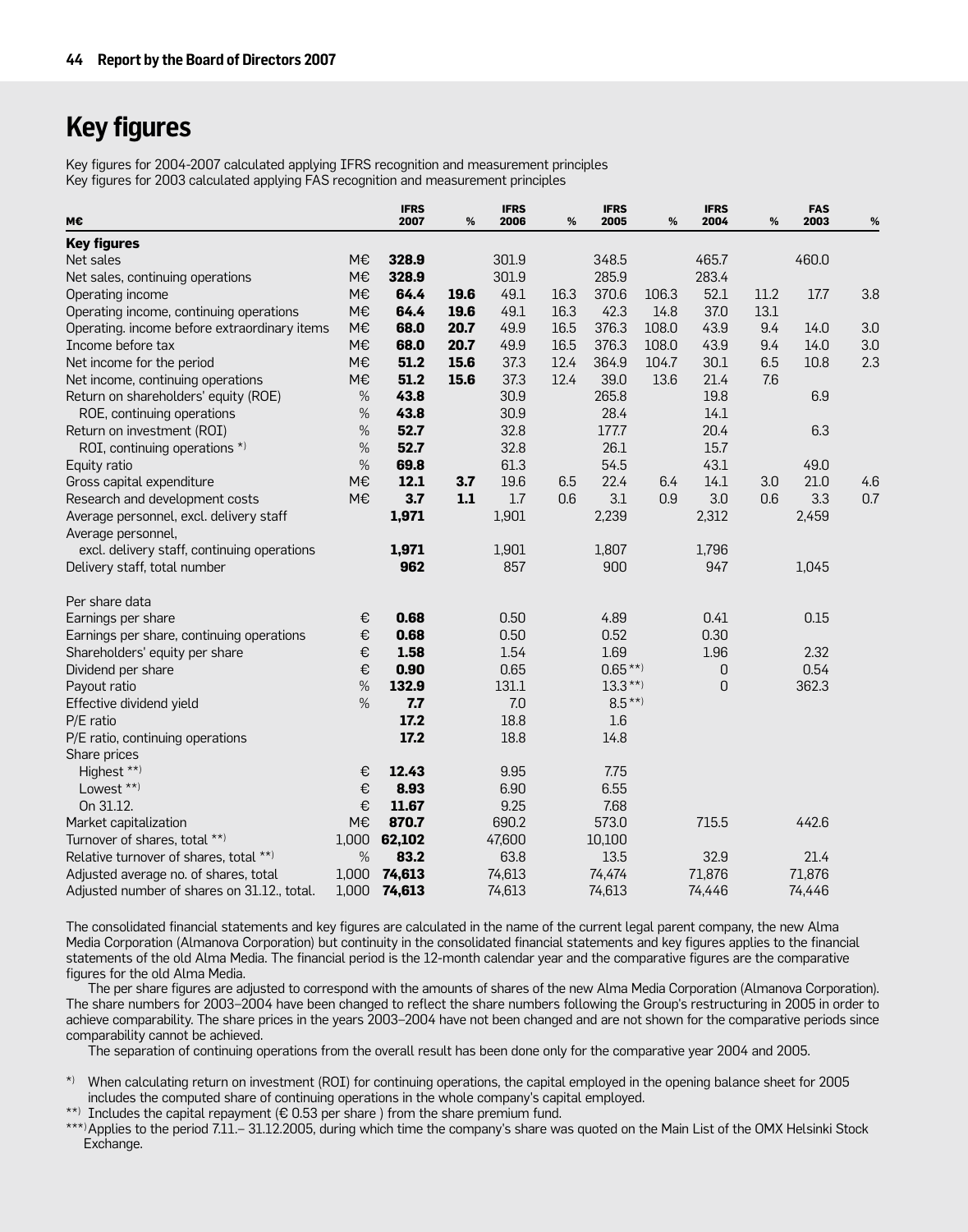# **Key figures**

Key figures for 2004-2007 calculated applying IFRS recognition and measurement principles Key figures for 2003 calculated applying FAS recognition and measurement principles

| м€                                           |       | <b>IFRS</b><br>2007 | %    | <b>IFRS</b><br>2006 | $\%$ | <b>IFRS</b><br>2005 | %     | <b>IFRS</b><br>2004 | %    | <b>FAS</b><br>2003 | %   |
|----------------------------------------------|-------|---------------------|------|---------------------|------|---------------------|-------|---------------------|------|--------------------|-----|
| <b>Key figures</b>                           |       |                     |      |                     |      |                     |       |                     |      |                    |     |
| Net sales                                    | M€    | 328.9               |      | 301.9               |      | 348.5               |       | 465.7               |      | 460.0              |     |
| Net sales, continuing operations             | M€    | 328.9               |      | 301.9               |      | 285.9               |       | 283.4               |      |                    |     |
| Operating income                             | M€    | 64.4                | 19.6 | 49.1                | 16.3 | 370.6               | 106.3 | 52.1                | 11.2 | 17.7               | 3.8 |
| Operating income, continuing operations      | M€    | 64.4                | 19.6 | 49.1                | 16.3 | 42.3                | 14.8  | 37.0                | 13.1 |                    |     |
| Operating. income before extraordinary items | M€    | 68.0                | 20.7 | 49.9                | 16.5 | 376.3               | 108.0 | 43.9                | 9.4  | 14.0               | 3.0 |
| Income before tax                            | M€    | 68.0                | 20.7 | 49.9                | 16.5 | 376.3               | 108.0 | 43.9                | 9.4  | 14.0               | 3.0 |
| Net income for the period                    | M€    | 51.2                | 15.6 | 37.3                | 12.4 | 364.9               | 104.7 | 30.1                | 6.5  | 10.8               | 2.3 |
| Net income, continuing operations            | M€    | 51.2                | 15.6 | 37.3                | 12.4 | 39.0                | 13.6  | 21.4                | 7.6  |                    |     |
| Return on shareholders' equity (ROE)         | $\%$  | 43.8                |      | 30.9                |      | 265.8               |       | 19.8                |      | 6.9                |     |
| ROE, continuing operations                   | %     | 43.8                |      | 30.9                |      | 28.4                |       | 14.1                |      |                    |     |
| Return on investment (ROI)                   | $\%$  | 52.7                |      | 32.8                |      | 177.7               |       | 20.4                |      | 6.3                |     |
| ROI, continuing operations *)                | $\%$  | 52.7                |      | 32.8                |      | 26.1                |       | 15.7                |      |                    |     |
| Equity ratio                                 | $\%$  | 69.8                |      | 61.3                |      | 54.5                |       | 43.1                |      | 49.0               |     |
| Gross capital expenditure                    | M€    | 12.1                | 3.7  | 19.6                | 6.5  | 22.4                | 6.4   | 14.1                | 3.0  | 21.0               | 4.6 |
| Research and development costs               | M€    | 3.7                 | 1.1  | 1.7                 | 0.6  | 3.1                 | 0.9   | 3.0                 | 0.6  | 3.3                | 0.7 |
| Average personnel, excl. delivery staff      |       | 1,971               |      | 1,901               |      | 2,239               |       | 2,312               |      | 2,459              |     |
| Average personnel,                           |       |                     |      |                     |      |                     |       |                     |      |                    |     |
| excl. delivery staff, continuing operations  |       | 1,971               |      | 1,901               |      | 1,807               |       | 1,796               |      |                    |     |
| Delivery staff, total number                 |       | 962                 |      | 857                 |      | 900                 |       | 947                 |      | 1,045              |     |
| Per share data                               |       |                     |      |                     |      |                     |       |                     |      |                    |     |
| Earnings per share                           | €     | 0.68                |      | 0.50                |      | 4.89                |       | 0.41                |      | 0.15               |     |
| Earnings per share, continuing operations    | €     | 0.68                |      | 0.50                |      | 0.52                |       | 0.30                |      |                    |     |
| Shareholders' equity per share               | €     | 1.58                |      | 1.54                |      | 1.69                |       | 1.96                |      | 2.32               |     |
| Dividend per share                           | €     | 0.90                |      | 0.65                |      | $0.65***$           |       | 0                   |      | 0.54               |     |
| Payout ratio                                 | $\%$  | 132.9               |      | 131.1               |      | $13.3***$           |       | 0                   |      | 362.3              |     |
| Effective dividend yield                     | $\%$  | 7.7                 |      | 7.0                 |      | $8.5***$            |       |                     |      |                    |     |
| P/E ratio                                    |       | 17.2                |      | 18.8                |      | 1.6                 |       |                     |      |                    |     |
| P/E ratio, continuing operations             |       | 17.2                |      | 18.8                |      | 14.8                |       |                     |      |                    |     |
| Share prices                                 |       |                     |      |                     |      |                     |       |                     |      |                    |     |
| Highest **)                                  | €     | 12.43               |      | 9.95                |      | 7.75                |       |                     |      |                    |     |
| Lowest **)                                   | €     | 8.93                |      | 6.90                |      | 6.55                |       |                     |      |                    |     |
| On 31.12.                                    | €     | 11.67               |      | 9.25                |      | 7.68                |       |                     |      |                    |     |
| Market capitalization                        | M€    | 870.7               |      | 690.2               |      | 573.0               |       | 715.5               |      | 442.6              |     |
| Turnover of shares, total **)                | 1,000 | 62,102              |      | 47,600              |      | 10,100              |       |                     |      |                    |     |
| Relative turnover of shares, total **)       | $\%$  | 83.2                |      | 63.8                |      | 13.5                |       | 32.9                |      | 21.4               |     |
| Adjusted average no. of shares, total        | 1,000 | 74,613              |      | 74,613              |      | 74,474              |       | 71,876              |      | 71,876             |     |
| Adjusted number of shares on 31.12., total.  | 1,000 | 74,613              |      | 74,613              |      | 74,613              |       | 74,446              |      | 74,446             |     |

The consolidated financial statements and key figures are calculated in the name of the current legal parent company, the new Alma Media Corporation (Almanova Corporation) but continuity in the consolidated financial statements and key figures applies to the financial statements of the old Alma Media. The financial period is the 12-month calendar year and the comparative figures are the comparative figures for the old Alma Media.

The per share figures are adjusted to correspond with the amounts of shares of the new Alma Media Corporation (Almanova Corporation). The share numbers for 2003–2004 have been changed to reflect the share numbers following the Group's restructuring in 2005 in order to achieve comparability. The share prices in the years 2003–2004 have not been changed and are not shown for the comparative periods since comparability cannot be achieved.

The separation of continuing operations from the overall result has been done only for the comparative year 2004 and 2005.

\*) When calculating return on investment (ROI) for continuing operations, the capital employed in the opening balance sheet for 2005 includes the computed share of continuing operations in the whole company's capital employed.

\*\*) Includes the capital repayment ( $\epsilon$  0.53 per share) from the share premium fund.

\*\*\*)Applies to the period 7.11.– 31.12.2005, during which time the company's share was quoted on the Main List of the OMX Helsinki Stock Exchange.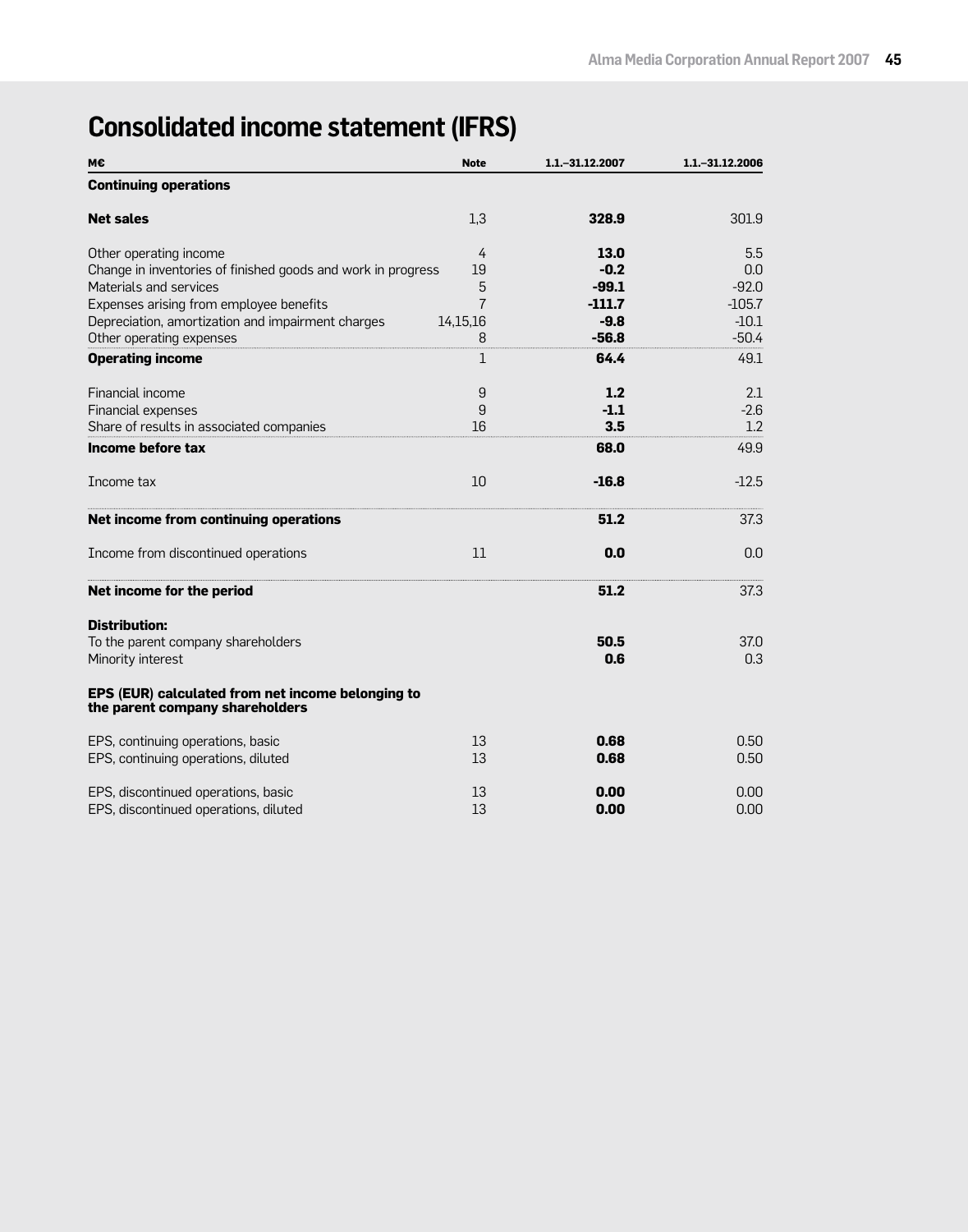# **Consolidated income statement (IFRS)**

| М€                                                                                   | <b>Note</b>    | 1.1. - 31.12.2007 | 1.1. - 31.12.2006 |
|--------------------------------------------------------------------------------------|----------------|-------------------|-------------------|
| <b>Continuing operations</b>                                                         |                |                   |                   |
| <b>Net sales</b>                                                                     | 1,3            | 328.9             | 301.9             |
| Other operating income                                                               | 4              | 13.0              | 5.5               |
| Change in inventories of finished goods and work in progress                         | 19             | $-0.2$            | 0.0               |
| Materials and services                                                               | 5              | $-99.1$           | $-92.0$           |
| Expenses arising from employee benefits                                              | $\overline{7}$ | $-111.7$          | $-105.7$          |
| Depreciation, amortization and impairment charges                                    | 14,15,16       | $-9.8$            | $-10.1$           |
| Other operating expenses                                                             | 8              | $-56.8$           | $-50.4$           |
| <b>Operating income</b>                                                              | 1              | 64.4              | 49.1              |
| Financial income                                                                     | 9              | 1.2               | 2.1               |
| Financial expenses                                                                   | 9              | $-1.1$            | $-2.6$            |
| Share of results in associated companies                                             | 16             | 3.5               | 1.2               |
| Income before tax                                                                    |                | 68.0              | 49.9              |
| Income tax                                                                           | 10             | $-16.8$           | $-12.5$           |
| Net income from continuing operations                                                |                | 51.2              | 37.3              |
| Income from discontinued operations                                                  | 11             | 0.0               | 0.0               |
| Net income for the period                                                            |                | 51.2              | 37.3              |
| <b>Distribution:</b>                                                                 |                |                   |                   |
| To the parent company shareholders                                                   |                | 50.5              | 37.0              |
| Minority interest                                                                    |                | 0.6               | 0.3               |
| EPS (EUR) calculated from net income belonging to<br>the parent company shareholders |                |                   |                   |
| EPS, continuing operations, basic                                                    | 13             | 0.68              | 0.50              |
| EPS, continuing operations, diluted                                                  | 13             | 0.68              | 0.50              |
| EPS, discontinued operations, basic                                                  | 13             | 0.00              | 0.00              |
| EPS, discontinued operations, diluted                                                | 13             | 0.00              | 0.00              |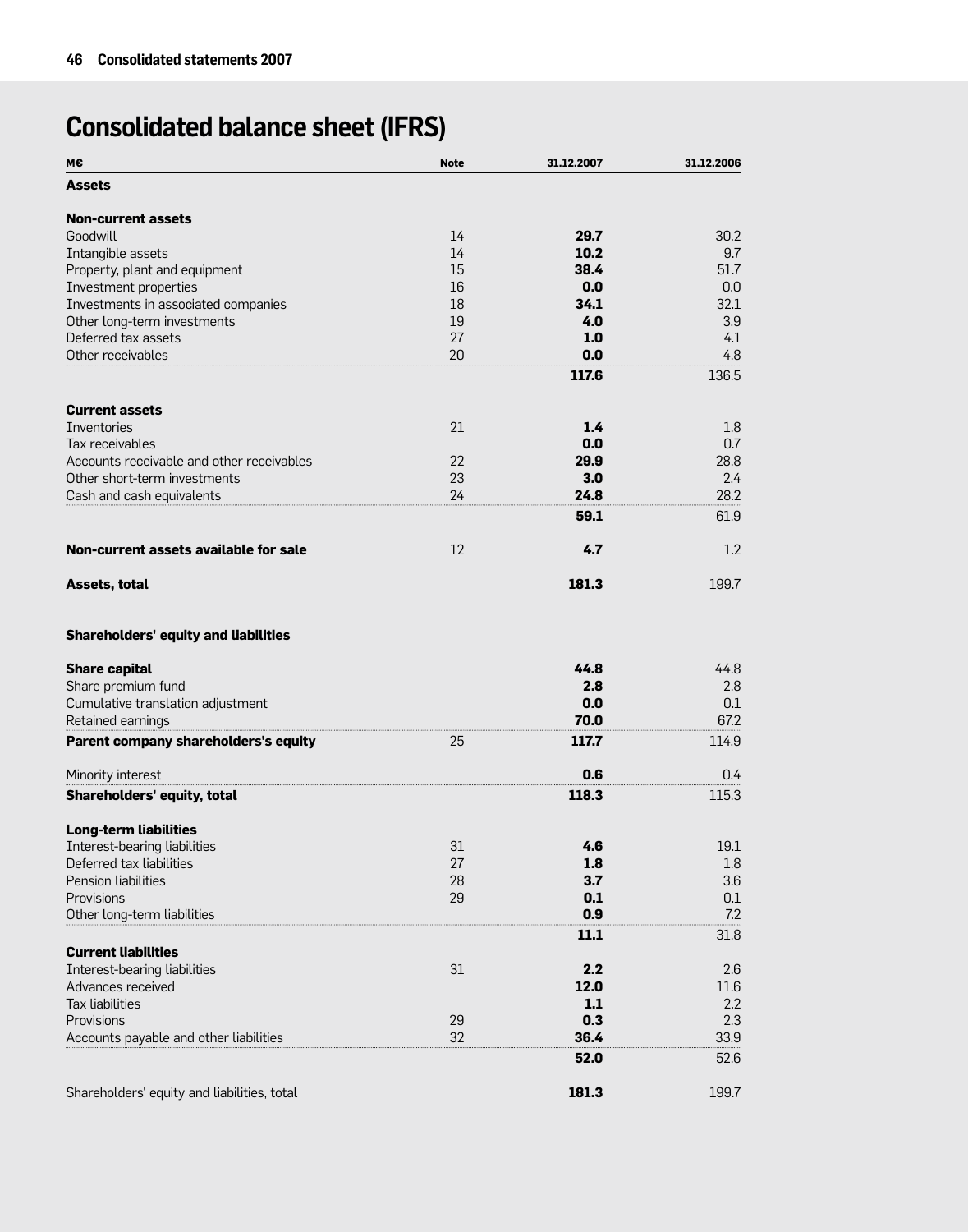# **Consolidated balance sheet (IFRS)**

| М€                                                         | <b>Note</b> | 31.12.2007   | 31.12.2006 |
|------------------------------------------------------------|-------------|--------------|------------|
| Assets                                                     |             |              |            |
| <b>Non-current assets</b>                                  |             |              |            |
| Goodwill                                                   | 14          | 29.7         | 30.2       |
| Intangible assets                                          | 14          | 10.2         | 9.7        |
| Property, plant and equipment                              | 15          | 38.4         | 51.7       |
| Investment properties                                      | 16          | 0.0          | 0.0        |
| Investments in associated companies                        | 18          | 34.1         | 32.1       |
| Other long-term investments                                | 19          | 4.0          | 3.9        |
| Deferred tax assets                                        | 27          | 1.0          | 4.1        |
| Other receivables                                          | 20          | 0.0          | 4.8        |
|                                                            |             | 117.6        | 136.5      |
| <b>Current assets</b>                                      |             |              |            |
| Inventories                                                | 21          | 1.4          | 1.8        |
| Tax receivables                                            |             | 0.0          | 0.7        |
| Accounts receivable and other receivables                  | 22          | 29.9         | 28.8       |
| Other short-term investments                               | 23          | 3.0          | 2.4        |
| Cash and cash equivalents                                  | 24          | 24.8         | 28.2       |
|                                                            |             | 59.1         | 61.9       |
| Non-current assets available for sale                      | 12          | 4.7          | 1.2        |
| Assets, total                                              |             | 181.3        | 199.7      |
| <b>Shareholders' equity and liabilities</b>                |             |              |            |
| <b>Share capital</b>                                       |             | 44.8         | 44.8       |
| Share premium fund                                         |             | 2.8          | 2.8        |
| Cumulative translation adjustment                          |             | 0.0          | 0.1        |
| Retained earnings                                          |             | 70.0         | 67.2       |
| Parent company shareholders's equity                       | 25          | 117.7        | 114.9      |
| Minority interest                                          |             | 0.6          | 0.4        |
| Shareholders' equity, total                                |             | 118.3        | 115.3      |
| <b>Long-term liabilities</b>                               |             |              |            |
| Interest-bearing liabilities                               | 31          | 4.6          | 19.1       |
| Deferred tax liabilities                                   | 27          | 1.8          | 1.8        |
| Pension liabilities                                        | 28          | 3.7          | 3.6        |
| Provisions                                                 | 29          | 0.1          | 0.1        |
| Other long-term liabilities                                |             | 0.9          | 7.2        |
|                                                            |             | 11.1         | 31.8       |
| <b>Current liabilities</b><br>Interest-bearing liabilities | 31          | 2.2          | 2.6        |
| Advances received                                          |             | 12.0         | 11.6       |
| <b>Tax liabilities</b>                                     |             | $1.1$        | 2.2        |
| Provisions                                                 | 29          | 0.3          | 2.3        |
| Accounts payable and other liabilities                     | 32          |              | 33.9       |
|                                                            |             | 36.4<br>52.0 | 52.6       |
|                                                            |             |              |            |
| Shareholders' equity and liabilities, total                |             | 181.3        | 199.7      |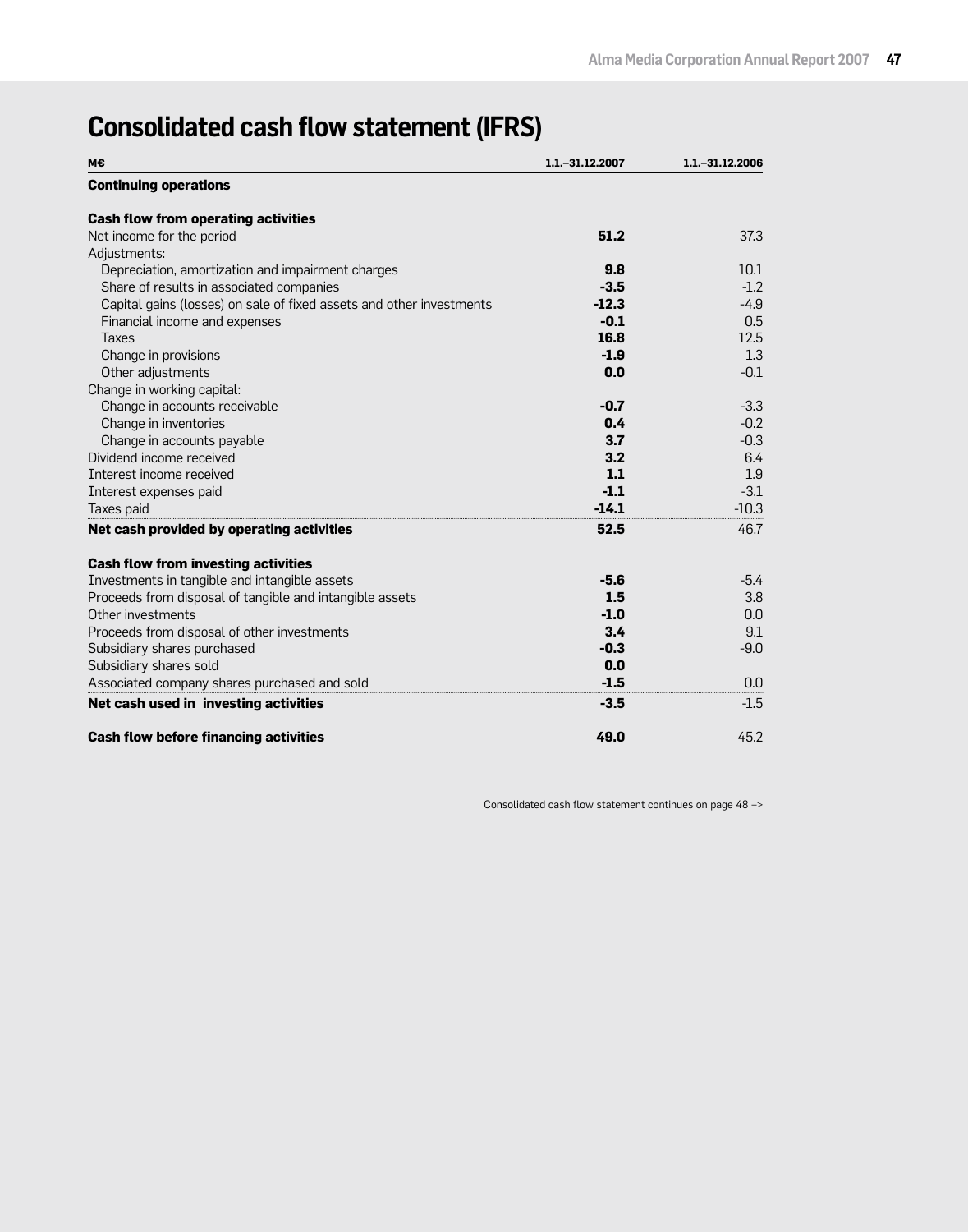# **Consolidated cash flow statement (IFRS)**

| М€                                                                   | 1.1. - 31.12.2007 | 1.1. - 31.12.2006 |
|----------------------------------------------------------------------|-------------------|-------------------|
| <b>Continuing operations</b>                                         |                   |                   |
| <b>Cash flow from operating activities</b>                           |                   |                   |
| Net income for the period                                            | 51.2              | 37.3              |
| Adjustments:                                                         |                   |                   |
| Depreciation, amortization and impairment charges                    | 9.8               | 10.1              |
| Share of results in associated companies                             | $-3.5$            | $-1.2$            |
| Capital gains (losses) on sale of fixed assets and other investments | $-12.3$           | $-4.9$            |
| Financial income and expenses                                        | $-0.1$            | 0.5               |
| <b>Taxes</b>                                                         | 16.8              | 12.5              |
| Change in provisions                                                 | $-1.9$            | 1.3               |
| Other adjustments                                                    | 0.0               | $-0.1$            |
| Change in working capital:                                           |                   |                   |
| Change in accounts receivable                                        | $-0.7$            | $-3.3$            |
| Change in inventories                                                | 0.4               | $-0.2$            |
| Change in accounts payable                                           | 3.7               | $-0.3$            |
| Dividend income received                                             | 3.2               | 6.4               |
| Interest income received                                             | 1.1               | 1.9               |
| Interest expenses paid                                               | $-1.1$            | $-3.1$            |
| Taxes paid                                                           | $-14.1$           | $-10.3$           |
| Net cash provided by operating activities                            | 52.5              | 46.7              |
| <b>Cash flow from investing activities</b>                           |                   |                   |
| Investments in tangible and intangible assets                        | $-5.6$            | $-5.4$            |
| Proceeds from disposal of tangible and intangible assets             | 1.5               | 3.8               |
| Other investments                                                    | $-1.0$            | 0.0               |
| Proceeds from disposal of other investments                          | 3.4               | 9.1               |
| Subsidiary shares purchased                                          | $-0.3$            | $-9.0$            |
| Subsidiary shares sold                                               | 0.0               |                   |
| Associated company shares purchased and sold                         | $-1.5$            | 0.0               |
| Net cash used in investing activities                                | $-3.5$            | $-1.5$            |
| <b>Cash flow before financing activities</b>                         | 49.0              | 45.2              |

Consolidated cash flow statement continues on page 48 –>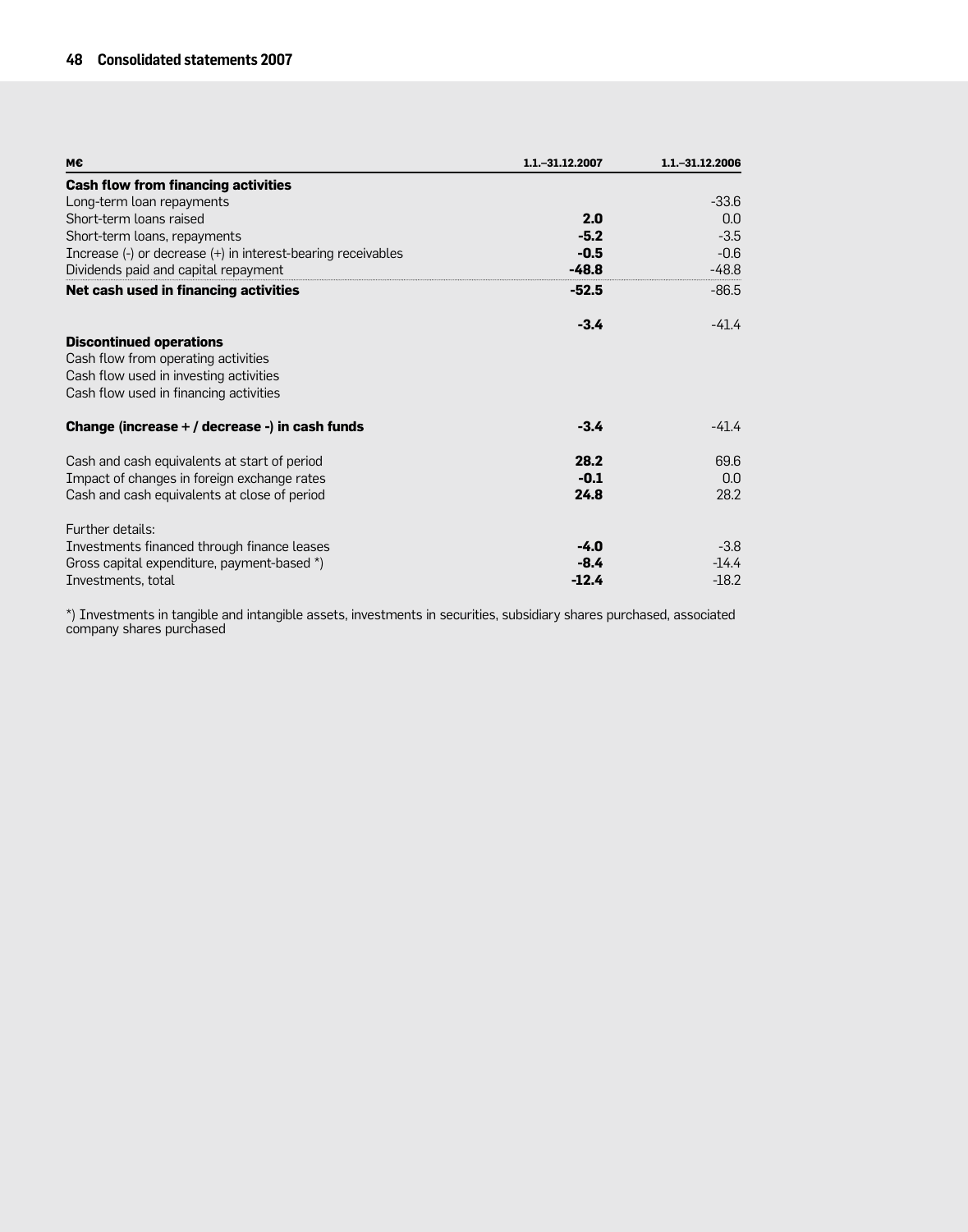| м€                                                                                                                                                        | 1.1. - 31.12.2007 | 1.1 - 31.12.2006 |
|-----------------------------------------------------------------------------------------------------------------------------------------------------------|-------------------|------------------|
| <b>Cash flow from financing activities</b>                                                                                                                |                   |                  |
| Long-term loan repayments                                                                                                                                 |                   | $-33.6$          |
| Short-term loans raised                                                                                                                                   | 2.0               | 0.0              |
| Short-term loans, repayments                                                                                                                              | $-5.2$            | $-3.5$           |
| Increase (-) or decrease (+) in interest-bearing receivables                                                                                              | $-0.5$            | $-0.6$           |
| Dividends paid and capital repayment                                                                                                                      | $-48.8$           | $-48.8$          |
| Net cash used in financing activities                                                                                                                     | $-52.5$           | $-86.5$          |
|                                                                                                                                                           | $-3.4$            | $-41.4$          |
| <b>Discontinued operations</b><br>Cash flow from operating activities<br>Cash flow used in investing activities<br>Cash flow used in financing activities |                   |                  |
| Change (increase + / decrease -) in cash funds                                                                                                            | $-3.4$            | -41.4            |
| Cash and cash equivalents at start of period                                                                                                              | 28.2              | 69.6             |
| Impact of changes in foreign exchange rates                                                                                                               | $-0.1$            | 0.0              |
| Cash and cash equivalents at close of period                                                                                                              | 24.8              | 28.2             |
| Further details:                                                                                                                                          |                   |                  |
| Investments financed through finance leases                                                                                                               | $-4.0$            | $-3.8$           |
| Gross capital expenditure, payment-based *)                                                                                                               | $-8.4$            | $-14.4$          |
| Investments, total                                                                                                                                        | $-12.4$           | $-18.2$          |

\*) Investments in tangible and intangible assets, investments in securities, subsidiary shares purchased, associated company shares purchased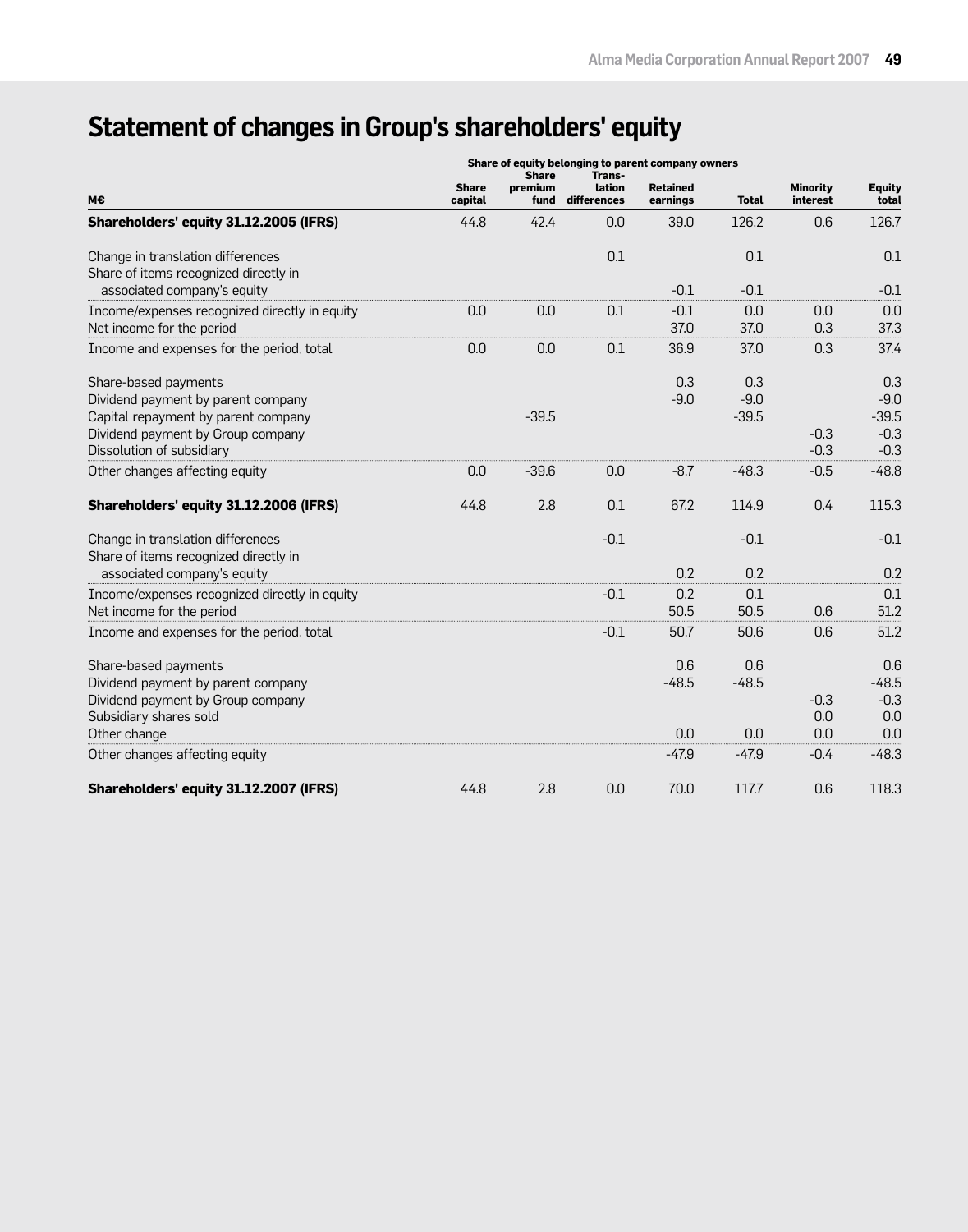# **Statement of changes in Group's shareholders' equity**

|                                                                                                                                                                     | Share of equity belonging to parent company owners<br><b>Share</b><br>Trans- |                 |                       |                             |                          |                             |                                              |
|---------------------------------------------------------------------------------------------------------------------------------------------------------------------|------------------------------------------------------------------------------|-----------------|-----------------------|-----------------------------|--------------------------|-----------------------------|----------------------------------------------|
| М€                                                                                                                                                                  | <b>Share</b><br>capital                                                      | premium<br>fund | lation<br>differences | <b>Retained</b><br>earnings | <b>Total</b>             | <b>Minority</b><br>interest | <b>Equity</b><br>total                       |
| Shareholders' equity 31.12.2005 (IFRS)                                                                                                                              | 44.8                                                                         | 42.4            | 0.0                   | 39.0                        | 126.2                    | 0.6                         | 126.7                                        |
| Change in translation differences<br>Share of items recognized directly in                                                                                          |                                                                              |                 | 0.1                   |                             | 0.1                      |                             | 0.1                                          |
| associated company's equity                                                                                                                                         |                                                                              |                 |                       | $-0.1$                      | $-0.1$                   |                             | $-0.1$                                       |
| Income/expenses recognized directly in equity<br>Net income for the period                                                                                          | 0.0                                                                          | 0.0             | 0.1                   | $-0.1$<br>37.0              | 0.0<br>37.0              | 0.0<br>0.3                  | 0.0<br>37.3                                  |
| Income and expenses for the period, total                                                                                                                           | 0.0                                                                          | 0.0             | 0.1                   | 36.9                        | 37.0                     | 0.3                         | 37.4                                         |
| Share-based payments<br>Dividend payment by parent company<br>Capital repayment by parent company<br>Dividend payment by Group company<br>Dissolution of subsidiary |                                                                              | $-39.5$         |                       | 0.3<br>$-9.0$               | 0.3<br>$-9.0$<br>$-39.5$ | $-0.3$<br>$-0.3$            | 0.3<br>$-9.0$<br>$-39.5$<br>$-0.3$<br>$-0.3$ |
| Other changes affecting equity                                                                                                                                      | 0.0                                                                          | $-39.6$         | 0.0                   | $-8.7$                      | $-48.3$                  | $-0.5$                      | $-48.8$                                      |
| Shareholders' equity 31.12.2006 (IFRS)                                                                                                                              | 44.8                                                                         | 2.8             | 0.1                   | 67.2                        | 114.9                    | 0.4                         | 115.3                                        |
| Change in translation differences<br>Share of items recognized directly in                                                                                          |                                                                              |                 | $-0.1$                |                             | $-0.1$                   |                             | $-0.1$                                       |
| associated company's equity                                                                                                                                         |                                                                              |                 |                       | 0.2                         | 0.2                      |                             | 0.2                                          |
| Income/expenses recognized directly in equity<br>Net income for the period                                                                                          |                                                                              |                 | $-0.1$                | 0.2<br>50.5                 | 0.1<br>50.5              | 0.6                         | 0.1<br>51.2                                  |
| Income and expenses for the period, total                                                                                                                           |                                                                              |                 | $-0.1$                | 50.7                        | 50.6                     | 0.6                         | 51.2                                         |
| Share-based payments<br>Dividend payment by parent company<br>Dividend payment by Group company<br>Subsidiary shares sold<br>Other change                           |                                                                              |                 |                       | 0.6<br>$-48.5$<br>0.0       | 0.6<br>$-48.5$<br>0.0    | $-0.3$<br>0.0<br>0.0        | 0.6<br>$-48.5$<br>$-0.3$<br>0.0<br>0.0       |
| Other changes affecting equity                                                                                                                                      |                                                                              |                 |                       | $-47.9$                     | $-47.9$                  | $-0.4$                      | $-48.3$                                      |
| Shareholders' equity 31.12.2007 (IFRS)                                                                                                                              | 44.8                                                                         | 2.8             | 0.0                   | 70.0                        | 117.7                    | 0.6                         | 118.3                                        |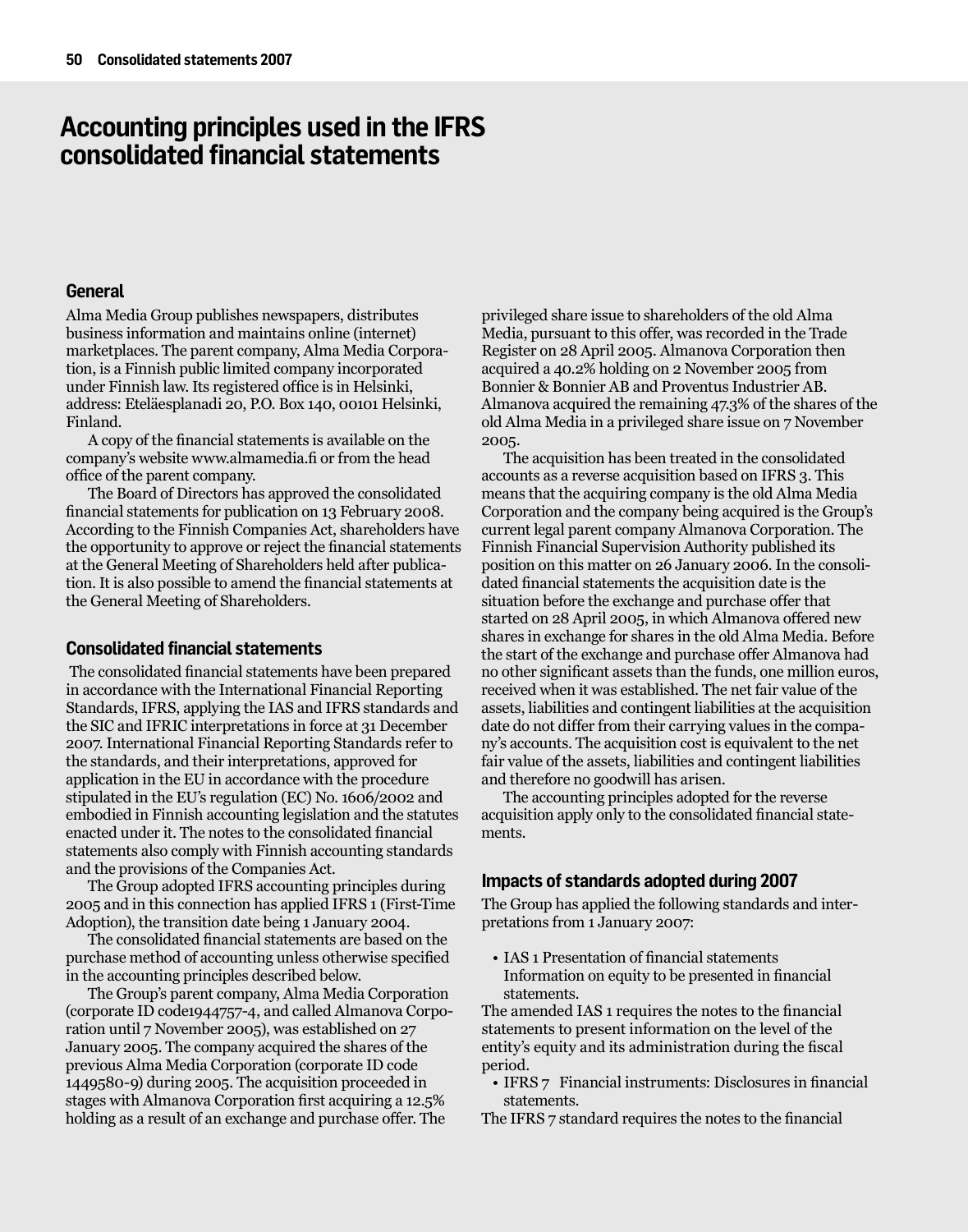# **Accounting principles used in the IFRS consolidated financial statements**

## **General**

Alma Media Group publishes newspapers, distributes business information and maintains online (internet) marketplaces. The parent company, Alma Media Corporation, is a Finnish public limited company incorporated under Finnish law. Its registered office is in Helsinki, address: Eteläesplanadi 20, P.O. Box 140, 00101 Helsinki, Finland.

A copy of the financial statements is available on the company's website www.almamedia.fi or from the head office of the parent company.

The Board of Directors has approved the consolidated financial statements for publication on 13 February 2008. According to the Finnish Companies Act, shareholders have the opportunity to approve or reject the financial statements at the General Meeting of Shareholders held after publication. It is also possible to amend the financial statements at the General Meeting of Shareholders.

## **Consolidated financial statements**

The consolidated financial statements have been prepared in accordance with the International Financial Reporting Standards, IFRS, applying the IAS and IFRS standards and the SIC and IFRIC interpretations in force at 31 December 2007. International Financial Reporting Standards refer to the standards, and their interpretations, approved for application in the EU in accordance with the procedure stipulated in the EU's regulation (EC) No. 1606/2002 and embodied in Finnish accounting legislation and the statutes enacted under it. The notes to the consolidated financial statements also comply with Finnish accounting standards and the provisions of the Companies Act.

The Group adopted IFRS accounting principles during 2005 and in this connection has applied IFRS 1 (First-Time Adoption), the transition date being 1 January 2004.

The consolidated financial statements are based on the purchase method of accounting unless otherwise specified in the accounting principles described below.

The Group's parent company, Alma Media Corporation (corporate ID code1944757-4, and called Almanova Corporation until 7 November 2005), was established on 27 January 2005. The company acquired the shares of the previous Alma Media Corporation (corporate ID code 1449580-9) during 2005. The acquisition proceeded in stages with Almanova Corporation first acquiring a 12.5% holding as a result of an exchange and purchase offer. The

privileged share issue to shareholders of the old Alma Media, pursuant to this offer, was recorded in the Trade Register on 28 April 2005. Almanova Corporation then acquired a 40.2% holding on 2 November 2005 from Bonnier & Bonnier AB and Proventus Industrier AB. Almanova acquired the remaining 47.3% of the shares of the old Alma Media in a privileged share issue on 7 November 2005.

The acquisition has been treated in the consolidated accounts as a reverse acquisition based on IFRS 3. This means that the acquiring company is the old Alma Media Corporation and the company being acquired is the Group's current legal parent company Almanova Corporation. The Finnish Financial Supervision Authority published its position on this matter on 26 January 2006. In the consolidated financial statements the acquisition date is the situation before the exchange and purchase offer that started on 28 April 2005, in which Almanova offered new shares in exchange for shares in the old Alma Media. Before the start of the exchange and purchase offer Almanova had no other significant assets than the funds, one million euros, received when it was established. The net fair value of the assets, liabilities and contingent liabilities at the acquisition date do not differ from their carrying values in the company's accounts. The acquisition cost is equivalent to the net fair value of the assets, liabilities and contingent liabilities and therefore no goodwill has arisen.

The accounting principles adopted for the reverse acquisition apply only to the consolidated financial statements.

## **Impacts of standards adopted during 2007**

The Group has applied the following standards and interpretations from 1 January 2007:

• IAS 1 Presentation of financial statements Information on equity to be presented in financial statements.

The amended IAS 1 requires the notes to the financial statements to present information on the level of the entity's equity and its administration during the fiscal period.

• IFRS 7 Financial instruments: Disclosures in financial statements.

The IFRS 7 standard requires the notes to the financial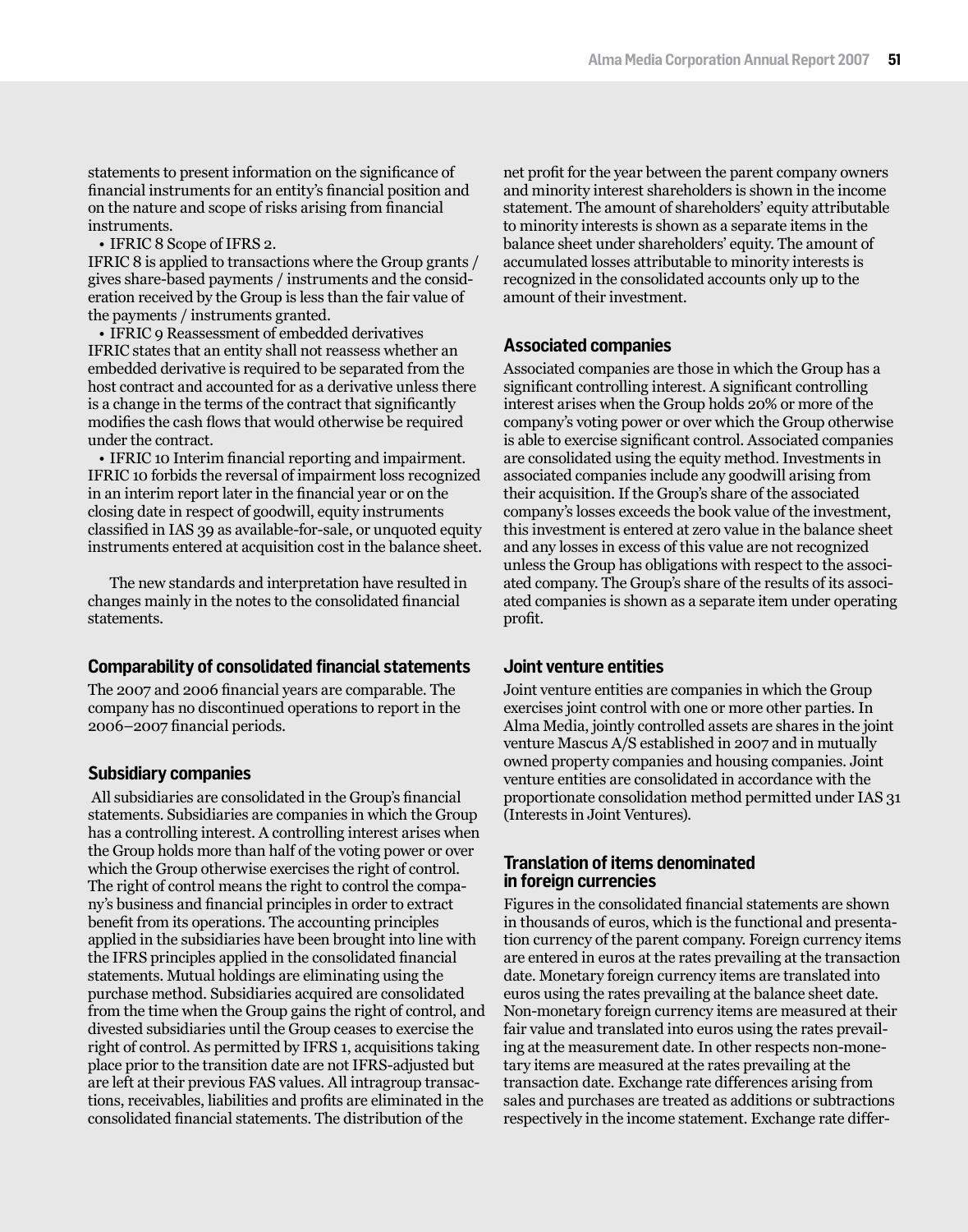statements to present information on the significance of financial instruments for an entity's financial position and on the nature and scope of risks arising from financial instruments.

• IFRIC 8 Scope of IFRS 2.

IFRIC 8 is applied to transactions where the Group grants / gives share-based payments / instruments and the consideration received by the Group is less than the fair value of the payments / instruments granted.

• IFRIC 9 Reassessment of embedded derivatives IFRIC states that an entity shall not reassess whether an embedded derivative is required to be separated from the host contract and accounted for as a derivative unless there is a change in the terms of the contract that significantly modifies the cash flows that would otherwise be required under the contract.

• IFRIC 10 Interim financial reporting and impairment. IFRIC 10 forbids the reversal of impairment loss recognized in an interim report later in the financial year or on the closing date in respect of goodwill, equity instruments classified in IAS 39 as available-for-sale, or unquoted equity instruments entered at acquisition cost in the balance sheet.

The new standards and interpretation have resulted in changes mainly in the notes to the consolidated financial statements.

## **Comparability of consolidated financial statements**

The 2007 and 2006 financial years are comparable. The company has no discontinued operations to report in the 2006–2007 financial periods.

## **Subsidiary companies**

All subsidiaries are consolidated in the Group's financial statements. Subsidiaries are companies in which the Group has a controlling interest. A controlling interest arises when the Group holds more than half of the voting power or over which the Group otherwise exercises the right of control. The right of control means the right to control the company's business and financial principles in order to extract benefit from its operations. The accounting principles applied in the subsidiaries have been brought into line with the IFRS principles applied in the consolidated financial statements. Mutual holdings are eliminating using the purchase method. Subsidiaries acquired are consolidated from the time when the Group gains the right of control, and divested subsidiaries until the Group ceases to exercise the right of control. As permitted by IFRS 1, acquisitions taking place prior to the transition date are not IFRS-adjusted but are left at their previous FAS values. All intragroup transactions, receivables, liabilities and profits are eliminated in the consolidated financial statements. The distribution of the

net profit for the year between the parent company owners and minority interest shareholders is shown in the income statement. The amount of shareholders' equity attributable to minority interests is shown as a separate items in the balance sheet under shareholders' equity. The amount of accumulated losses attributable to minority interests is recognized in the consolidated accounts only up to the amount of their investment.

# **Associated companies**

Associated companies are those in which the Group has a significant controlling interest. A significant controlling interest arises when the Group holds 20% or more of the company's voting power or over which the Group otherwise is able to exercise significant control. Associated companies are consolidated using the equity method. Investments in associated companies include any goodwill arising from their acquisition. If the Group's share of the associated company's losses exceeds the book value of the investment, this investment is entered at zero value in the balance sheet and any losses in excess of this value are not recognized unless the Group has obligations with respect to the associated company. The Group's share of the results of its associated companies is shown as a separate item under operating profit.

# **Joint venture entities**

Joint venture entities are companies in which the Group exercises joint control with one or more other parties. In Alma Media, jointly controlled assets are shares in the joint venture Mascus A/S established in 2007 and in mutually owned property companies and housing companies. Joint venture entities are consolidated in accordance with the proportionate consolidation method permitted under IAS 31 (Interests in Joint Ventures).

## **Translation of items denominated in foreign currencies**

Figures in the consolidated financial statements are shown in thousands of euros, which is the functional and presentation currency of the parent company. Foreign currency items are entered in euros at the rates prevailing at the transaction date. Monetary foreign currency items are translated into euros using the rates prevailing at the balance sheet date. Non-monetary foreign currency items are measured at their fair value and translated into euros using the rates prevailing at the measurement date. In other respects non-monetary items are measured at the rates prevailing at the transaction date. Exchange rate differences arising from sales and purchases are treated as additions or subtractions respectively in the income statement. Exchange rate differ-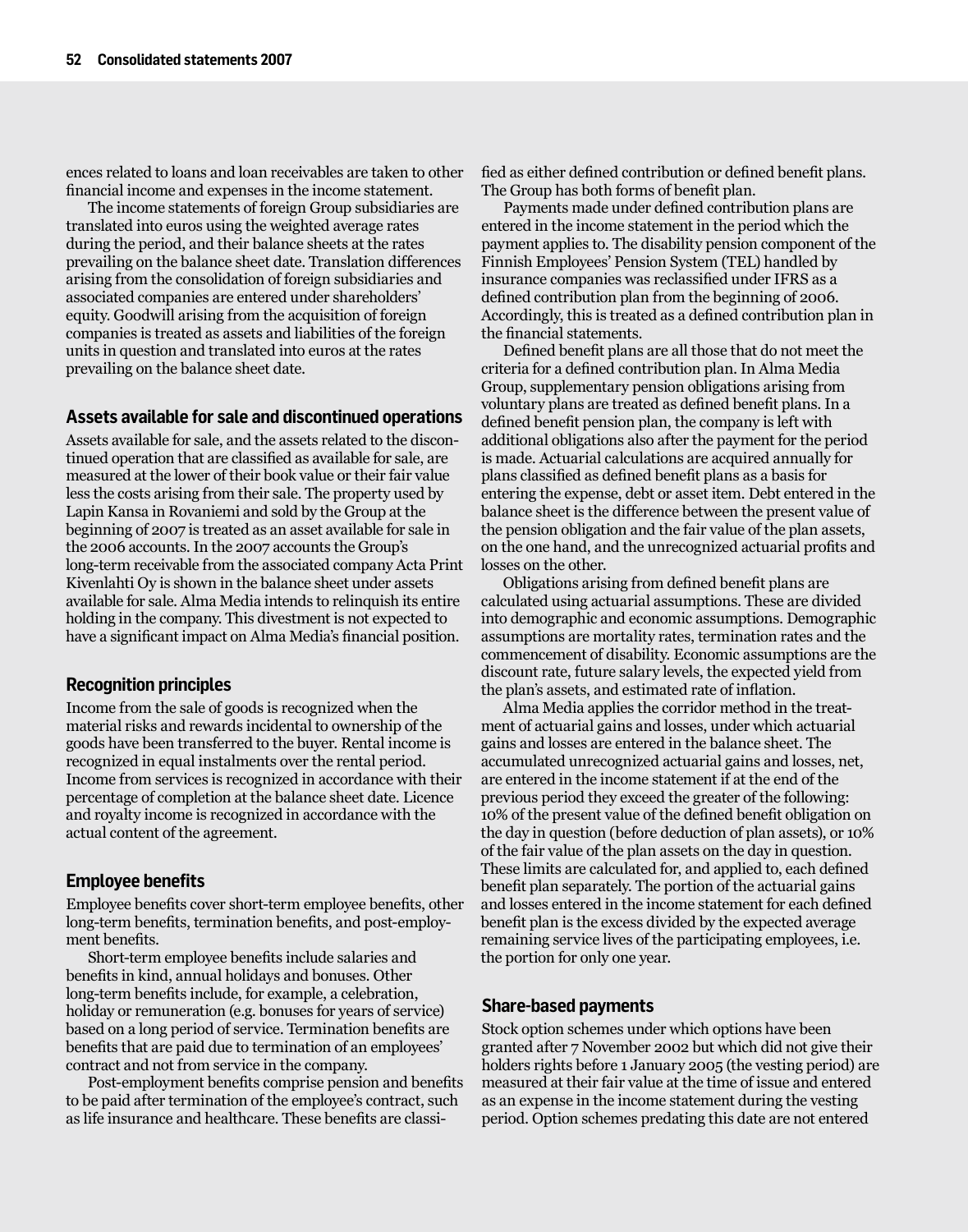ences related to loans and loan receivables are taken to other financial income and expenses in the income statement.

The income statements of foreign Group subsidiaries are translated into euros using the weighted average rates during the period, and their balance sheets at the rates prevailing on the balance sheet date. Translation differences arising from the consolidation of foreign subsidiaries and associated companies are entered under shareholders' equity. Goodwill arising from the acquisition of foreign companies is treated as assets and liabilities of the foreign units in question and translated into euros at the rates prevailing on the balance sheet date.

## **Assets available for sale and discontinued operations**

Assets available for sale, and the assets related to the discontinued operation that are classified as available for sale, are measured at the lower of their book value or their fair value less the costs arising from their sale. The property used by Lapin Kansa in Rovaniemi and sold by the Group at the beginning of 2007 is treated as an asset available for sale in the 2006 accounts.In the 2007 accounts the Group's long-term receivable from the associated company Acta Print Kivenlahti Oy is shown in the balance sheet under assets available for sale. Alma Media intends to relinquish its entire holding in the company. This divestment is not expected to have a significant impact on Alma Media's financial position.

## **Recognition principles**

Income from the sale of goods is recognized when the material risks and rewards incidental to ownership of the goods have been transferred to the buyer. Rental income is recognized in equal instalments over the rental period. Income from services is recognized in accordance with their percentage of completion at the balance sheet date. Licence and royalty income is recognized in accordance with the actual content of the agreement.

## **Employee benefits**

Employee benefits cover short-term employee benefits, other long-term benefits, termination benefits, and post-employment benefits.

Short-term employee benefits include salaries and benefits in kind, annual holidays and bonuses. Other long-term benefits include, for example, a celebration, holiday or remuneration (e.g. bonuses for years of service) based on a long period of service. Termination benefits are benefits that are paid due to termination of an employees' contract and not from service in the company.

Post-employment benefits comprise pension and benefits to be paid after termination of the employee's contract, such as life insurance and healthcare. These benefits are classified as either defined contribution or defined benefit plans. The Group has both forms of benefit plan.

Payments made under defined contribution plans are entered in the income statement in the period which the payment applies to. The disability pension component of the Finnish Employees' Pension System (TEL) handled by insurance companies was reclassified under IFRS as a defined contribution plan from the beginning of 2006. Accordingly, this is treated as a defined contribution plan in the financial statements.

Defined benefit plans are all those that do not meet the criteria for a defined contribution plan. In Alma Media Group, supplementary pension obligations arising from voluntary plans are treated as defined benefit plans. In a defined benefit pension plan, the company is left with additional obligations also after the payment for the period is made. Actuarial calculations are acquired annually for plans classified as defined benefit plans as a basis for entering the expense, debt or asset item. Debt entered in the balance sheet is the difference between the present value of the pension obligation and the fair value of the plan assets, on the one hand, and the unrecognized actuarial profits and losses on the other.

Obligations arising from defined benefit plans are calculated using actuarial assumptions. These are divided into demographic and economic assumptions. Demographic assumptions are mortality rates, termination rates and the commencement of disability. Economic assumptions are the discount rate, future salary levels, the expected yield from the plan's assets, and estimated rate of inflation.

Alma Media applies the corridor method in the treatment of actuarial gains and losses, under which actuarial gains and losses are entered in the balance sheet. The accumulated unrecognized actuarial gains and losses, net, are entered in the income statement if at the end of the previous period they exceed the greater of the following: 10% of the present value of the defined benefit obligation on the day in question (before deduction of plan assets), or 10% of the fair value of the plan assets on the day in question. These limits are calculated for, and applied to, each defined benefit plan separately. The portion of the actuarial gains and losses entered in the income statement for each defined benefit plan is the excess divided by the expected average remaining service lives of the participating employees, i.e. the portion for only one year.

## **Share-based payments**

Stock option schemes under which options have been granted after 7 November 2002 but which did not give their holders rights before 1 January 2005 (the vesting period) are measured at their fair value at the time of issue and entered as an expense in the income statement during the vesting period. Option schemes predating this date are not entered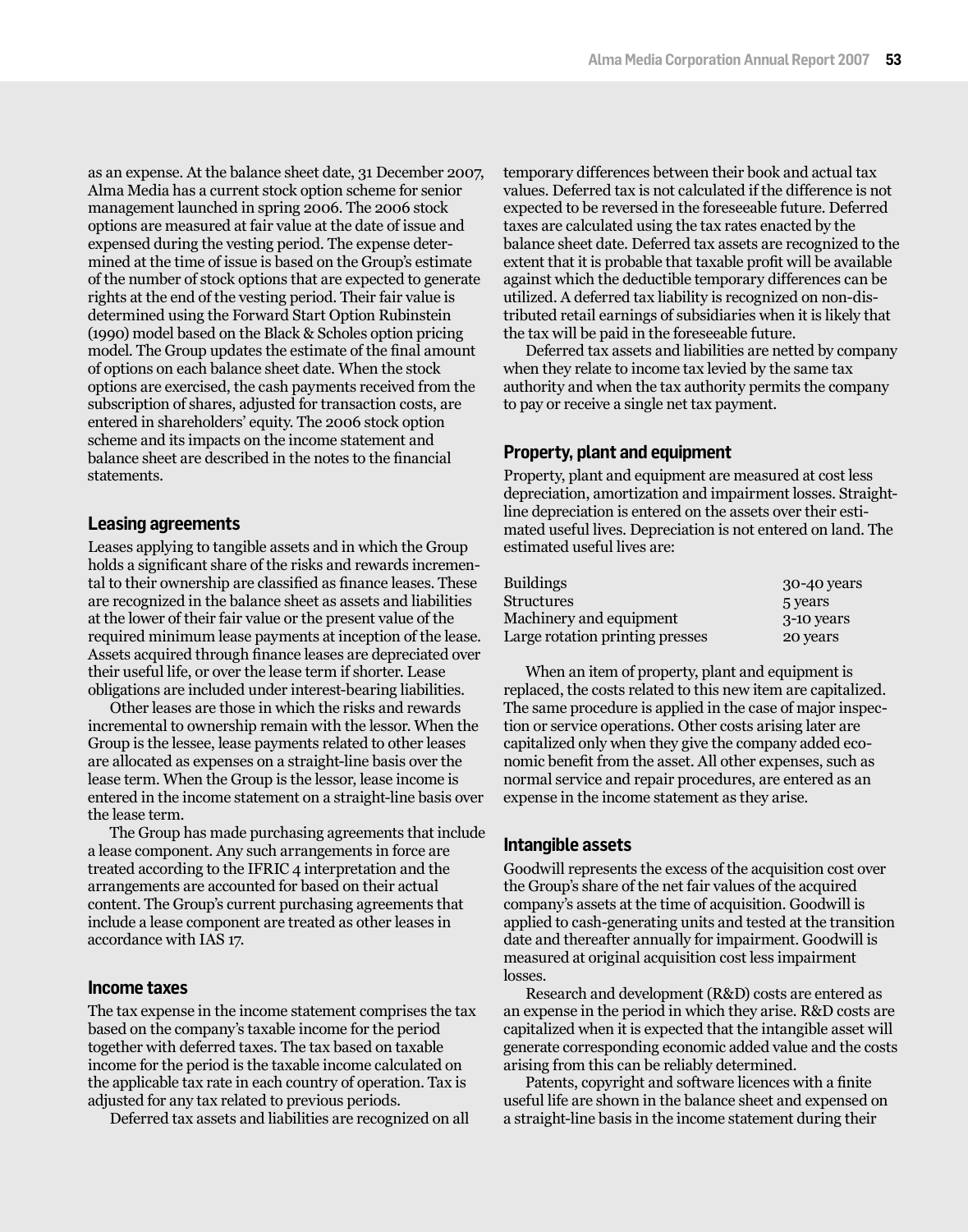as an expense. At the balance sheet date, 31 December 2007, Alma Media has a current stock option scheme for senior management launched in spring 2006. The 2006 stock options are measured at fair value at the date of issue and expensed during the vesting period. The expense determined at the time of issue is based on the Group's estimate of the number of stock options that are expected to generate rights at the end of the vesting period. Their fair value is determined using the Forward Start Option Rubinstein (1990) model based on the Black & Scholes option pricing model. The Group updates the estimate of the final amount of options on each balance sheet date. When the stock options are exercised, the cash payments received from the subscription of shares, adjusted for transaction costs, are entered in shareholders' equity. The 2006 stock option scheme and its impacts on the income statement and balance sheet are described in the notes to the financial statements.

## **Leasing agreements**

Leases applying to tangible assets and in which the Group holds a significant share of the risks and rewards incremental to their ownership are classified as finance leases. These are recognized in the balance sheet as assets and liabilities at the lower of their fair value or the present value of the required minimum lease payments at inception of the lease. Assets acquired through finance leases are depreciated over their useful life, or over the lease term if shorter. Lease obligations are included under interest-bearing liabilities.

Other leases are those in which the risks and rewards incremental to ownership remain with the lessor. When the Group is the lessee, lease payments related to other leases are allocated as expenses on a straight-line basis over the lease term. When the Group is the lessor, lease income is entered in the income statement on a straight-line basis over the lease term.

The Group has made purchasing agreements that include a lease component. Any such arrangements in force are treated according to the IFRIC 4 interpretation and the arrangements are accounted for based on their actual content. The Group's current purchasing agreements that include a lease component are treated as other leases in accordance with IAS 17.

### **Income taxes**

The tax expense in the income statement comprises the tax based on the company's taxable income for the period together with deferred taxes. The tax based on taxable income for the period is the taxable income calculated on the applicable tax rate in each country of operation. Tax is adjusted for any tax related to previous periods.

Deferred tax assets and liabilities are recognized on all

temporary differences between their book and actual tax values. Deferred tax is not calculated if the difference is not expected to be reversed in the foreseeable future. Deferred taxes are calculated using the tax rates enacted by the balance sheet date. Deferred tax assets are recognized to the extent that it is probable that taxable profit will be available against which the deductible temporary differences can be utilized. A deferred tax liability is recognized on non-distributed retail earnings of subsidiaries when it is likely that the tax will be paid in the foreseeable future.

Deferred tax assets and liabilities are netted by company when they relate to income tax levied by the same tax authority and when the tax authority permits the company to pay or receive a single net tax payment.

### **Property, plant and equipment**

Property, plant and equipment are measured at cost less depreciation, amortization and impairment losses. Straightline depreciation is entered on the assets over their estimated useful lives. Depreciation is not entered on land. The estimated useful lives are:

| <b>Buildings</b>                | 30-40 years |
|---------------------------------|-------------|
| Structures                      | 5 years     |
| Machinery and equipment         | 3-10 years  |
| Large rotation printing presses | 20 years    |

When an item of property, plant and equipment is replaced, the costs related to this new item are capitalized. The same procedure is applied in the case of major inspection or service operations. Other costs arising later are capitalized only when they give the company added economic benefit from the asset. All other expenses, such as normal service and repair procedures, are entered as an expense in the income statement as they arise.

### **Intangible assets**

Goodwill represents the excess of the acquisition cost over the Group's share of the net fair values of the acquired company's assets at the time of acquisition. Goodwill is applied to cash-generating units and tested at the transition date and thereafter annually for impairment. Goodwill is measured at original acquisition cost less impairment losses.

Research and development (R&D) costs are entered as an expense in the period in which they arise. R&D costs are capitalized when it is expected that the intangible asset will generate corresponding economic added value and the costs arising from this can be reliably determined.

Patents, copyright and software licences with a finite useful life are shown in the balance sheet and expensed on a straight-line basis in the income statement during their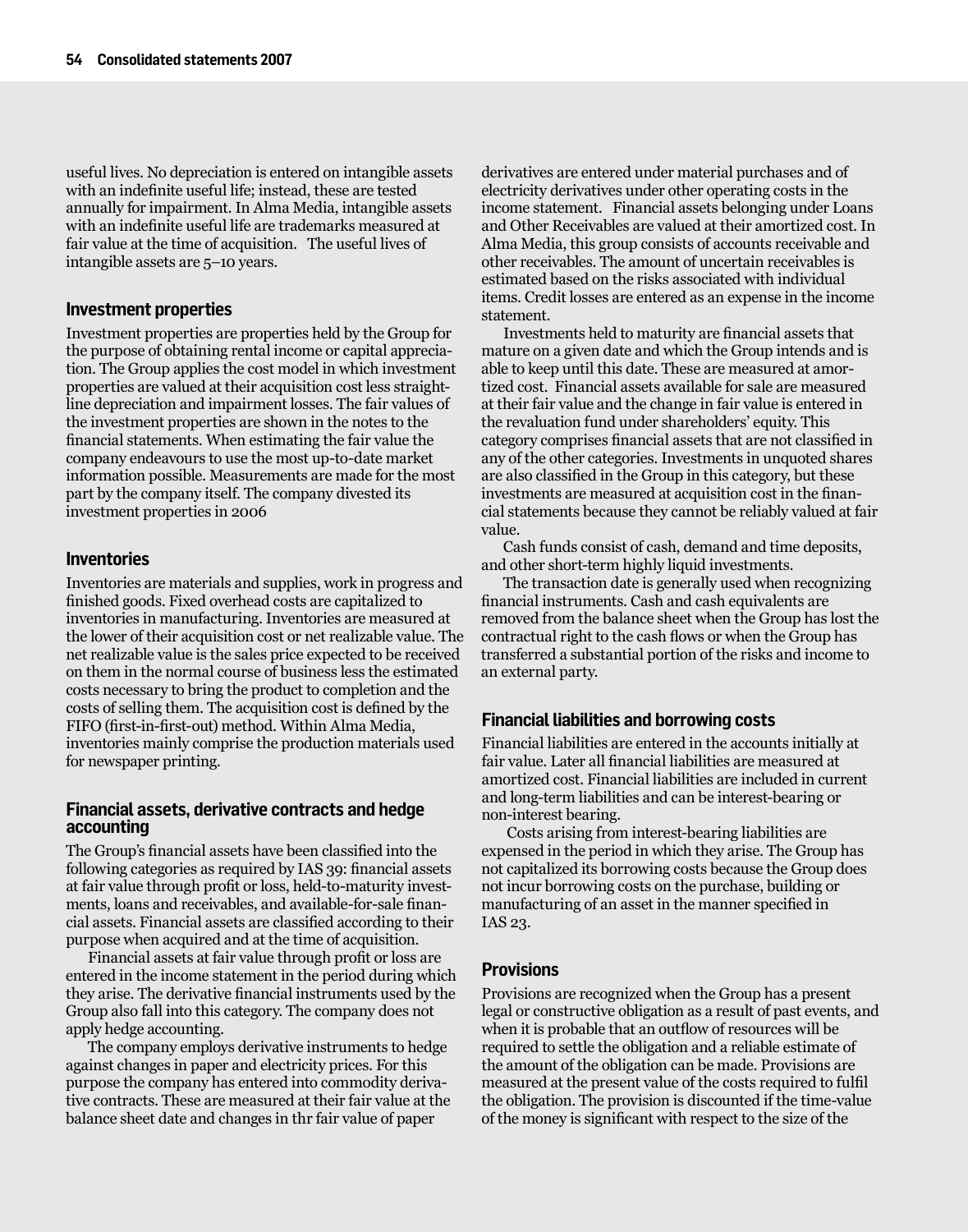useful lives. No depreciation is entered on intangible assets with an indefinite useful life; instead, these are tested annually for impairment. In Alma Media, intangible assets with an indefinite useful life are trademarks measured at fair value at the time of acquisition. The useful lives of intangible assets are 5–10 years.

## **Investment properties**

Investment properties are properties held by the Group for the purpose of obtaining rental income or capital appreciation. The Group applies the cost model in which investment properties are valued at their acquisition cost less straightline depreciation and impairment losses. The fair values of the investment properties are shown in the notes to the financial statements. When estimating the fair value the company endeavours to use the most up-to-date market information possible. Measurements are made for the most part by the company itself. The company divested its investment properties in 2006

## **Inventories**

Inventories are materials and supplies, work in progress and finished goods. Fixed overhead costs are capitalized to inventories in manufacturing. Inventories are measured at the lower of their acquisition cost or net realizable value. The net realizable value is the sales price expected to be received on them in the normal course of business less the estimated costs necessary to bring the product to completion and the costs of selling them. The acquisition cost is defined by the FIFO (first-in-first-out) method. Within Alma Media, inventories mainly comprise the production materials used for newspaper printing.

## **Financial assets, derivative contracts and hedge accounting**

The Group's financial assets have been classified into the following categories as required by IAS 39: financial assets at fair value through profit or loss, held-to-maturity investments, loans and receivables, and available-for-sale financial assets. Financial assets are classified according to their purpose when acquired and at the time of acquisition.

Financial assets at fair value through profit or loss are entered in the income statement in the period during which they arise. The derivative financial instruments used by the Group also fall into this category. The company does not apply hedge accounting.

The company employs derivative instruments to hedge against changes in paper and electricity prices. For this purpose the company has entered into commodity derivative contracts. These are measured at their fair value at the balance sheet date and changes in thr fair value of paper

derivatives are entered under material purchases and of electricity derivatives under other operating costs in the income statement. Financial assets belonging under Loans and Other Receivables are valued at their amortized cost. In Alma Media, this group consists of accounts receivable and other receivables. The amount of uncertain receivables is estimated based on the risks associated with individual items. Credit losses are entered as an expense in the income statement.

Investments held to maturity are financial assets that mature on a given date and which the Group intends and is able to keep until this date. These are measured at amortized cost. Financial assets available for sale are measured at their fair value and the change in fair value is entered in the revaluation fund under shareholders' equity. This category comprises financial assets that are not classified in any of the other categories. Investments in unquoted shares are also classified in the Group in this category, but these investments are measured at acquisition cost in the financial statements because they cannot be reliably valued at fair value.

Cash funds consist of cash, demand and time deposits, and other short-term highly liquid investments.

The transaction date is generally used when recognizing financial instruments. Cash and cash equivalents are removed from the balance sheet when the Group has lost the contractual right to the cash flows or when the Group has transferred a substantial portion of the risks and income to an external party.

## **Financial liabilities and borrowing costs**

Financial liabilities are entered in the accounts initially at fair value. Later all financial liabilities are measured at amortized cost. Financial liabilities are included in current and long-term liabilities and can be interest-bearing or non-interest bearing.

Costs arising from interest-bearing liabilities are expensed in the period in which they arise. The Group has not capitalized its borrowing costs because the Group does not incur borrowing costs on the purchase, building or manufacturing of an asset in the manner specified in IAS 23.

## **Provisions**

Provisions are recognized when the Group has a present legal or constructive obligation as a result of past events, and when it is probable that an outflow of resources will be required to settle the obligation and a reliable estimate of the amount of the obligation can be made. Provisions are measured at the present value of the costs required to fulfil the obligation. The provision is discounted if the time-value of the money is significant with respect to the size of the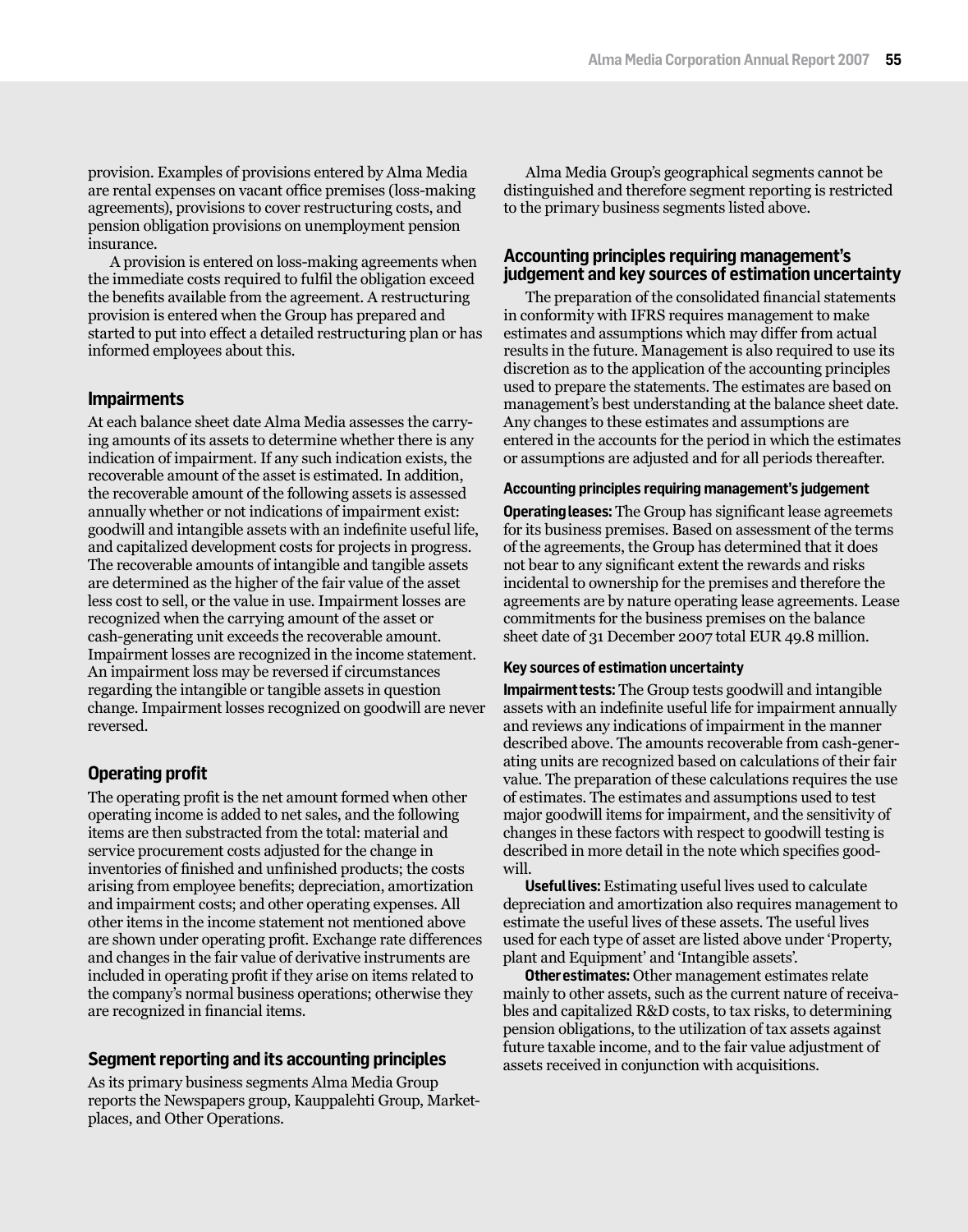provision. Examples of provisions entered by Alma Media are rental expenses on vacant office premises (loss-making agreements), provisions to cover restructuring costs, and pension obligation provisions on unemployment pension insurance.

A provision is entered on loss-making agreements when the immediate costs required to fulfil the obligation exceed the benefits available from the agreement. A restructuring provision is entered when the Group has prepared and started to put into effect a detailed restructuring plan or has informed employees about this.

## **Impairments**

At each balance sheet date Alma Media assesses the carrying amounts of its assets to determine whether there is any indication of impairment. If any such indication exists, the recoverable amount of the asset is estimated. In addition, the recoverable amount of the following assets is assessed annually whether or not indications of impairment exist: goodwill and intangible assets with an indefinite useful life, and capitalized development costs for projects in progress. The recoverable amounts of intangible and tangible assets are determined as the higher of the fair value of the asset less cost to sell, or the value in use. Impairment losses are recognized when the carrying amount of the asset or cash-generating unit exceeds the recoverable amount. Impairment losses are recognized in the income statement. An impairment loss may be reversed if circumstances regarding the intangible or tangible assets in question change. Impairment losses recognized on goodwill are never reversed.

## **Operating profit**

The operating profit is the net amount formed when other operating income is added to net sales, and the following items are then substracted from the total: material and service procurement costs adjusted for the change in inventories of finished and unfinished products; the costs arising from employee benefits; depreciation, amortization and impairment costs; and other operating expenses. All other items in the income statement not mentioned above are shown under operating profit. Exchange rate differences and changes in the fair value of derivative instruments are included in operating profit if they arise on items related to the company's normal business operations; otherwise they are recognized in financial items.

## **Segment reporting and its accounting principles**

As its primary business segments Alma Media Group reports the Newspapers group, Kauppalehti Group, Marketplaces, and Other Operations.

Alma Media Group's geographical segments cannot be distinguished and therefore segment reporting is restricted to the primary business segments listed above.

## **Accounting principles requiring management's judgement and key sources of estimation uncertainty**

The preparation of the consolidated financial statements in conformity with IFRS requires management to make estimates and assumptions which may differ from actual results in the future. Management is also required to use its discretion as to the application of the accounting principles used to prepare the statements. The estimates are based on management's best understanding at the balance sheet date. Any changes to these estimates and assumptions are entered in the accounts for the period in which the estimates or assumptions are adjusted and for all periods thereafter.

### **Accounting principles requiring management's judgement**

**Operating leases:** The Group has significant lease agreemets for its business premises. Based on assessment of the terms of the agreements, the Group has determined that it does not bear to any significant extent the rewards and risks incidental to ownership for the premises and therefore the agreements are by nature operating lease agreements. Lease commitments for the business premises on the balance sheet date of 31 December 2007 total EUR 49.8 million.

#### **Key sources of estimation uncertainty**

**Impairment tests:** The Group tests goodwill and intangible assets with an indefinite useful life for impairment annually and reviews any indications of impairment in the manner described above. The amounts recoverable from cash-generating units are recognized based on calculations of their fair value. The preparation of these calculations requires the use of estimates. The estimates and assumptions used to test major goodwill items for impairment, and the sensitivity of changes in these factors with respect to goodwill testing is described in more detail in the note which specifies goodwill.

**Useful lives:** Estimating useful lives used to calculate depreciation and amortization also requires management to estimate the useful lives of these assets. The useful lives used for each type of asset are listed above under 'Property, plant and Equipment' and 'Intangible assets'.

**Other estimates:** Other management estimates relate mainly to other assets, such as the current nature of receivables and capitalized R&D costs, to tax risks, to determining pension obligations, to the utilization of tax assets against future taxable income, and to the fair value adjustment of assets received in conjunction with acquisitions.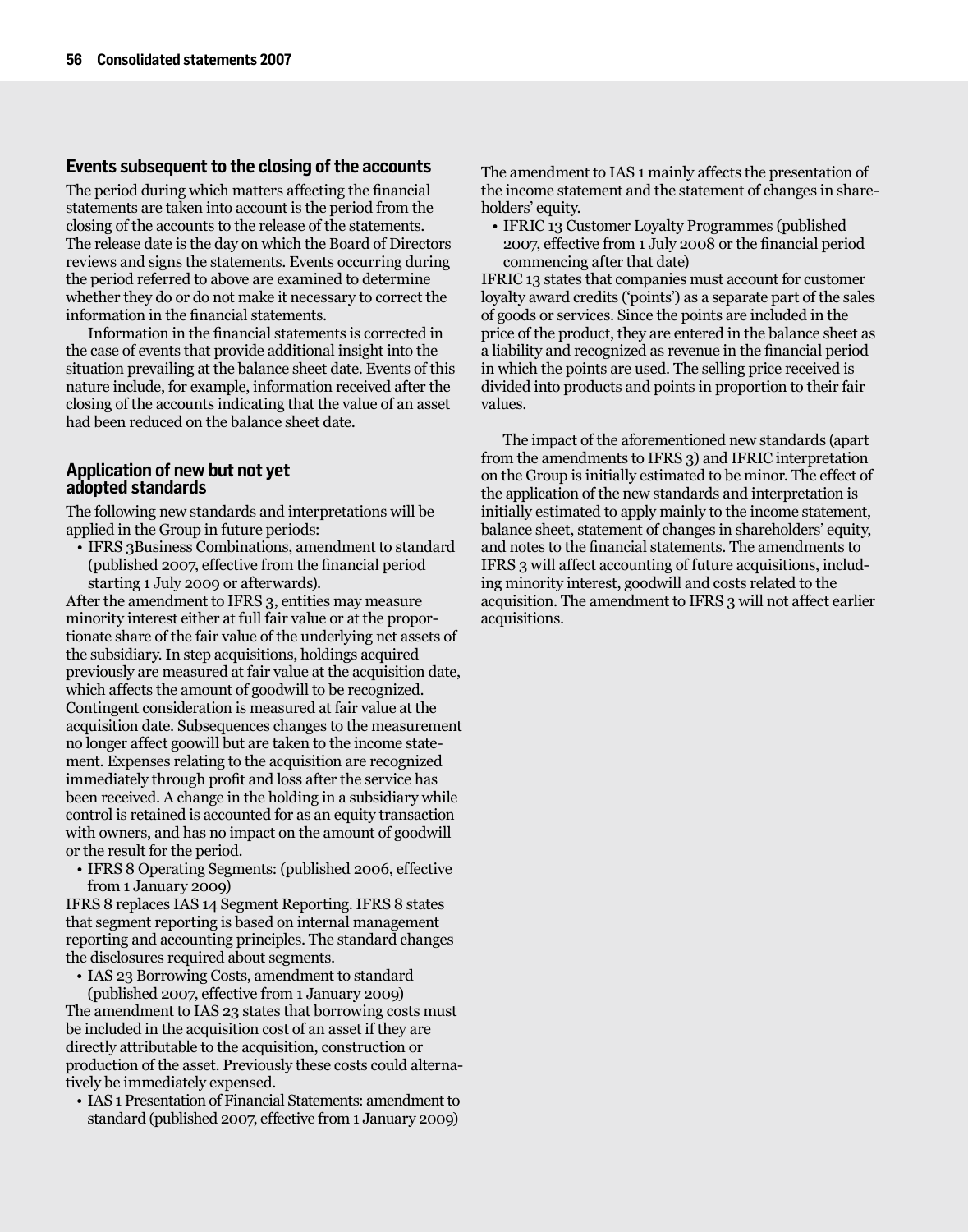## **Events subsequent to the closing of the accounts**

The period during which matters affecting the financial statements are taken into account is the period from the closing of the accounts to the release of the statements. The release date is the day on which the Board of Directors reviews and signs the statements. Events occurring during the period referred to above are examined to determine whether they do or do not make it necessary to correct the information in the financial statements.

Information in the financial statements is corrected in the case of events that provide additional insight into the situation prevailing at the balance sheet date. Events of this nature include, for example, information received after the closing of the accounts indicating that the value of an asset had been reduced on the balance sheet date.

## **Application of new but not yet adopted standards**

The following new standards and interpretations will be applied in the Group in future periods:

• IFRS 3Business Combinations, amendment to standard (published 2007, effective from the financial period starting 1 July 2009 or afterwards).

After the amendment to IFRS 3, entities may measure minority interest either at full fair value or at the proportionate share of the fair value of the underlying net assets of the subsidiary. In step acquisitions, holdings acquired previously are measured at fair value at the acquisition date, which affects the amount of goodwill to be recognized. Contingent consideration is measured at fair value at the acquisition date. Subsequences changes to the measurement no longer affect goowill but are taken to the income statement. Expenses relating to the acquisition are recognized immediately through profit and loss after the service has been received. A change in the holding in a subsidiary while control is retained is accounted for as an equity transaction with owners, and has no impact on the amount of goodwill or the result for the period.

• IFRS 8 Operating Segments: (published 2006, effective from 1 January 2009)

IFRS 8 replaces IAS 14 Segment Reporting. IFRS 8 states that segment reporting is based on internal management reporting and accounting principles. The standard changes the disclosures required about segments.

• IAS 23 Borrowing Costs, amendment to standard (published 2007, effective from 1 January 2009)

The amendment to IAS 23 states that borrowing costs must be included in the acquisition cost of an asset if they are directly attributable to the acquisition, construction or production of the asset. Previously these costs could alternatively be immediately expensed.

• IAS 1 Presentation of Financial Statements: amendment to standard (published 2007, effective from 1 January 2009)

The amendment to IAS 1 mainly affects the presentation of the income statement and the statement of changes in shareholders' equity.

• IFRIC 13 Customer Loyalty Programmes (published 2007, effective from 1 July 2008 or the financial period commencing after that date)

IFRIC 13 states that companies must account for customer loyalty award credits ('points') as a separate part of the sales of goods or services. Since the points are included in the price of the product, they are entered in the balance sheet as a liability and recognized as revenue in the financial period in which the points are used. The selling price received is divided into products and points in proportion to their fair values.

The impact of the aforementioned new standards (apart from the amendments to IFRS 3) and IFRIC interpretation on the Group is initially estimated to be minor. The effect of the application of the new standards and interpretation is initially estimated to apply mainly to the income statement, balance sheet, statement of changes in shareholders' equity, and notes to the financial statements. The amendments to IFRS 3 will affect accounting of future acquisitions, including minority interest, goodwill and costs related to the acquisition. The amendment to IFRS 3 will not affect earlier acquisitions.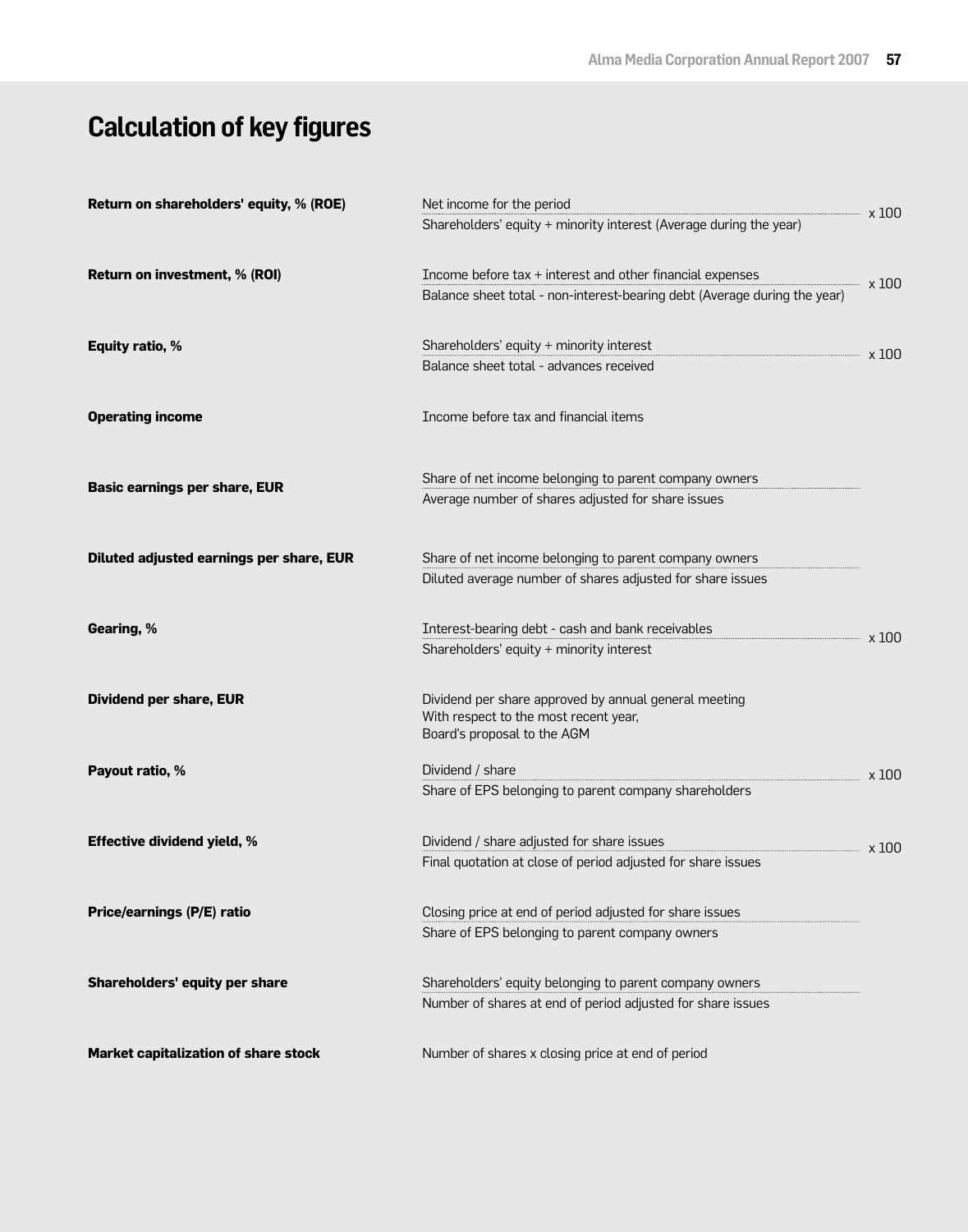# **Calculation of key figures**

| Return on shareholders' equity, % (ROE)  | Net income for the period                                                                                                              |       |  |  |  |
|------------------------------------------|----------------------------------------------------------------------------------------------------------------------------------------|-------|--|--|--|
|                                          | Shareholders' equity + minority interest (Average during the year)                                                                     | x 100 |  |  |  |
| Return on investment, % (ROI)            | Income before tax + interest and other financial expenses<br>Balance sheet total - non-interest-bearing debt (Average during the year) | x 100 |  |  |  |
| <b>Equity ratio, %</b>                   | Shareholders' equity + minority interest<br>Balance sheet total - advances received                                                    | x 100 |  |  |  |
| <b>Operating income</b>                  | Income before tax and financial items                                                                                                  |       |  |  |  |
|                                          |                                                                                                                                        |       |  |  |  |
| <b>Basic earnings per share, EUR</b>     | Share of net income belonging to parent company owners                                                                                 |       |  |  |  |
|                                          | Average number of shares adjusted for share issues                                                                                     |       |  |  |  |
| Diluted adjusted earnings per share, EUR | Share of net income belonging to parent company owners                                                                                 |       |  |  |  |
|                                          | Diluted average number of shares adjusted for share issues                                                                             |       |  |  |  |
| Gearing, %                               | Interest-bearing debt - cash and bank receivables                                                                                      | x 100 |  |  |  |
|                                          | Shareholders' equity + minority interest                                                                                               |       |  |  |  |
| <b>Dividend per share, EUR</b>           | Dividend per share approved by annual general meeting<br>With respect to the most recent year,<br>Board's proposal to the AGM          |       |  |  |  |
| Payout ratio, %                          | Dividend / share                                                                                                                       | x 100 |  |  |  |
|                                          | Share of EPS belonging to parent company shareholders                                                                                  |       |  |  |  |
| <b>Effective dividend yield, %</b>       | Dividend / share adjusted for share issues                                                                                             | x 100 |  |  |  |
|                                          | Final quotation at close of period adjusted for share issues                                                                           |       |  |  |  |
| Price/earnings (P/E) ratio               | Closing price at end of period adjusted for share issues                                                                               |       |  |  |  |
|                                          | Share of EPS belonging to parent company owners                                                                                        |       |  |  |  |
| Shareholders' equity per share           | Shareholders' equity belonging to parent company owners                                                                                |       |  |  |  |
|                                          | Number of shares at end of period adjusted for share issues                                                                            |       |  |  |  |
| Market capitalization of share stock     | Number of shares x closing price at end of period                                                                                      |       |  |  |  |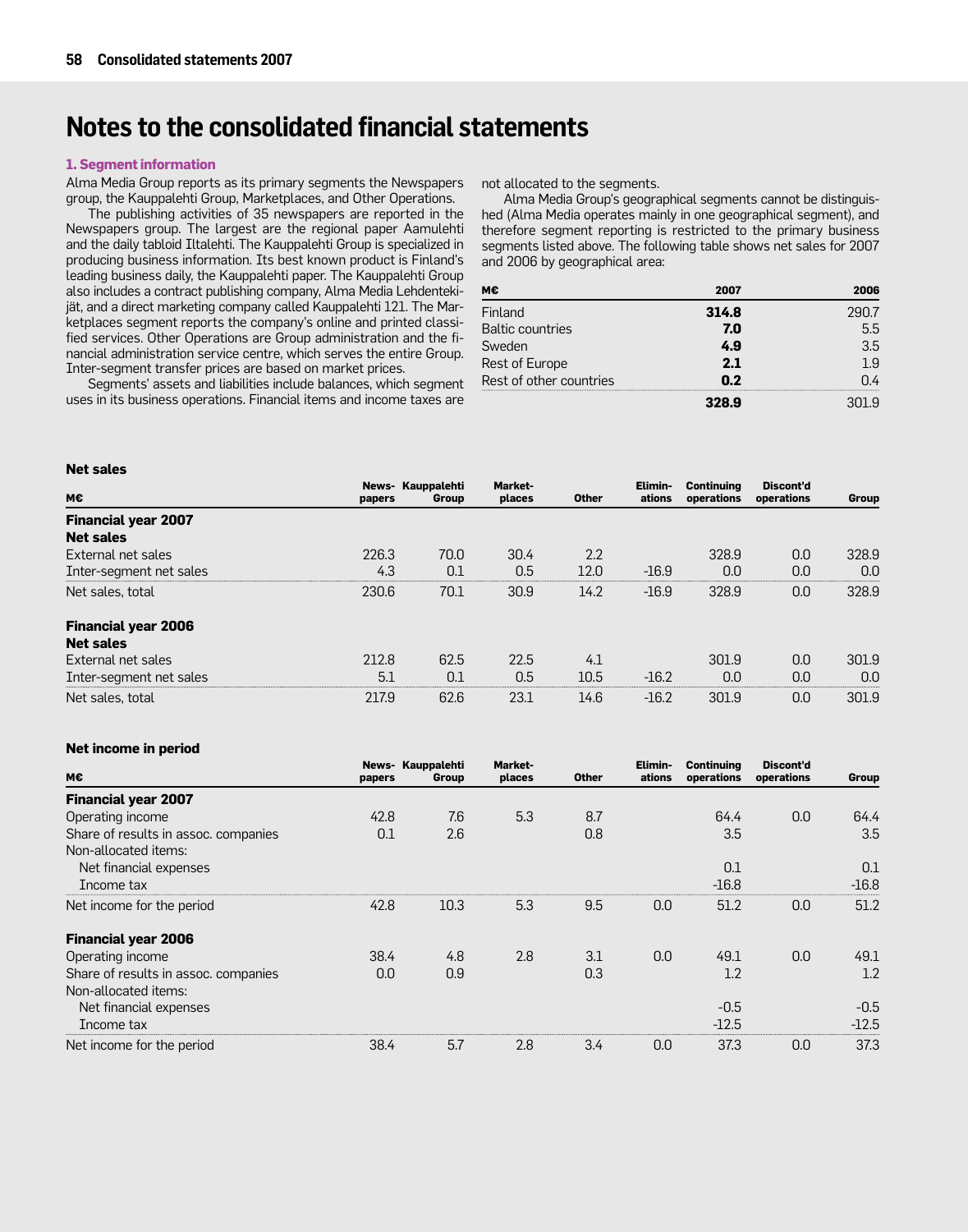# **Notes to the consolidated financial statements**

#### **1. Segment information**

Alma Media Group reports as its primary segments the Newspapers group, the Kauppalehti Group, Marketplaces, and Other Operations.

The publishing activities of 35 newspapers are reported in the Newspapers group. The largest are the regional paper Aamulehti and the daily tabloid Iltalehti. The Kauppalehti Group is specialized in producing business information. Its best known product is Finland's leading business daily, the Kauppalehti paper. The Kauppalehti Group also includes a contract publishing company, Alma Media Lehdentekijät, and a direct marketing company called Kauppalehti 121. The Marketplaces segment reports the company's online and printed classified services. Other Operations are Group administration and the financial administration service centre, which serves the entire Group. Inter-segment transfer prices are based on market prices.

Segments' assets and liabilities include balances, which segment uses in its business operations. Financial items and income taxes are

not allocated to the segments.

Alma Media Group's geographical segments cannot be distinguished (Alma Media operates mainly in one geographical segment), and therefore segment reporting is restricted to the primary business segments listed above. The following table shows net sales for 2007 and 2006 by geographical area:

| мє                      | 2007  | 2006 |
|-------------------------|-------|------|
| Finland                 | 314.8 |      |
| <b>Baltic countries</b> | 7.0   | 5.5  |
| Sweden                  | 4.9   | 3.5  |
| Rest of Europe          | 2.1   | 19   |
| Rest of other countries | n 2   | በ 4  |
|                         |       |      |

| nu suw                     |        |                            |                          |              |                   |                                 |                         |       |
|----------------------------|--------|----------------------------|--------------------------|--------------|-------------------|---------------------------------|-------------------------|-------|
| м€                         | papers | News- Kauppalehti<br>Group | <b>Market-</b><br>places | <b>Other</b> | Elimin-<br>ations | <b>Continuing</b><br>operations | Discont'd<br>operations | Group |
| <b>Financial year 2007</b> |        |                            |                          |              |                   |                                 |                         |       |
| <b>Net sales</b>           |        |                            |                          |              |                   |                                 |                         |       |
| External net sales         | 226.3  | 70.0                       | 30.4                     | 2.2          |                   | 328.9                           | 0.0                     | 328.9 |
| Inter-segment net sales    | 4.3    | 0.1                        | 0.5                      | 12.0         | $-16.9$           | 0.0                             | 0.0                     | 0.0   |
| Net sales, total           | 230.6  | 70.1                       | 30.9                     | 14.2         | $-16.9$           | 328.9                           | 0.0                     | 328.9 |
| <b>Financial year 2006</b> |        |                            |                          |              |                   |                                 |                         |       |
| <b>Net sales</b>           |        |                            |                          |              |                   |                                 |                         |       |
| External net sales         | 212.8  | 62.5                       | 22.5                     | 4.1          |                   | 301.9                           | 0.0                     | 301.9 |
| Inter-segment net sales    | 5.1    | 0.1                        | 0.5                      | 10.5         | $-16.2$           | 0.0                             | 0.0                     | 0.0   |
| Net sales, total           | 217.9  | 62.6                       | 23.1                     | 14.6         | $-16.2$           | 301.9                           | 0.0                     | 301.9 |

#### **Net income in period**

**Net sales**

| M€                                   | papers | News- Kauppalehti<br>Group | Market-<br>places | <b>Other</b> | Elimin-<br>ations | <b>Continuing</b><br>operations | Discont'd<br>operations | Group   |
|--------------------------------------|--------|----------------------------|-------------------|--------------|-------------------|---------------------------------|-------------------------|---------|
| <b>Financial year 2007</b>           |        |                            |                   |              |                   |                                 |                         |         |
| Operating income                     | 42.8   | 7.6                        | 5.3               | 8.7          |                   | 64.4                            | 0.0                     | 64.4    |
| Share of results in assoc. companies | 0.1    | 2.6                        |                   | 0.8          |                   | 3.5                             |                         | 3.5     |
| Non-allocated items:                 |        |                            |                   |              |                   |                                 |                         |         |
| Net financial expenses               |        |                            |                   |              |                   | 0.1                             |                         | 0.1     |
| Income tax                           |        |                            |                   |              |                   | $-16.8$                         |                         | $-16.8$ |
| Net income for the period            | 42.8   | 10.3                       | 5.3               | 9.5          | 0.0               | 51.2                            | 0.0                     | 51.2    |
| <b>Financial year 2006</b>           |        |                            |                   |              |                   |                                 |                         |         |
| Operating income                     | 38.4   | 4.8                        | 2.8               | 3.1          | 0.0               | 49.1                            | 0.0                     | 49.1    |
| Share of results in assoc. companies | 0.0    | 0.9                        |                   | 0.3          |                   | 1.2                             |                         | 1.2     |
| Non-allocated items:                 |        |                            |                   |              |                   |                                 |                         |         |
| Net financial expenses               |        |                            |                   |              |                   | $-0.5$                          |                         | $-0.5$  |
| Income tax                           |        |                            |                   |              |                   | $-12.5$                         |                         | $-12.5$ |
| Net income for the period            | 38.4   | 5.7                        | 2.8               | 3.4          | 0.0               | 37.3                            | 0.0                     | 37.3    |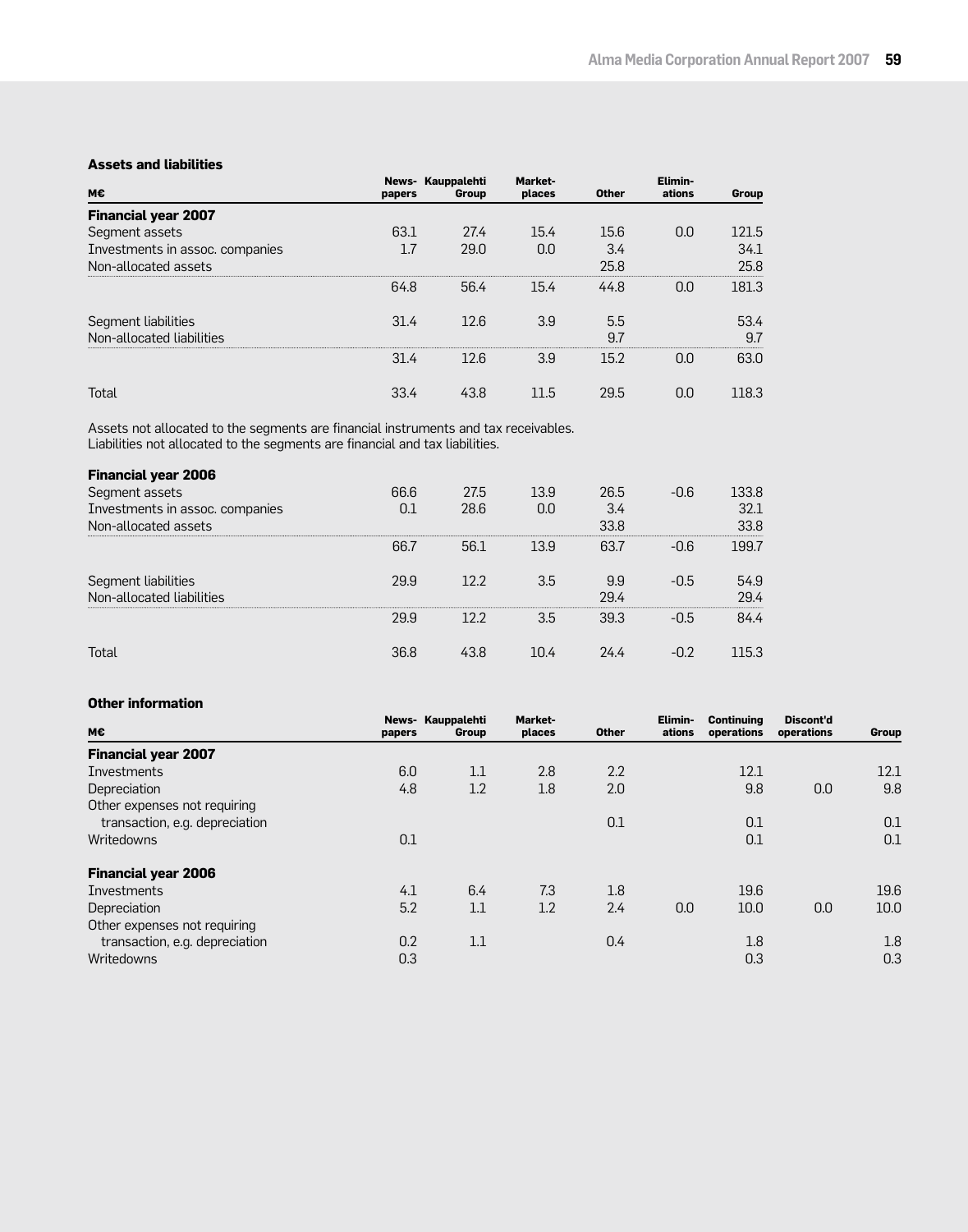#### **Assets and liabilities**

| M€                              | papers | News- Kauppalehti<br>Group | <b>Market-</b><br>places | <b>Other</b> | Elimin-<br>ations | Group |
|---------------------------------|--------|----------------------------|--------------------------|--------------|-------------------|-------|
| <b>Financial year 2007</b>      |        |                            |                          |              |                   |       |
| Segment assets                  | 63.1   | 27.4                       | 15.4                     | 15.6         | 0.0               | 121.5 |
| Investments in assoc. companies |        | 29.0                       | 0.0                      | 3.4          |                   | 34.1  |
| Non-allocated assets            |        |                            |                          | 25.8         |                   | 25.8  |
|                                 | 64.8   | 56.4                       | 15.4                     | 44.8         | 0.0               | 181.3 |
| Segment liabilities             | 31.4   | 12.6                       | 3.9                      | 5.5          |                   | 53.4  |
| Non-allocated liabilities       |        |                            |                          | 9.7          |                   | 9.7   |
|                                 | 31.4   | 12.6                       | 3.9                      | 15.2         | 0.O               | 63.0  |
| Total                           | 33.4   | 43.8                       | 11.5                     | 29.5         | 0.0               | 118.3 |

Assets not allocated to the segments are financial instruments and tax receivables. Liabilities not allocated to the segments are financial and tax liabilities.

| <b>Financial year 2006</b>                       |      |      |      |             |        |              |
|--------------------------------------------------|------|------|------|-------------|--------|--------------|
| Segment assets                                   | 66.6 | 27.5 | 13.9 | 26.5        | $-0.6$ | 133.8        |
| Investments in assoc. companies                  |      | 28.6 | 0.0  | 3.4         |        | 32.1         |
| Non-allocated assets                             |      |      |      | 33.8        |        | 33.8         |
|                                                  | 66.7 | 56.1 | 13.9 | 63.7        | $-0.6$ | 199.7        |
| Segment liabilities<br>Non-allocated liabilities | 29.9 | 12.2 | 3.5  | 9.9<br>29.4 | $-0.5$ | 54.9<br>29 4 |
|                                                  | 29.9 | 122  | 3.5  | 39.3        | -0.5   | 84 4         |
|                                                  | 36.8 | 43.8 | 1በ 4 | 24 4        |        | 153          |

### **Other information**

| М€                             | papers | News- Kauppalehti<br>Group | Market-<br>places | <b>Other</b> | Elimin-<br>ations | <b>Continuing</b><br>operations | Discont'd<br>operations | Group |
|--------------------------------|--------|----------------------------|-------------------|--------------|-------------------|---------------------------------|-------------------------|-------|
| <b>Financial year 2007</b>     |        |                            |                   |              |                   |                                 |                         |       |
| Investments                    | 6.0    | 1.1                        | 2.8               | 2.2          |                   | 12.1                            |                         | 12.1  |
| Depreciation                   | 4.8    | 1.2                        | 1.8               | 2.0          |                   | 9.8                             | 0.0                     | 9.8   |
| Other expenses not requiring   |        |                            |                   |              |                   |                                 |                         |       |
| transaction, e.g. depreciation |        |                            |                   | 0.1          |                   | 0.1                             |                         | 0.1   |
| Writedowns                     | 0.1    |                            |                   |              |                   | 0.1                             |                         | 0.1   |
| <b>Financial year 2006</b>     |        |                            |                   |              |                   |                                 |                         |       |
| Investments                    | 4.1    | 6.4                        | 7.3               | 1.8          |                   | 19.6                            |                         | 19.6  |
| Depreciation                   | 5.2    | 1.1                        | 1.2               | 2.4          | 0.0               | 10.0                            | 0.0                     | 10.0  |
| Other expenses not requiring   |        |                            |                   |              |                   |                                 |                         |       |
| transaction, e.g. depreciation | 0.2    | 1.1                        |                   | 0.4          |                   | 1.8                             |                         | 1.8   |
| Writedowns                     | 0.3    |                            |                   |              |                   | 0.3                             |                         | 0.3   |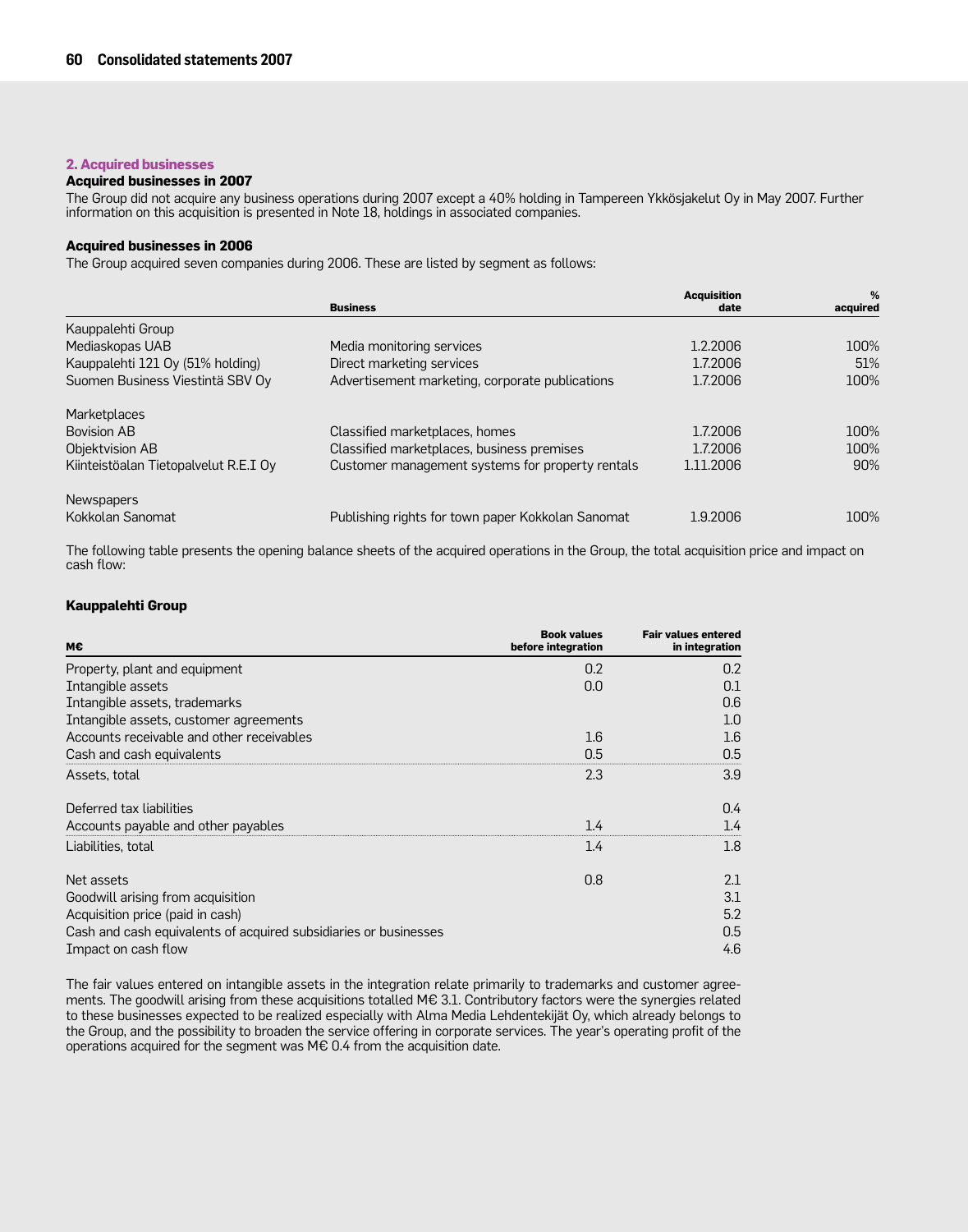## **2. Acquired businesses**

#### **Acquired businesses in 2007**

The Group did not acquire any business operations during 2007 except a 40% holding in Tampereen Ykkösjakelut Oy in May 2007. Further information on this acquisition is presented in Note 18, holdings in associated companies.

#### **Acquired businesses in 2006**

The Group acquired seven companies during 2006. These are listed by segment as follows:

|                                       | <b>Business</b>                                   | <b>Acquisition</b><br>date | %<br>acquired |
|---------------------------------------|---------------------------------------------------|----------------------------|---------------|
| Kauppalehti Group                     |                                                   |                            |               |
| Mediaskopas UAB                       | Media monitoring services                         | 1.2.2006                   | 100%          |
| Kauppalehti 121 Oy (51% holding)      | Direct marketing services                         | 1.7.2006                   | 51%           |
| Suomen Business Viestintä SBV Oy      | Advertisement marketing, corporate publications   | 1.7.2006                   | 100%          |
| Marketplaces                          |                                                   |                            |               |
| <b>Bovision AB</b>                    | Classified marketplaces, homes                    | 1.7.2006                   | 100%          |
| Objektvision AB                       | Classified marketplaces, business premises        | 1.7.2006                   | 100%          |
| Kiinteistöalan Tietopalvelut R.E.I Oy | Customer management systems for property rentals  | 1.11.2006                  | 90%           |
| <b>Newspapers</b>                     |                                                   |                            |               |
| Kokkolan Sanomat                      | Publishing rights for town paper Kokkolan Sanomat | 1.9.2006                   | 100%          |

The following table presents the opening balance sheets of the acquired operations in the Group, the total acquisition price and impact on cash flow:

#### **Kauppalehti Group**

| M€                                                               | <b>Book values</b><br>before integration | <b>Fair values entered</b><br>in integration |
|------------------------------------------------------------------|------------------------------------------|----------------------------------------------|
| Property, plant and equipment                                    | 0.2                                      | 0.2                                          |
| Intangible assets                                                | 0.0                                      | 0.1                                          |
| Intangible assets, trademarks                                    |                                          | 0.6                                          |
| Intangible assets, customer agreements                           |                                          | 1.0                                          |
| Accounts receivable and other receivables                        | $1.6\,$                                  | 1.6                                          |
| Cash and cash equivalents                                        | 0.5                                      | 0.5                                          |
| Assets, total                                                    | 2.3                                      | 3.9                                          |
| Deferred tax liabilities                                         |                                          | 0.4                                          |
| Accounts payable and other payables                              | 1.4                                      | 1.4                                          |
| Liabilities, total                                               | 1.4                                      | 1.8                                          |
| Net assets                                                       | 0.8                                      | 2.1                                          |
| Goodwill arising from acquisition                                |                                          | 3.1                                          |
| Acquisition price (paid in cash)                                 |                                          | 5.2                                          |
| Cash and cash equivalents of acquired subsidiaries or businesses |                                          | 0.5                                          |
| Impact on cash flow                                              |                                          | 4.6                                          |

The fair values entered on intangible assets in the integration relate primarily to trademarks and customer agreements. The goodwill arising from these acquisitions totalled M€ 3.1. Contributory factors were the synergies related to these businesses expected to be realized especially with Alma Media Lehdentekijät Oy, which already belongs to the Group, and the possibility to broaden the service offering in corporate services. The year's operating profit of the operations acquired for the segment was M€ 0.4 from the acquisition date.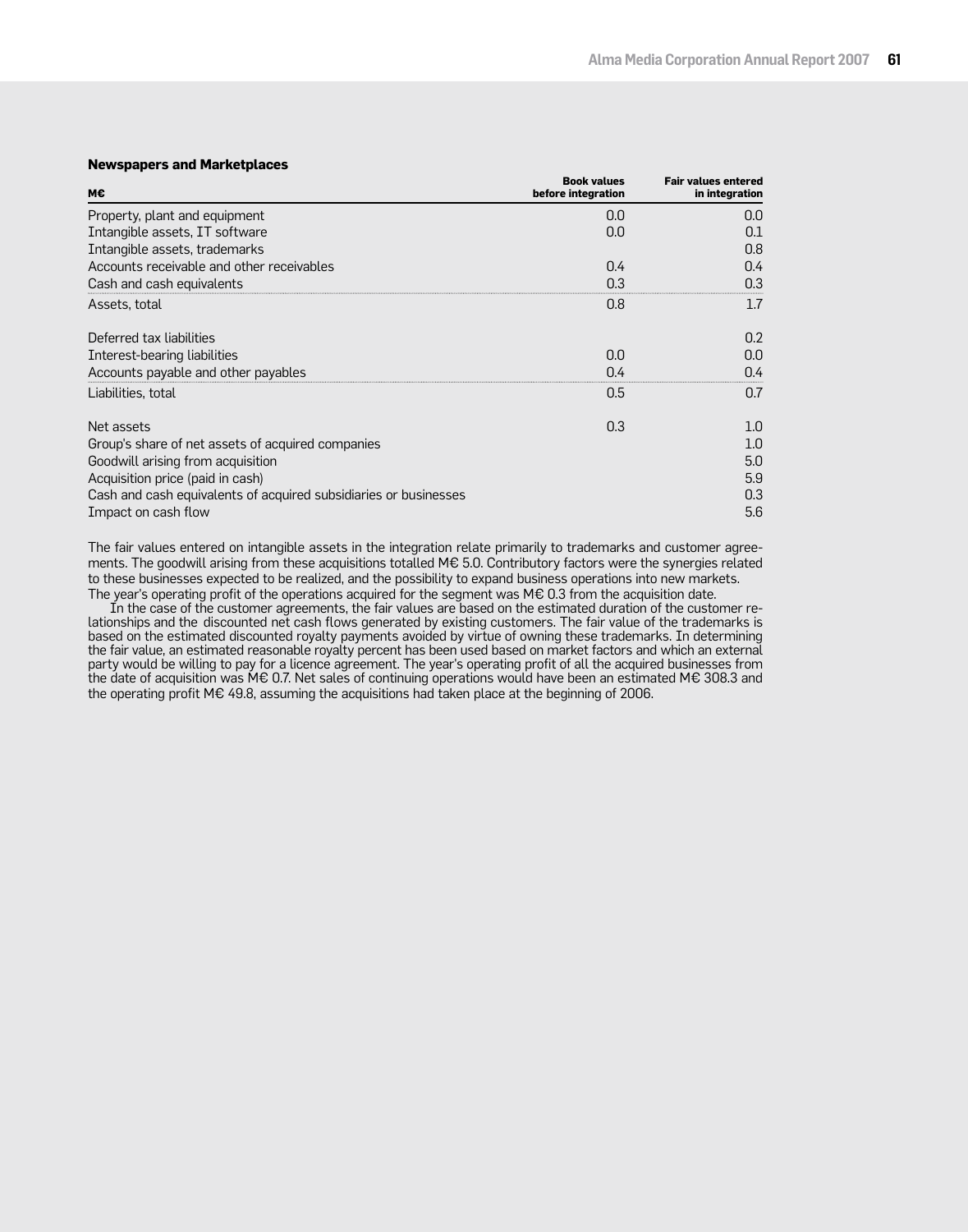#### **Newspapers and Marketplaces**

| м€                                                               | <b>Book values</b><br>before integration | <b>Fair values entered</b><br>in integration |
|------------------------------------------------------------------|------------------------------------------|----------------------------------------------|
| Property, plant and equipment                                    | 0.0                                      | 0.0                                          |
| Intangible assets, IT software                                   | 0.0                                      | 0.1                                          |
| Intangible assets, trademarks                                    |                                          | 0.8                                          |
| Accounts receivable and other receivables                        | 0.4                                      | 0.4                                          |
| Cash and cash equivalents                                        | 0.3                                      | 0.3                                          |
| Assets, total                                                    | 0.8                                      | 1.7                                          |
| Deferred tax liabilities                                         |                                          | 0.2                                          |
| Interest-bearing liabilities                                     | 0.0                                      | 0.0                                          |
| Accounts payable and other payables                              | 0.4                                      | 0.4                                          |
| Liabilities, total                                               | 0.5                                      | 0.7                                          |
| Net assets                                                       | 0.3                                      | 1.0                                          |
| Group's share of net assets of acquired companies                |                                          | 1.0                                          |
| Goodwill arising from acquisition                                |                                          | 5.0                                          |
| Acquisition price (paid in cash)                                 |                                          | 5.9                                          |
| Cash and cash equivalents of acquired subsidiaries or businesses |                                          | 0.3                                          |
| Impact on cash flow                                              |                                          | 5.6                                          |

The fair values entered on intangible assets in the integration relate primarily to trademarks and customer agreements. The goodwill arising from these acquisitions totalled M€ 5.0. Contributory factors were the synergies related to these businesses expected to be realized, and the possibility to expand business operations into new markets. The year's operating profit of the operations acquired for the segment was M€ 0.3 from the acquisition date.

In the case of the customer agreements, the fair values are based on the estimated duration of the customer relationships and the discounted net cash flows generated by existing customers. The fair value of the trademarks is based on the estimated discounted royalty payments avoided by virtue of owning these trademarks. In determining the fair value, an estimated reasonable royalty percent has been used based on market factors and which an external party would be willing to pay for a licence agreement. The year's operating profit of all the acquired businesses from the date of acquisition was M€ 0.7. Net sales of continuing operations would have been an estimated M€ 308.3 and the operating profit M€ 49.8, assuming the acquisitions had taken place at the beginning of 2006.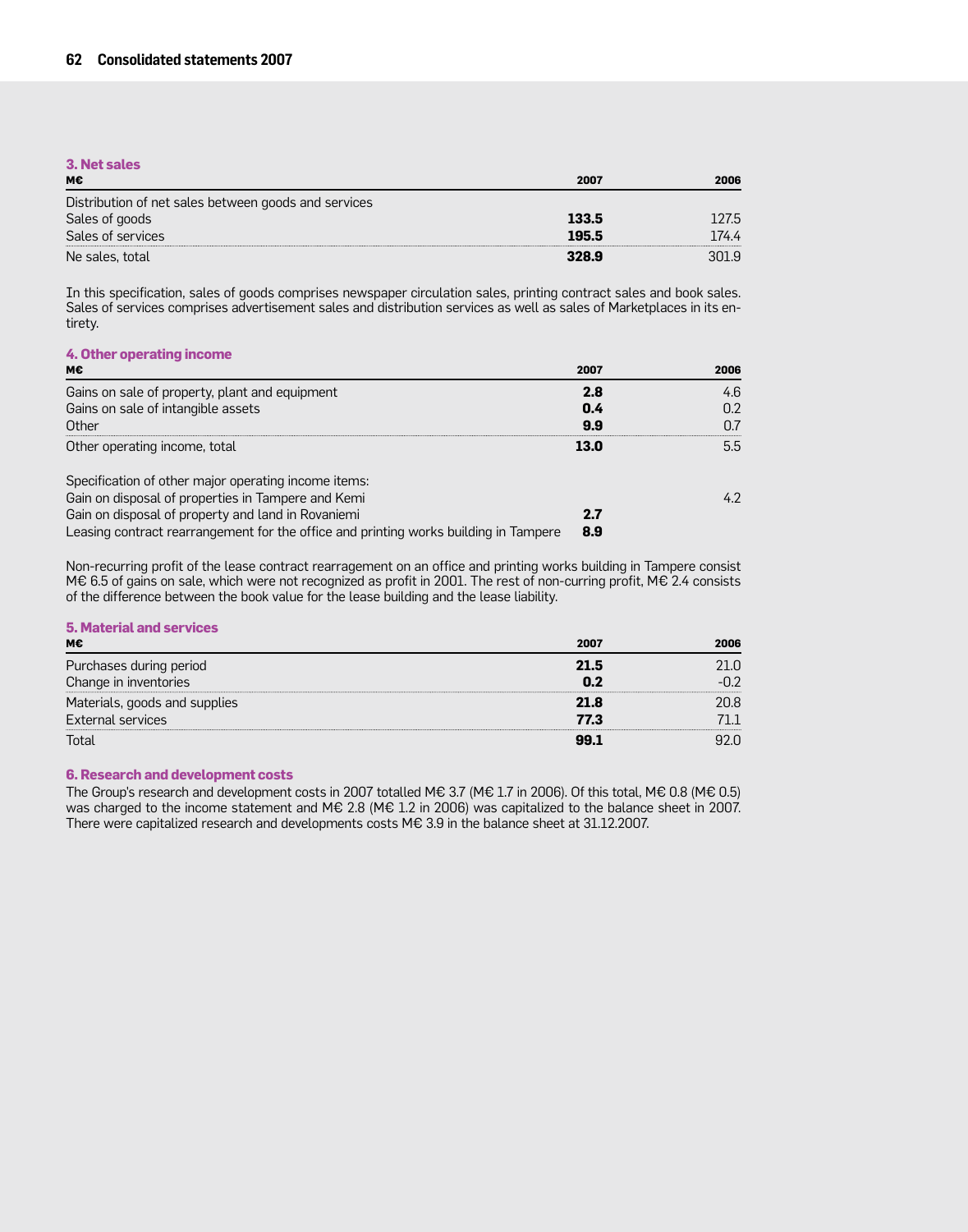### **3. Net sales**

| М€                                                   | 2007  | 2006  |
|------------------------------------------------------|-------|-------|
| Distribution of net sales between goods and services |       |       |
| Sales of goods                                       | 133.5 | 127.5 |
| Sales of services                                    | 195.5 | .74.4 |
| Ne sales, total                                      | 328.9 | 301.9 |

In this specification, sales of goods comprises newspaper circulation sales, printing contract sales and book sales. Sales of services comprises advertisement sales and distribution services as well as sales of Marketplaces in its entirety.

### **4. Other operating income**

| м€                                                                                   | 2007 | 2006 |
|--------------------------------------------------------------------------------------|------|------|
| Gains on sale of property, plant and equipment                                       | 2.8  | 4.6  |
| Gains on sale of intangible assets                                                   | 0.4  | 0.2  |
| Other                                                                                | 9.9  |      |
| Other operating income, total                                                        | 13.0 | 5.5  |
| Specification of other major operating income items:                                 |      |      |
| Gain on disposal of properties in Tampere and Kemi                                   |      | 42   |
| Gain on disposal of property and land in Rovaniemi                                   | 2.7  |      |
| Leasing contract rearrangement for the office and printing works building in Tampere | 8.9  |      |

Non-recurring profit of the lease contract rearragement on an office and printing works building in Tampere consist M€ 6.5 of gains on sale, which were not recognized as profit in 2001. The rest of non-curring profit, M€ 2.4 consists of the difference between the book value for the lease building and the lease liability.

## **5. Material and services**

| мє                            | 2007 | 2006 |
|-------------------------------|------|------|
| Purchases during period       | 21.5 |      |
| Change in inventories         |      |      |
| Materials, goods and supplies | 21.8 | 20 R |
| External services             | 77.3 |      |
| Total                         | 99.1 |      |

#### **6. Research and development costs**

The Group's research and development costs in 2007 totalled M€ 3.7 (M€ 1.7 in 2006). Of this total, M€ 0.8 (M€ 0.5) was charged to the income statement and M€ 2.8 (M€ 1.2 in 2006) was capitalized to the balance sheet in 2007. There were capitalized research and developments costs M€ 3.9 in the balance sheet at 31.12.2007.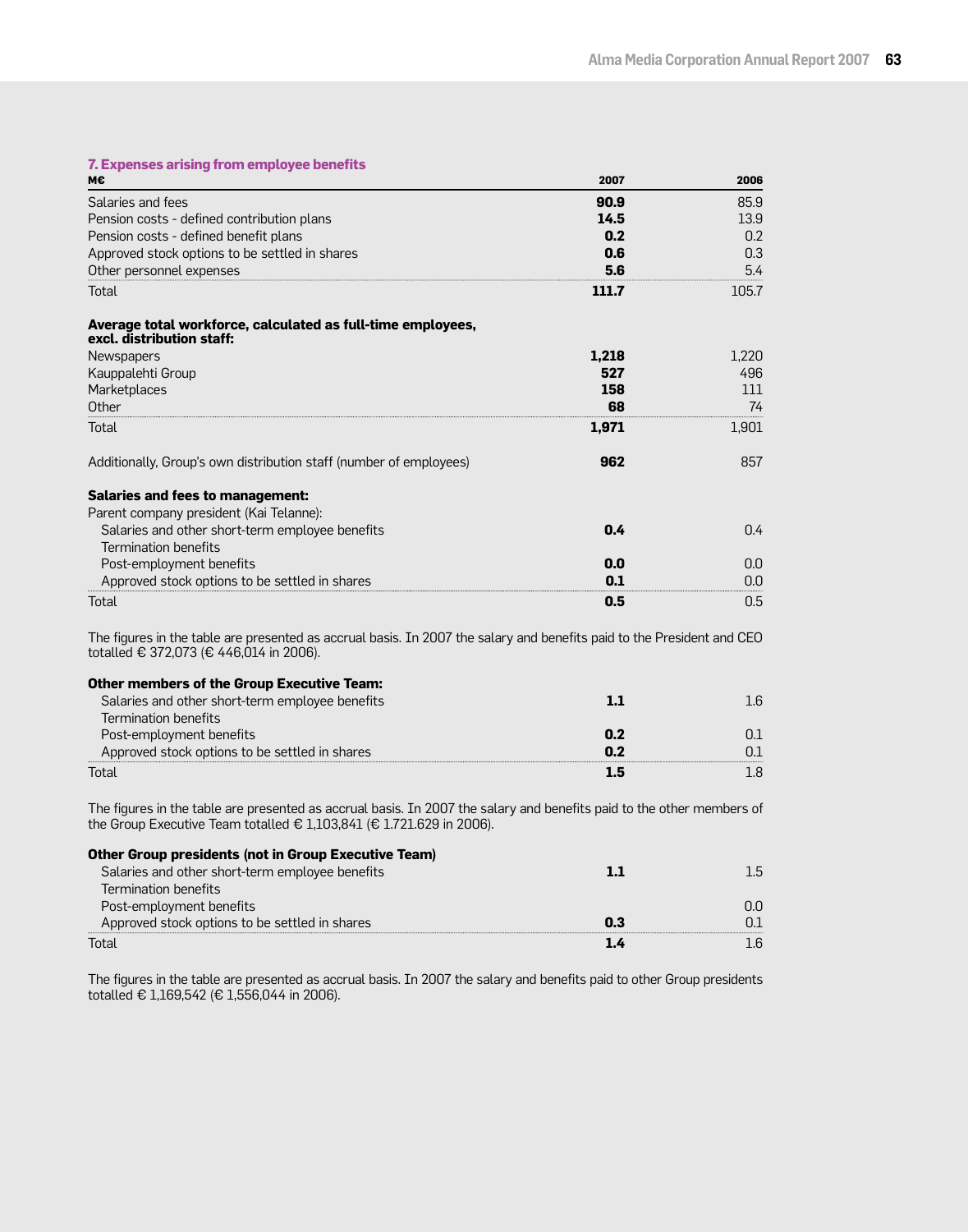## **7. Expenses arising from employee benefits**

| м€                                                                                                                                                                                            | 2007  | 2006    |
|-----------------------------------------------------------------------------------------------------------------------------------------------------------------------------------------------|-------|---------|
| Salaries and fees                                                                                                                                                                             | 90.9  | 85.9    |
| Pension costs - defined contribution plans                                                                                                                                                    | 14.5  | 13.9    |
| Pension costs - defined benefit plans                                                                                                                                                         | 0.2   | 0.2     |
| Approved stock options to be settled in shares                                                                                                                                                | 0.6   | 0.3     |
| Other personnel expenses                                                                                                                                                                      | 5.6   | 5.4     |
| Total                                                                                                                                                                                         | 111.7 | 105.7   |
| Average total workforce, calculated as full-time employees,<br>excl. distribution staff:                                                                                                      |       |         |
| Newspapers                                                                                                                                                                                    | 1,218 | 1.220   |
| Kauppalehti Group                                                                                                                                                                             | 527   | 496     |
| Marketplaces                                                                                                                                                                                  | 158   | 111     |
| Other                                                                                                                                                                                         | 68    | 74      |
| Total                                                                                                                                                                                         | 1,971 | 1,901   |
| Additionally, Group's own distribution staff (number of employees)                                                                                                                            | 962   | 857     |
| <b>Salaries and fees to management:</b>                                                                                                                                                       |       |         |
| Parent company president (Kai Telanne):                                                                                                                                                       |       |         |
| Salaries and other short-term employee benefits                                                                                                                                               | 0.4   | 0.4     |
| <b>Termination benefits</b>                                                                                                                                                                   |       |         |
| Post-employment benefits                                                                                                                                                                      | 0.0   | 0.0     |
| Approved stock options to be settled in shares                                                                                                                                                | 0.1   | 0.0     |
| Total                                                                                                                                                                                         | 0.5   | 0.5     |
| The figures in the table are presented as accrual basis. In 2007 the salary and benefits paid to the President and CEO<br>totalled € 372,073 (€ 446,014 in 2006).                             |       |         |
| <b>Other members of the Group Executive Team:</b>                                                                                                                                             |       |         |
| Salaries and other short-term employee benefits                                                                                                                                               | 1.1   | $1.6\,$ |
| Termination benefits                                                                                                                                                                          |       |         |
| Post-employment benefits                                                                                                                                                                      | 0.2   | 0.1     |
| Approved stock options to be settled in shares                                                                                                                                                | 0.2   | 0.1     |
| Total                                                                                                                                                                                         | 1.5   | 1.8     |
| The figures in the table are presented as accrual basis. In 2007 the salary and benefits paid to the other members of<br>the Group Executive Team totalled € 1,103,841 (€ 1.721.629 in 2006). |       |         |
| <b>Other Group presidents (not in Group Executive Team)</b>                                                                                                                                   |       |         |
| Salaries and other short-term employee benefits                                                                                                                                               | 1.1   | 1.5     |
| <b>Termination benefits</b>                                                                                                                                                                   |       |         |
| Post-employment benefits                                                                                                                                                                      |       | 0.0     |
| Approved stock options to be settled in shares                                                                                                                                                | 0.3   | 0.1     |

Total **1.4** 1.6

The figures in the table are presented as accrual basis. In 2007 the salary and benefits paid to other Group presidents totalled € 1,169,542 (€ 1,556,044 in 2006).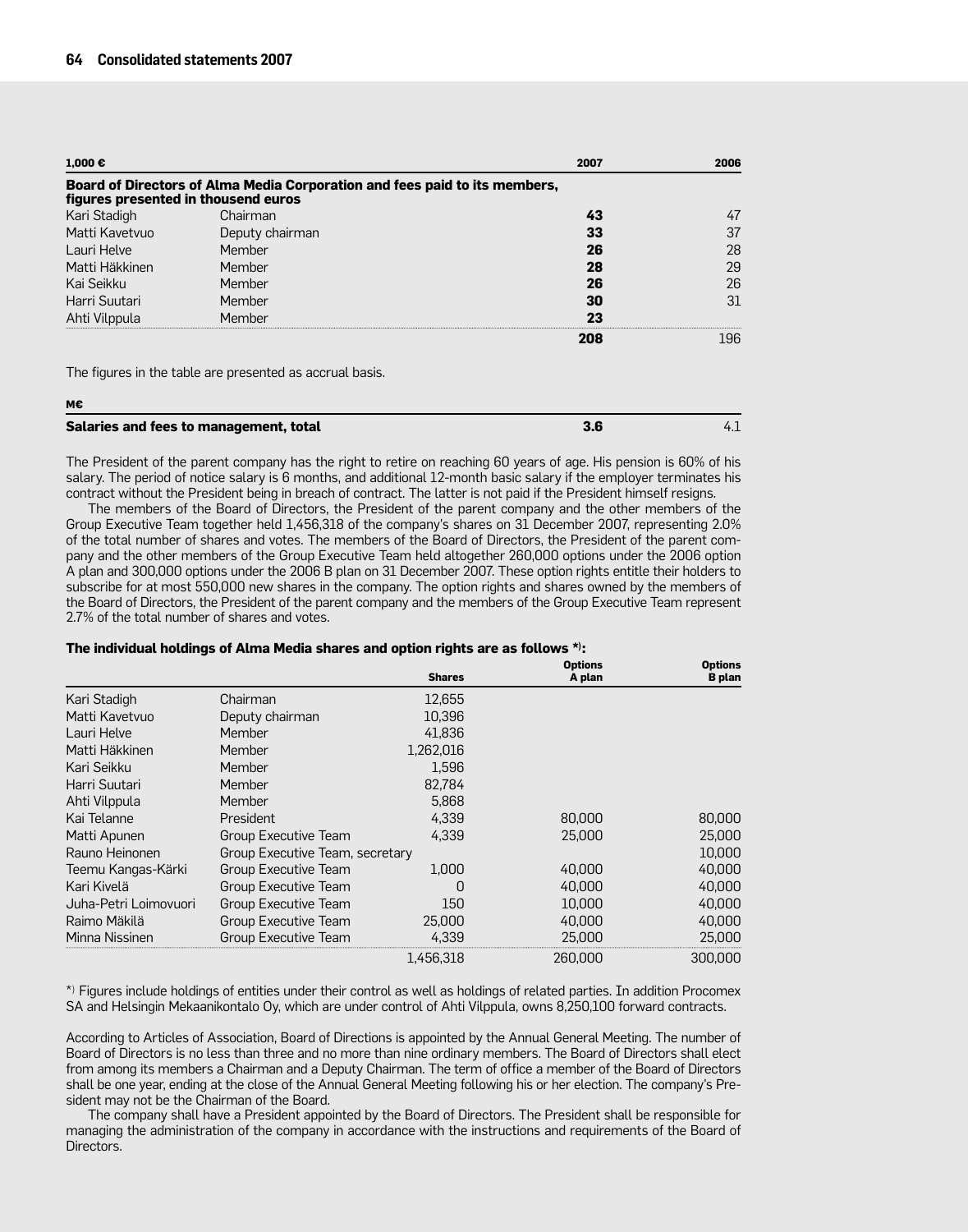| 1,000 €                             |                                                                            | 2007 | 2006 |
|-------------------------------------|----------------------------------------------------------------------------|------|------|
| figures presented in thousend euros | Board of Directors of Alma Media Corporation and fees paid to its members, |      |      |
| Kari Stadigh                        | Chairman                                                                   | 43   |      |
| Matti Kavetyun                      | Deputy chairman                                                            | 33   | 37   |
| Lauri Helve                         | Member                                                                     | 26   | 28   |
| Matti Häkkinen                      | Member                                                                     | 28   | 29   |
| Kai Seikku                          | Member                                                                     | 26   | 26   |
| Harri Suutari                       | Member                                                                     | 30   | 31   |
| Ahti Vilppula                       | Member                                                                     | 23   |      |
|                                     |                                                                            | 208  | 196  |

The figures in the table are presented as accrual basis.

| M€                                     |     |  |
|----------------------------------------|-----|--|
| Salaries and fees to management, total | 3.6 |  |

The President of the parent company has the right to retire on reaching 60 years of age. His pension is 60% of his salary. The period of notice salary is 6 months, and additional 12-month basic salary if the employer terminates his contract without the President being in breach of contract. The latter is not paid if the President himself resigns.

The members of the Board of Directors, the President of the parent company and the other members of the Group Executive Team together held 1,456,318 of the company's shares on 31 December 2007, representing 2.0% of the total number of shares and votes. The members of the Board of Directors, the President of the parent company and the other members of the Group Executive Team held altogether 260,000 options under the 2006 option A plan and 300,000 options under the 2006 B plan on 31 December 2007. These option rights entitle their holders to subscribe for at most 550,000 new shares in the company. The option rights and shares owned by the members of the Board of Directors, the President of the parent company and the members of the Group Executive Team represent 2.7% of the total number of shares and votes.

#### **The individual holdings of Alma Media shares and option rights are as follows \*) :**

|                       |                                 | <b>Shares</b> | <b>Options</b><br>A plan | <b>Options</b><br><b>B</b> plan |
|-----------------------|---------------------------------|---------------|--------------------------|---------------------------------|
| Kari Stadigh          | Chairman                        | 12.655        |                          |                                 |
| Matti Kavetvuo        | Deputy chairman                 | 10.396        |                          |                                 |
| Lauri Helve           | Member                          | 41,836        |                          |                                 |
| Matti Häkkinen        | Member                          | 1,262,016     |                          |                                 |
| Kari Seikku           | Member                          | 1,596         |                          |                                 |
| Harri Suutari         | Member                          | 82,784        |                          |                                 |
| Ahti Vilppula         | Member                          | 5,868         |                          |                                 |
| Kai Telanne           | President                       | 4,339         | 80,000                   | 80,000                          |
| Matti Apunen          | Group Executive Team            | 4,339         | 25,000                   | 25,000                          |
| Rauno Heinonen        | Group Executive Team, secretary |               |                          | 10,000                          |
| Teemu Kangas-Kärki    | Group Executive Team            | 1.000         | 40,000                   | 40,000                          |
| Kari Kivelä           | Group Executive Team            | 0             | 40,000                   | 40,000                          |
| Juha-Petri Loimovuori | Group Executive Team            | 150           | 10,000                   | 40,000                          |
| Raimo Mäkilä          | Group Executive Team            | 25,000        | 40,000                   | 40,000                          |
| Minna Nissinen        | Group Executive Team            | 4,339         | 25,000                   | 25,000                          |
|                       |                                 | 1,456,318     | 260,000                  | 300,000                         |

\*) Figures include holdings of entities under their control as well as holdings of related parties. In addition Procomex SA and Helsingin Mekaanikontalo Oy, which are under control of Ahti Vilppula, owns 8,250,100 forward contracts.

According to Articles of Association, Board of Directions is appointed by the Annual General Meeting. The number of Board of Directors is no less than three and no more than nine ordinary members. The Board of Directors shall elect from among its members a Chairman and a Deputy Chairman. The term of office a member of the Board of Directors shall be one year, ending at the close of the Annual General Meeting following his or her election. The company's President may not be the Chairman of the Board.

The company shall have a President appointed by the Board of Directors. The President shall be responsible for managing the administration of the company in accordance with the instructions and requirements of the Board of Directors.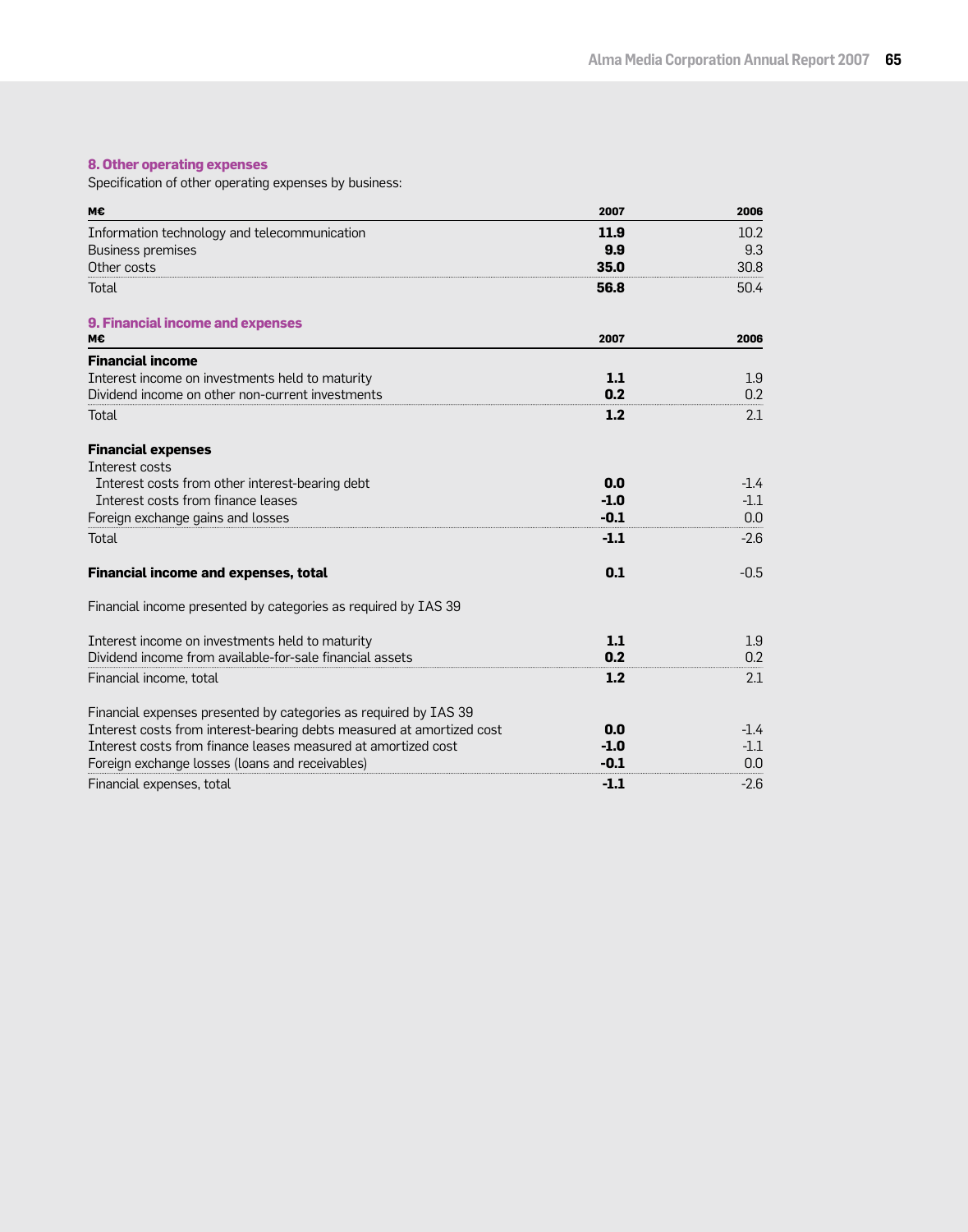## **8. Other operating expenses**

Specification of other operating expenses by business:

| м€                                                                    | 2007   | 2006   |
|-----------------------------------------------------------------------|--------|--------|
| Information technology and telecommunication                          | 11.9   | 10.2   |
| <b>Business premises</b>                                              | 9.9    | 9.3    |
| Other costs                                                           | 35.0   | 30.8   |
| Total                                                                 | 56.8   | 50.4   |
| 9. Financial income and expenses                                      |        |        |
| м€                                                                    | 2007   | 2006   |
| <b>Financial income</b>                                               |        |        |
| Interest income on investments held to maturity                       | 1.1    | 1.9    |
| Dividend income on other non-current investments                      | 0.2    | 0.2    |
| Total                                                                 | 1.2    | 2.1    |
| <b>Financial expenses</b>                                             |        |        |
| Interest costs                                                        |        |        |
| Interest costs from other interest-bearing debt                       | 0.0    | $-1.4$ |
| Interest costs from finance leases                                    | $-1.0$ | $-1.1$ |
| Foreign exchange gains and losses                                     | $-0.1$ | 0.0    |
| Total                                                                 | $-1.1$ | $-2.6$ |
| <b>Financial income and expenses, total</b>                           | 0.1    | $-0.5$ |
| Financial income presented by categories as required by IAS 39        |        |        |
| Interest income on investments held to maturity                       | 1.1    | 1.9    |
| Dividend income from available-for-sale financial assets              | 0.2    | 0.2    |
| Financial income, total                                               | 1.2    | 2.1    |
| Financial expenses presented by categories as required by IAS 39      |        |        |
| Interest costs from interest-bearing debts measured at amortized cost | 0.0    | $-1.4$ |
| Interest costs from finance leases measured at amortized cost         | $-1.0$ | $-1.1$ |
| Foreign exchange losses (loans and receivables)                       | $-0.1$ | 0.0    |
| Financial expenses, total                                             | $-1.1$ | $-2.6$ |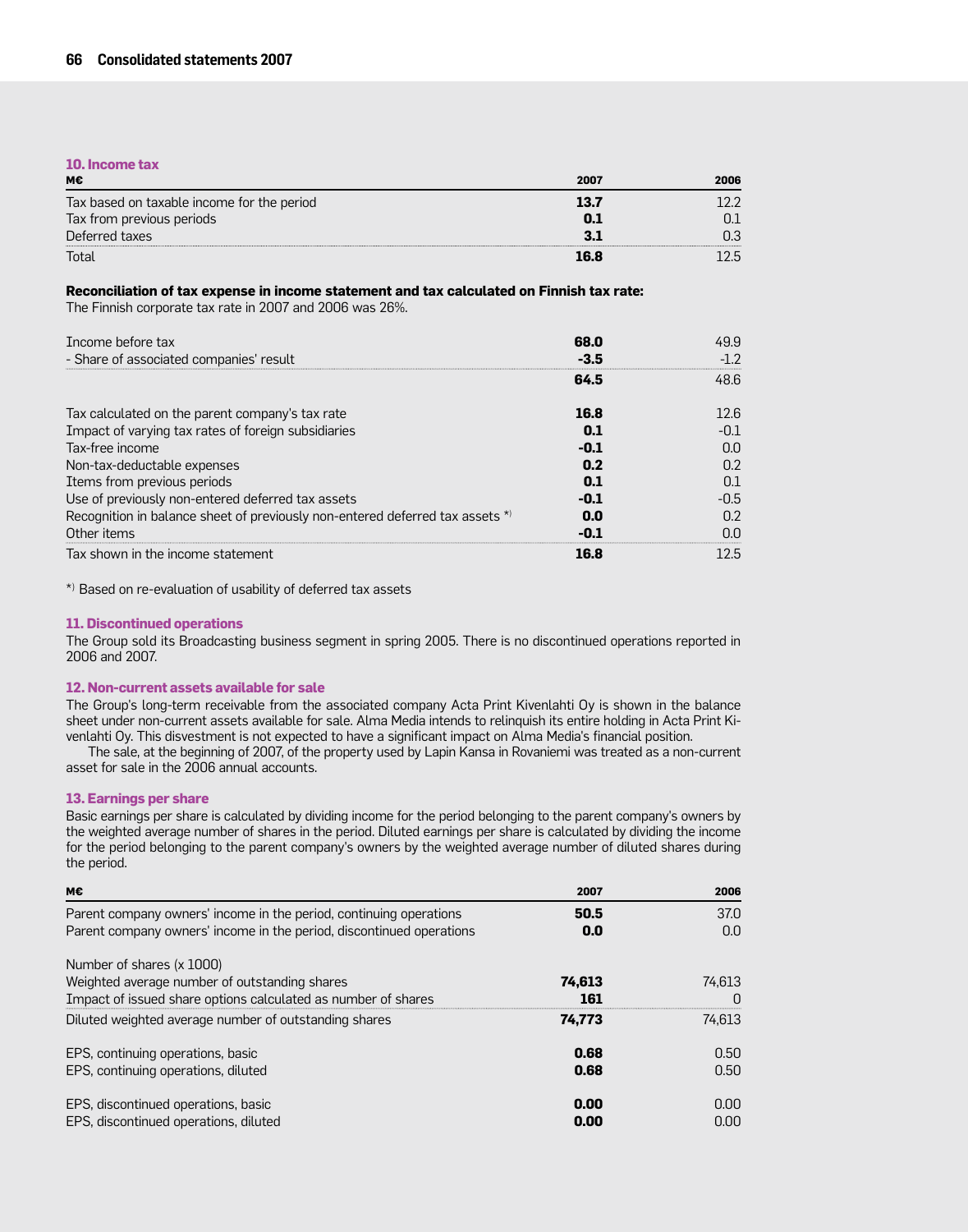#### **10. Income tax**

| М€                                         | 2007 | 2006 |
|--------------------------------------------|------|------|
| Tax based on taxable income for the period | 13.7 |      |
| Tax from previous periods                  |      |      |
| Deferred taxes                             |      | כ?   |
| Total                                      | 16 A | クト   |

#### **Reconciliation of tax expense in income statement and tax calculated on Finnish tax rate:**

The Finnish corporate tax rate in 2007 and 2006 was 26%.

| Income before tax                                                             | 68.0 | 49.9 |
|-------------------------------------------------------------------------------|------|------|
| - Share of associated companies' result                                       | -3.5 |      |
|                                                                               | 64.5 | 48.6 |
| Tax calculated on the parent company's tax rate                               | 16.8 | 12.6 |
| Impact of varying tax rates of foreign subsidiaries                           | n 1  | -0.1 |
| Tax-free income                                                               | -0.1 | 0.O  |
| Non-tax-deductable expenses                                                   | 0.2  | 0.2  |
| Items from previous periods                                                   | 0.1  | 0.1  |
| Use of previously non-entered deferred tax assets                             | -0.1 | -0.5 |
| Recognition in balance sheet of previously non-entered deferred tax assets *) | 0.0  | n 2  |
| Other items                                                                   |      |      |
| Tax shown in the income statement                                             | 16.8 | 12.5 |

\*) Based on re-evaluation of usability of deferred tax assets

#### **11. Discontinued operations**

The Group sold its Broadcasting business segment in spring 2005. There is no discontinued operations reported in 2006 and 2007.

#### **12. Non-current assets available for sale**

The Group's long-term receivable from the associated company Acta Print Kivenlahti Oy is shown in the balance sheet under non-current assets available for sale. Alma Media intends to relinquish its entire holding in Acta Print Kivenlahti Oy. This disvestment is not expected to have a significant impact on Alma Media's financial position.

The sale, at the beginning of 2007, of the property used by Lapin Kansa in Rovaniemi was treated as a non-current asset for sale in the 2006 annual accounts.

#### **13. Earnings per share**

Basic earnings per share is calculated by dividing income for the period belonging to the parent company's owners by the weighted average number of shares in the period. Diluted earnings per share is calculated by dividing the income for the period belonging to the parent company's owners by the weighted average number of diluted shares during the period.

| M€                                                                   | 2007   | 2006              |
|----------------------------------------------------------------------|--------|-------------------|
| Parent company owners' income in the period, continuing operations   | 50.5   | 37.0              |
| Parent company owners' income in the period, discontinued operations | 0.0    | 0.0 <sub>1</sub>  |
| Number of shares (x 1000)                                            |        |                   |
| Weighted average number of outstanding shares                        | 74,613 | 74.613            |
| Impact of issued share options calculated as number of shares        | 161    |                   |
| Diluted weighted average number of outstanding shares                | 74,773 | 74.613            |
| EPS, continuing operations, basic                                    | 0.68   | 0.50              |
| EPS, continuing operations, diluted                                  | 0.68   | 0.50              |
| EPS, discontinued operations, basic                                  | 0.00   | 0.00 <sub>1</sub> |
| EPS, discontinued operations, diluted                                | 0.00   | 0.00              |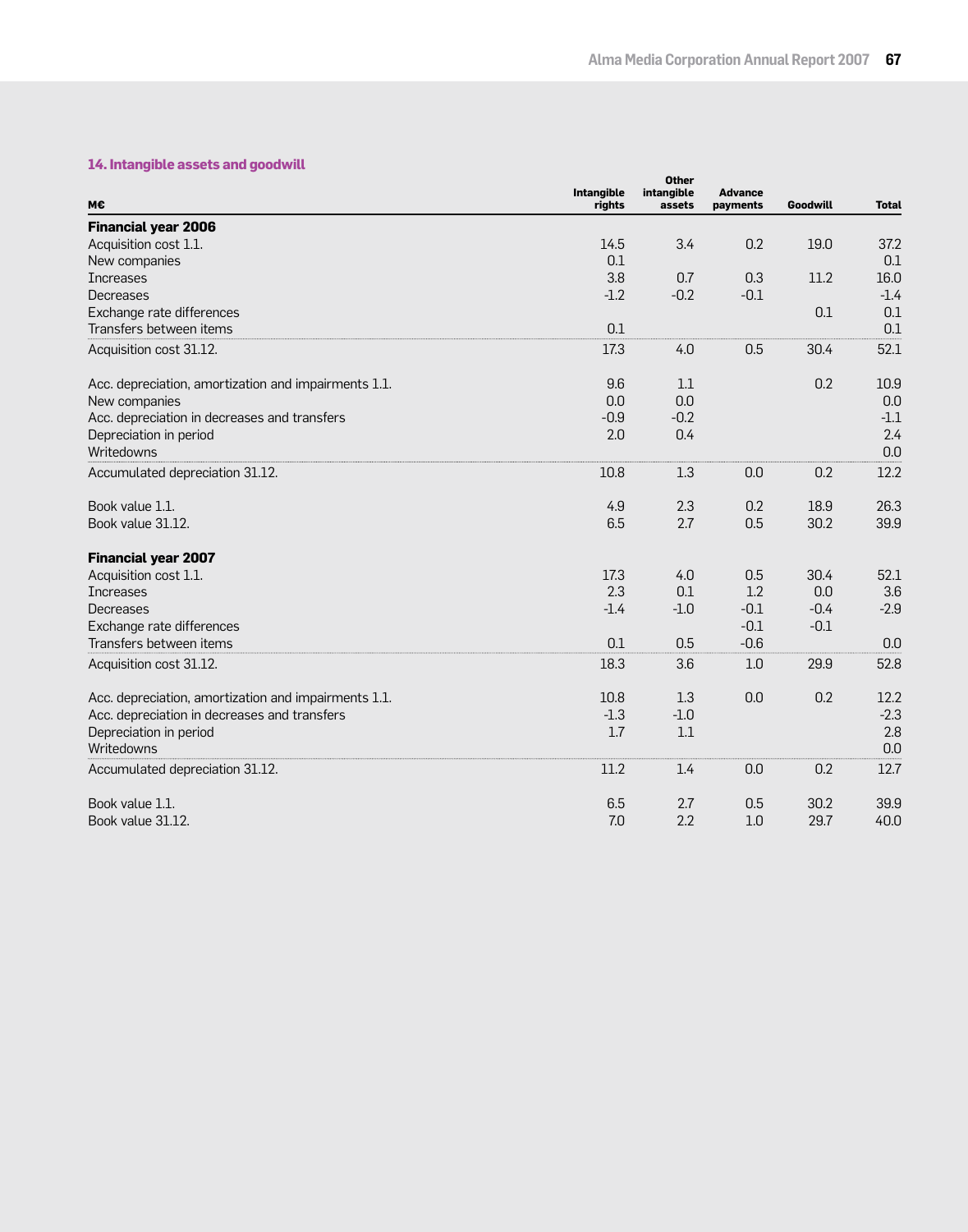## **14. Intangible assets and goodwill**

| <b>Financial year 2006</b><br>3.4<br>0.2<br>Acquisition cost 1.1.<br>14.5<br>19.0<br>37.2<br>0.1<br>0.1<br>New companies<br>3.8<br>11.2<br>16.0<br><b>Increases</b><br>0.7<br>0.3<br>$-0.2$<br>$-0.1$<br>$-1.2$<br>$-1.4$<br>Decreases<br>Exchange rate differences<br>0.1<br>0.1<br>0.1<br>Transfers between items<br>0.1<br>52.1<br>17.3<br>4.0<br>0.5<br>Acquisition cost 31.12.<br>30.4<br>9.6<br>0.2<br>Acc. depreciation, amortization and impairments 1.1.<br>1.1<br>10.9<br>0.0<br>0.0<br>0.0<br>New companies<br>$-0.9$<br>Acc. depreciation in decreases and transfers<br>$-0.2$<br>$-1.1$<br>2.0<br>2.4<br>Depreciation in period<br>0.4<br>Writedowns<br>0.0<br>12.2<br>10.8<br>1.3<br>0.0<br>0.2<br>Accumulated depreciation 31.12.<br>2.3<br>0.2<br>26.3<br>Book value 1.1.<br>4.9<br>18.9 | м€                | Intangible<br>rights | <b>Other</b><br>intangible<br>assets | <b>Advance</b><br>payments | Goodwill | <b>Total</b> |
|----------------------------------------------------------------------------------------------------------------------------------------------------------------------------------------------------------------------------------------------------------------------------------------------------------------------------------------------------------------------------------------------------------------------------------------------------------------------------------------------------------------------------------------------------------------------------------------------------------------------------------------------------------------------------------------------------------------------------------------------------------------------------------------------------------|-------------------|----------------------|--------------------------------------|----------------------------|----------|--------------|
|                                                                                                                                                                                                                                                                                                                                                                                                                                                                                                                                                                                                                                                                                                                                                                                                          |                   |                      |                                      |                            |          |              |
|                                                                                                                                                                                                                                                                                                                                                                                                                                                                                                                                                                                                                                                                                                                                                                                                          |                   |                      |                                      |                            |          |              |
|                                                                                                                                                                                                                                                                                                                                                                                                                                                                                                                                                                                                                                                                                                                                                                                                          |                   |                      |                                      |                            |          |              |
|                                                                                                                                                                                                                                                                                                                                                                                                                                                                                                                                                                                                                                                                                                                                                                                                          |                   |                      |                                      |                            |          |              |
|                                                                                                                                                                                                                                                                                                                                                                                                                                                                                                                                                                                                                                                                                                                                                                                                          |                   |                      |                                      |                            |          |              |
|                                                                                                                                                                                                                                                                                                                                                                                                                                                                                                                                                                                                                                                                                                                                                                                                          |                   |                      |                                      |                            |          |              |
|                                                                                                                                                                                                                                                                                                                                                                                                                                                                                                                                                                                                                                                                                                                                                                                                          |                   |                      |                                      |                            |          |              |
|                                                                                                                                                                                                                                                                                                                                                                                                                                                                                                                                                                                                                                                                                                                                                                                                          |                   |                      |                                      |                            |          |              |
|                                                                                                                                                                                                                                                                                                                                                                                                                                                                                                                                                                                                                                                                                                                                                                                                          |                   |                      |                                      |                            |          |              |
|                                                                                                                                                                                                                                                                                                                                                                                                                                                                                                                                                                                                                                                                                                                                                                                                          |                   |                      |                                      |                            |          |              |
|                                                                                                                                                                                                                                                                                                                                                                                                                                                                                                                                                                                                                                                                                                                                                                                                          |                   |                      |                                      |                            |          |              |
|                                                                                                                                                                                                                                                                                                                                                                                                                                                                                                                                                                                                                                                                                                                                                                                                          |                   |                      |                                      |                            |          |              |
|                                                                                                                                                                                                                                                                                                                                                                                                                                                                                                                                                                                                                                                                                                                                                                                                          |                   |                      |                                      |                            |          |              |
|                                                                                                                                                                                                                                                                                                                                                                                                                                                                                                                                                                                                                                                                                                                                                                                                          |                   |                      |                                      |                            |          |              |
|                                                                                                                                                                                                                                                                                                                                                                                                                                                                                                                                                                                                                                                                                                                                                                                                          |                   |                      |                                      |                            |          |              |
|                                                                                                                                                                                                                                                                                                                                                                                                                                                                                                                                                                                                                                                                                                                                                                                                          | Book value 31.12. | 6.5                  | 2.7                                  | 0.5                        | 30.2     | 39.9         |
| <b>Financial year 2007</b>                                                                                                                                                                                                                                                                                                                                                                                                                                                                                                                                                                                                                                                                                                                                                                               |                   |                      |                                      |                            |          |              |
| 30.4<br>Acquisition cost 1.1.<br>17.3<br>4.0<br>0.5<br>52.1                                                                                                                                                                                                                                                                                                                                                                                                                                                                                                                                                                                                                                                                                                                                              |                   |                      |                                      |                            |          |              |
| 2.3<br>0.0<br>0.1<br>1.2<br>3.6<br><b>Increases</b>                                                                                                                                                                                                                                                                                                                                                                                                                                                                                                                                                                                                                                                                                                                                                      |                   |                      |                                      |                            |          |              |
| $-2.9$<br>$-1.4$<br>$-0.1$<br>$-0.4$<br>Decreases<br>$-1.0$                                                                                                                                                                                                                                                                                                                                                                                                                                                                                                                                                                                                                                                                                                                                              |                   |                      |                                      |                            |          |              |
| Exchange rate differences<br>$-0.1$<br>$-0.1$                                                                                                                                                                                                                                                                                                                                                                                                                                                                                                                                                                                                                                                                                                                                                            |                   |                      |                                      |                            |          |              |
| Transfers between items<br>0.1<br>$-0.6$<br>0.5<br>0.0                                                                                                                                                                                                                                                                                                                                                                                                                                                                                                                                                                                                                                                                                                                                                   |                   |                      |                                      |                            |          |              |
| 18.3<br>52.8<br>Acquisition cost 31.12.<br>3.6<br>1.0<br>29.9                                                                                                                                                                                                                                                                                                                                                                                                                                                                                                                                                                                                                                                                                                                                            |                   |                      |                                      |                            |          |              |
| 10.8<br>0.0<br>0.2<br>12.2<br>Acc. depreciation, amortization and impairments 1.1.<br>1.3                                                                                                                                                                                                                                                                                                                                                                                                                                                                                                                                                                                                                                                                                                                |                   |                      |                                      |                            |          |              |
| Acc. depreciation in decreases and transfers<br>$-1.3$<br>$-1.0$<br>$-2.3$                                                                                                                                                                                                                                                                                                                                                                                                                                                                                                                                                                                                                                                                                                                               |                   |                      |                                      |                            |          |              |
| 1.7<br>2.8<br>Depreciation in period<br>1.1<br>0.0<br>Writedowns                                                                                                                                                                                                                                                                                                                                                                                                                                                                                                                                                                                                                                                                                                                                         |                   |                      |                                      |                            |          |              |
| 0.2<br>12.7<br>11.2<br>1.4<br>0.0<br>Accumulated depreciation 31.12.                                                                                                                                                                                                                                                                                                                                                                                                                                                                                                                                                                                                                                                                                                                                     |                   |                      |                                      |                            |          |              |
| 30.2<br>Book value 1.1.<br>6.5<br>2.7<br>0.5<br>39.9                                                                                                                                                                                                                                                                                                                                                                                                                                                                                                                                                                                                                                                                                                                                                     |                   |                      |                                      |                            |          |              |
| 7.0<br>2.2<br>1.0<br>29.7<br>40.0<br>Book value 31.12.                                                                                                                                                                                                                                                                                                                                                                                                                                                                                                                                                                                                                                                                                                                                                   |                   |                      |                                      |                            |          |              |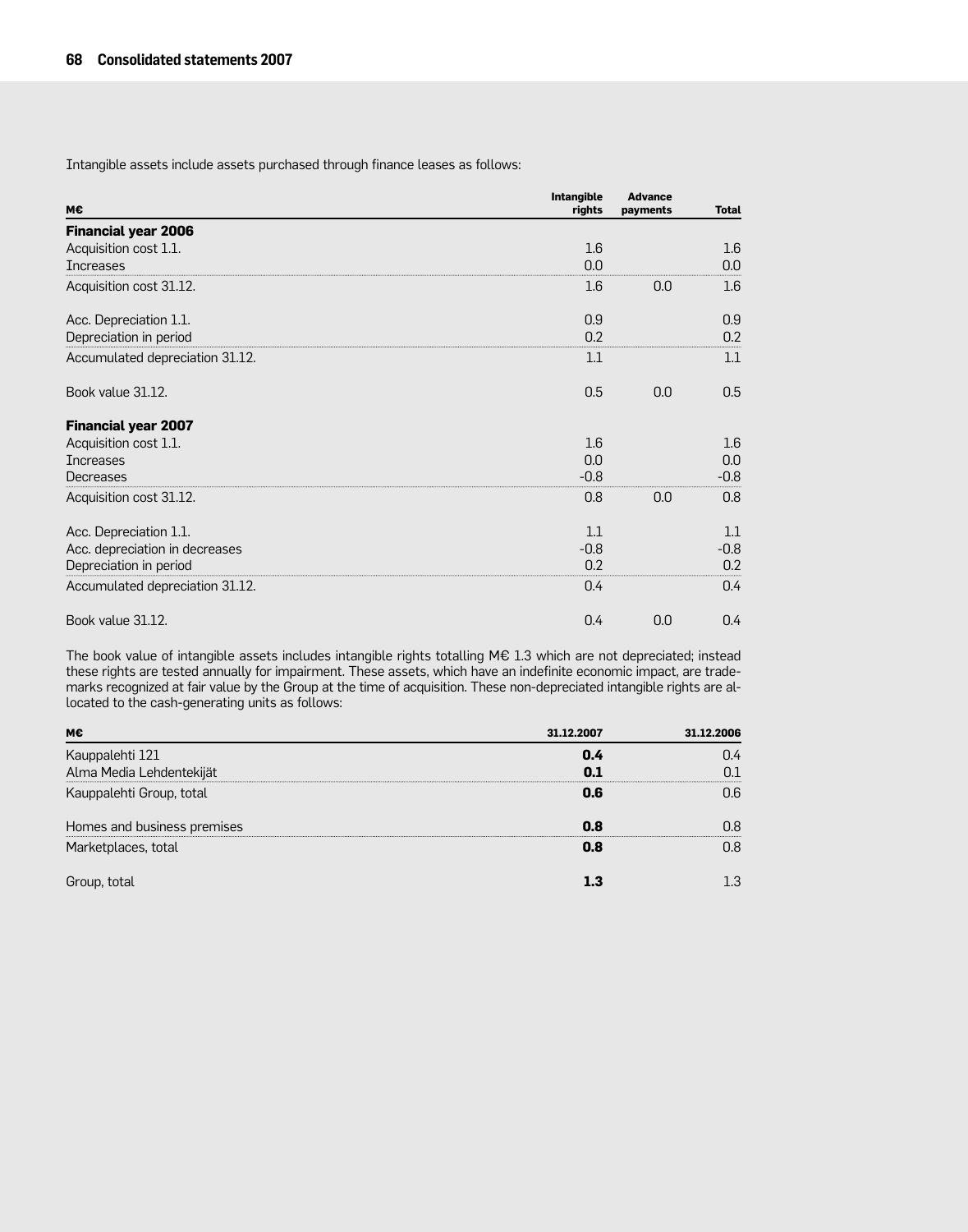Intangible assets include assets purchased through finance leases as follows:

| M€                              | <b>Intangible</b><br>rights | <b>Advance</b><br>payments | <b>Total</b> |
|---------------------------------|-----------------------------|----------------------------|--------------|
| <b>Financial year 2006</b>      |                             |                            |              |
| Acquisition cost 1.1.           | 1.6                         |                            | 1.6          |
| <b>Increases</b>                | 0.0                         |                            | 0.0          |
| Acquisition cost 31.12.         | 1.6                         | 0.0                        | 1.6          |
| Acc. Depreciation 1.1.          | 0.9                         |                            | 0.9          |
| Depreciation in period          | 0.2                         |                            | 0.2          |
| Accumulated depreciation 31.12. | 1.1                         |                            | 1.1          |
| Book value 31.12.               | 0.5                         | 0.0                        | 0.5          |
| <b>Financial year 2007</b>      |                             |                            |              |
| Acquisition cost 1.1.           | 1.6                         |                            | 1.6          |
| <b>Increases</b>                | 0.0                         |                            | 0.0          |
| Decreases                       | $-0.8$                      |                            | $-0.8$       |
| Acquisition cost 31.12.         | 0.8                         | 0.0                        | 0.8          |
| Acc. Depreciation 1.1.          | 1.1                         |                            | 1.1          |
| Acc. depreciation in decreases  | $-0.8$                      |                            | $-0.8$       |
| Depreciation in period          | 0.2                         |                            | 0.2          |
| Accumulated depreciation 31.12. | 0.4                         |                            | 0.4          |
| Book value 31.12.               | 0.4                         | 0.0                        | 0.4          |

The book value of intangible assets includes intangible rights totalling M€ 1.3 which are not depreciated; instead these rights are tested annually for impairment. These assets, which have an indefinite economic impact, are trademarks recognized at fair value by the Group at the time of acquisition. These non-depreciated intangible rights are allocated to the cash-generating units as follows:

| м€                          | 31.12.2007 | 31.12.2006 |
|-----------------------------|------------|------------|
| Kauppalehti 121             | 0.4        | 74         |
| Alma Media Lehdentekijät    |            |            |
| Kauppalehti Group, total    | 0.6        | ገና         |
| Homes and business premises | 0.8        |            |
| Marketplaces, total         | 0.8        |            |
| Group, total                |            |            |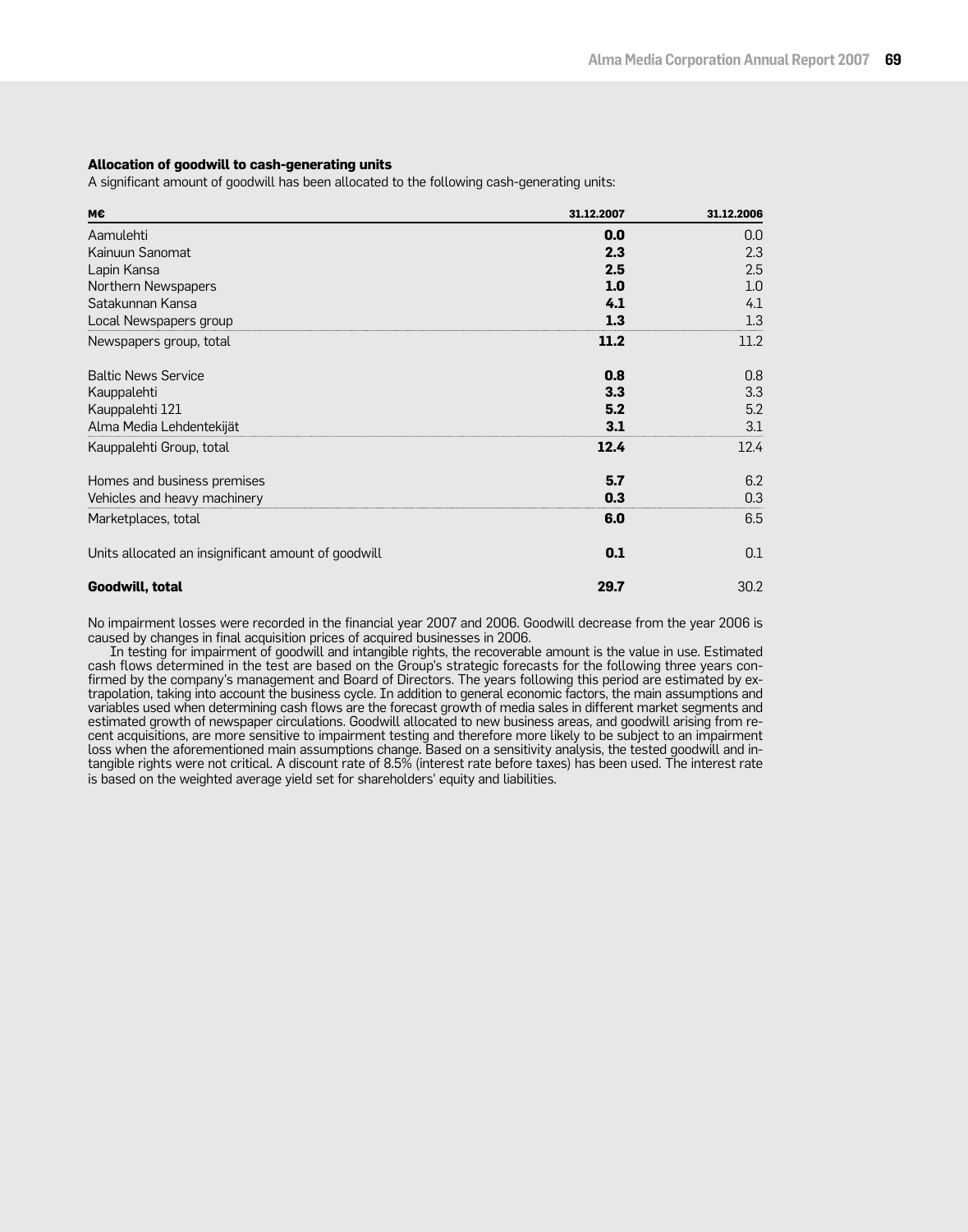## **Allocation of goodwill to cash-generating units**

A significant amount of goodwill has been allocated to the following cash-generating units:

| м€                                                  | 31.12.2007 | 31.12.2006 |
|-----------------------------------------------------|------------|------------|
| Aamulehti                                           | 0.0        | 0.0        |
| Kainuun Sanomat                                     | 2.3        | 2.3        |
| Lapin Kansa                                         | 2.5        | 2.5        |
| Northern Newspapers                                 | 1.0        | 1.0        |
| Satakunnan Kansa                                    | 4.1        | 4.1        |
| Local Newspapers group                              | 1.3        | 1.3        |
| Newspapers group, total                             | 11.2       | 11.2       |
| <b>Baltic News Service</b>                          | 0.8        | 0.8        |
| Kauppalehti                                         | 3.3        | 3.3        |
| Kauppalehti 121                                     | 5.2        | 5.2        |
| Alma Media Lehdentekijät                            | 3.1        | 3.1        |
| Kauppalehti Group, total                            | 12.4       | 12.4       |
| Homes and business premises                         | 5.7        | 6.2        |
| Vehicles and heavy machinery                        | 0.3        | 0.3        |
| Marketplaces, total                                 | 6.0        | 6.5        |
| Units allocated an insignificant amount of goodwill | 0.1        | 0.1        |
| Goodwill, total                                     | 29.7       | 30.2       |

No impairment losses were recorded in the financial year 2007 and 2006. Goodwill decrease from the year 2006 is caused by changes in final acquisition prices of acquired businesses in 2006.

In testing for impairment of goodwill and intangible rights, the recoverable amount is the value in use. Estimated cash flows determined in the test are based on the Group's strategic forecasts for the following three years confirmed by the company's management and Board of Directors. The years following this period are estimated by extrapolation, taking into account the business cycle. In addition to general economic factors, the main assumptions and variables used when determining cash flows are the forecast growth of media sales in different market segments and estimated growth of newspaper circulations. Goodwill allocated to new business areas, and goodwill arising from recent acquisitions, are more sensitive to impairment testing and therefore more likely to be subject to an impairment loss when the aforementioned main assumptions change. Based on a sensitivity analysis, the tested goodwill and intangible rights were not critical. A discount rate of 8.5% (interest rate before taxes) has been used. The interest rate is based on the weighted average yield set for shareholders' equity and liabilities.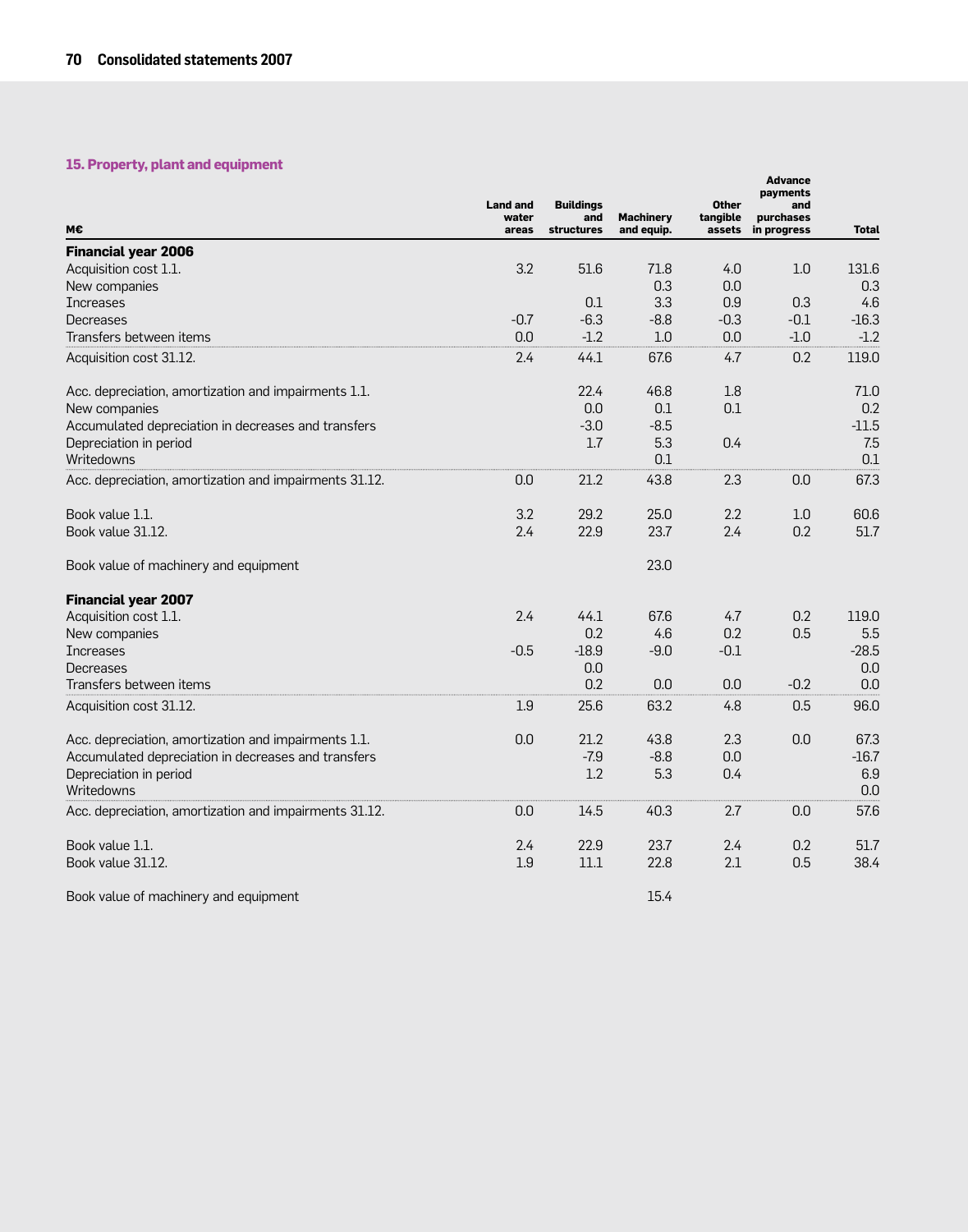## **15. Property, plant and equipment**

|                                                        | <b>Land and</b><br>water | <b>Buildings</b><br>and | <b>Machinery</b> | <b>Other</b><br>tangible | <b>Advance</b><br>payments<br>and<br>purchases |              |
|--------------------------------------------------------|--------------------------|-------------------------|------------------|--------------------------|------------------------------------------------|--------------|
| M€                                                     | areas                    | structures              | and equip.       | assets                   | in progress                                    | <b>Total</b> |
| <b>Financial year 2006</b>                             |                          |                         |                  |                          |                                                |              |
| Acquisition cost 1.1.                                  | 3.2                      | 51.6                    | 71.8             | 4.0                      | 1.0                                            | 131.6        |
| New companies                                          |                          | 0.1                     | 0.3<br>3.3       | 0.0<br>0.9               | 0.3                                            | 0.3<br>4.6   |
| <b>Increases</b><br><b>Decreases</b>                   | $-0.7$                   | $-6.3$                  | $-8.8$           | $-0.3$                   | $-0.1$                                         | $-16.3$      |
| Transfers between items                                | 0.0                      | $-1.2$                  | 1.0              | 0.0                      | $-1.0$                                         | $-1.2$       |
|                                                        |                          |                         |                  |                          | 0.2                                            |              |
| Acquisition cost 31.12.                                | 2.4                      | 44.1                    | 67.6             | 4.7                      |                                                | 119.0        |
| Acc. depreciation, amortization and impairments 1.1.   |                          | 22.4                    | 46.8             | 1.8                      |                                                | 71.0         |
| New companies                                          |                          | 0.0                     | 0.1              | 0.1                      |                                                | 0.2          |
| Accumulated depreciation in decreases and transfers    |                          | $-3.0$                  | $-8.5$           |                          |                                                | $-11.5$      |
| Depreciation in period                                 |                          | 1.7                     | 5.3              | 0.4                      |                                                | 7.5          |
| Writedowns                                             |                          |                         | 0.1              |                          |                                                | 0.1          |
| Acc. depreciation, amortization and impairments 31.12. | 0.0                      | 21.2                    | 43.8             | 2.3                      | 0.0                                            | 67.3         |
| Book value 1.1.                                        | 3.2                      | 29.2                    | 25.0             | 2.2                      | 1.0                                            | 60.6         |
| Book value 31.12.                                      | 2.4                      | 22.9                    | 23.7             | 2.4                      | 0.2                                            | 51.7         |
| Book value of machinery and equipment                  |                          |                         | 23.0             |                          |                                                |              |
| <b>Financial year 2007</b>                             |                          |                         |                  |                          |                                                |              |
| Acquisition cost 1.1.                                  | 2.4                      | 44.1                    | 67.6             | 4.7                      | 0.2                                            | 119.0        |
| New companies                                          |                          | 0.2                     | 4.6              | 0.2                      | 0.5                                            | 5.5          |
| <b>Increases</b>                                       | $-0.5$                   | $-18.9$                 | $-9.0$           | $-0.1$                   |                                                | $-28.5$      |
| Decreases                                              |                          | 0.0                     |                  |                          |                                                | 0.0          |
| Transfers between items                                |                          | 0.2                     | 0.0              | 0.0                      | $-0.2$                                         | 0.0          |
| Acquisition cost 31.12.                                | 1.9                      | 25.6                    | 63.2             | 4.8                      | 0.5                                            | 96.0         |
| Acc. depreciation, amortization and impairments 1.1.   | 0.0                      | 21.2                    | 43.8             | 2.3                      | 0.0                                            | 67.3         |
| Accumulated depreciation in decreases and transfers    |                          | $-7.9$                  | $-8.8$           | 0.0                      |                                                | $-16.7$      |
| Depreciation in period                                 |                          | 1.2                     | 5.3              | 0.4                      |                                                | 6.9          |
| Writedowns                                             |                          |                         |                  |                          |                                                | 0.0          |
| Acc. depreciation, amortization and impairments 31.12. | 0.0                      | 14.5                    | 40.3             | 2.7                      | 0.0                                            | 57.6         |
| Book value 1.1.                                        | 2.4                      | 22.9                    | 23.7             | 2.4                      | 0.2                                            | 51.7         |
| Book value 31.12.                                      | 1.9                      | 11.1                    | 22.8             | 2.1                      | 0.5                                            | 38.4         |
| Book value of machinery and equipment                  |                          |                         | 15.4             |                          |                                                |              |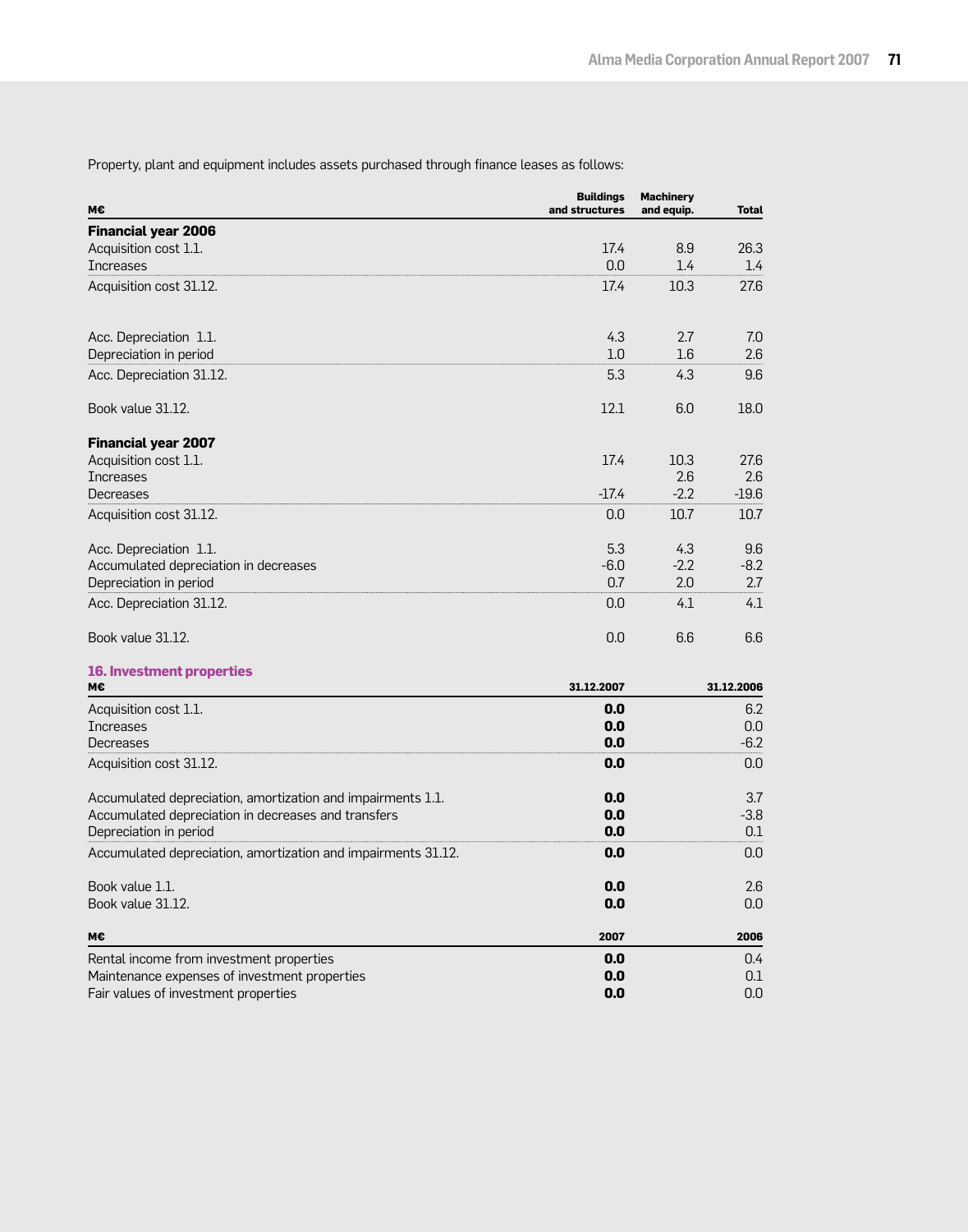Property, plant and equipment includes assets purchased through finance leases as follows:

| M€                                                            | <b>Buildings</b><br>and structures | <b>Machinery</b><br>and equip. | <b>Total</b> |
|---------------------------------------------------------------|------------------------------------|--------------------------------|--------------|
| <b>Financial year 2006</b>                                    |                                    |                                |              |
| Acquisition cost 1.1.                                         | 17.4                               | 8.9                            | 26.3         |
| <b>Increases</b>                                              | 0.0                                | 1.4                            | 1.4          |
| Acquisition cost 31.12.                                       | 17.4                               | 10.3                           | 27.6         |
| Acc. Depreciation 1.1.                                        | 4.3                                | 2.7                            | 7.0          |
| Depreciation in period                                        | 1.0                                | 1.6                            | 2.6          |
| Acc. Depreciation 31.12.                                      | 5.3                                | 4.3                            | 9.6          |
| Book value 31.12.                                             | 12.1                               | 6.0                            | 18.0         |
| <b>Financial year 2007</b>                                    |                                    |                                |              |
| Acquisition cost 1.1.                                         | 17.4                               | 10.3                           | 27.6         |
| <b>Increases</b>                                              |                                    | 2.6                            | 2.6          |
| Decreases                                                     | $-17.4$                            | $-2.2$                         | $-19.6$      |
| Acquisition cost 31.12.                                       | 0.0                                | 10.7                           | 10.7         |
| Acc. Depreciation 1.1.                                        | 5.3                                | 4.3                            | 9.6          |
| Accumulated depreciation in decreases                         | $-6.0$                             | $-2.2$                         | $-8.2$       |
| Depreciation in period                                        | 0.7                                | 2.0                            | 2.7          |
| Acc. Depreciation 31.12.                                      | 0.0                                | 4.1                            | 4.1          |
| Book value 31.12.                                             | 0.0                                | 6.6                            | 6.6          |
| <b>16. Investment properties</b><br>М€                        | 31.12.2007                         |                                | 31.12.2006   |
|                                                               |                                    |                                |              |
| Acquisition cost 1.1.<br><b>Increases</b>                     | 0.0<br>0.0                         |                                | 6.2<br>0.0   |
| Decreases                                                     | 0.0                                |                                | $-6.2$       |
| Acquisition cost 31.12.                                       | 0.0                                |                                | 0.0          |
| Accumulated depreciation, amortization and impairments 1.1.   | 0.0                                |                                | 3.7          |
| Accumulated depreciation in decreases and transfers           | 0.0                                |                                | $-3.8$       |
| Depreciation in period                                        | 0.0                                |                                | 0.1          |
| Accumulated depreciation, amortization and impairments 31.12. | 0.0                                |                                | 0.0          |
| Book value 1.1.                                               | 0.0                                |                                | 2.6          |
| Book value 31.12.                                             | 0.0                                |                                | 0.0          |
| м€                                                            | 2007                               |                                | 2006         |
| Rental income from investment properties                      | 0.0                                |                                | 0.4          |
| Maintenance expenses of investment properties                 | 0.0                                |                                | 0.1          |
| Fair values of investment properties                          | 0.0                                |                                | 0.0          |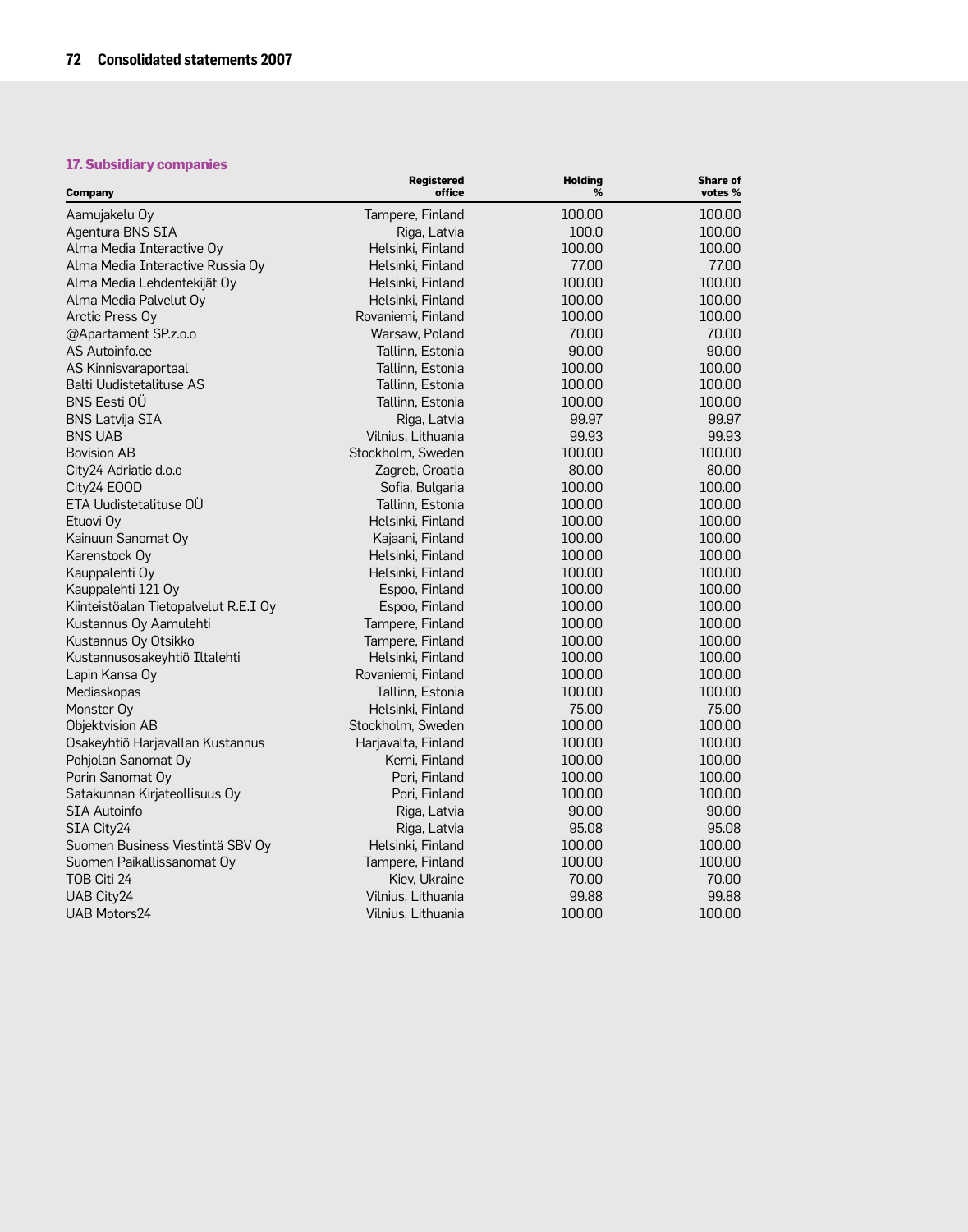## **17. Subsidiary companies**

| Company                               | <b>Registered</b><br>office | <b>Holding</b><br>% | <b>Share of</b><br>votes % |
|---------------------------------------|-----------------------------|---------------------|----------------------------|
| Aamujakelu Oy                         | Tampere, Finland            | 100.00              | 100.00                     |
| Agentura BNS SIA                      | Riga, Latvia                | 100.0               | 100.00                     |
| Alma Media Interactive Oy             | Helsinki, Finland           | 100.00              | 100.00                     |
| Alma Media Interactive Russia Oy      | Helsinki, Finland           | 77.00               | 77.00                      |
| Alma Media Lehdentekijät Oy           | Helsinki, Finland           | 100.00              | 100.00                     |
| Alma Media Palvelut Oy                | Helsinki, Finland           | 100.00              | 100.00                     |
| Arctic Press Oy                       | Rovaniemi, Finland          | 100.00              | 100.00                     |
| @Apartament SP.z.o.o                  | Warsaw, Poland              | 70.00               | 70.00                      |
| AS Autoinfo.ee                        | Tallinn, Estonia            | 90.00               | 90.00                      |
| AS Kinnisvaraportaal                  | Tallinn, Estonia            | 100.00              | 100.00                     |
| Balti Uudistetalituse AS              | Tallinn, Estonia            | 100.00              | 100.00                     |
| <b>BNS Eesti OÜ</b>                   | Tallinn, Estonia            | 100.00              | 100.00                     |
| <b>BNS Latvija SIA</b>                | Riga, Latvia                | 99.97               | 99.97                      |
| <b>BNS UAB</b>                        | Vilnius, Lithuania          | 99.93               | 99.93                      |
| <b>Bovision AB</b>                    | Stockholm, Sweden           | 100.00              | 100.00                     |
| City24 Adriatic d.o.o                 | Zagreb, Croatia             | 80.00               | 80.00                      |
| City24 EOOD                           | Sofia, Bulgaria             | 100.00              | 100.00                     |
| ETA Uudistetalituse OÜ                | Tallinn, Estonia            | 100.00              | 100.00                     |
| Etuovi Oy                             | Helsinki, Finland           | 100.00              | 100.00                     |
| Kainuun Sanomat Oy                    | Kajaani, Finland            | 100.00              | 100.00                     |
| Karenstock Oy                         | Helsinki, Finland           | 100.00              | 100.00                     |
| Kauppalehti Oy                        | Helsinki, Finland           | 100.00              | 100.00                     |
| Kauppalehti 121 Oy                    | Espoo, Finland              | 100.00              | 100.00                     |
| Kiinteistöalan Tietopalvelut R.E.I Oy | Espoo, Finland              | 100.00              | 100.00                     |
| Kustannus Oy Aamulehti                | Tampere, Finland            | 100.00              | 100.00                     |
| Kustannus Oy Otsikko                  | Tampere, Finland            | 100.00              | 100.00                     |
| Kustannusosakeyhtiö Iltalehti         | Helsinki, Finland           | 100.00              | 100.00                     |
| Lapin Kansa Oy                        | Rovaniemi, Finland          | 100.00              | 100.00                     |
| Mediaskopas                           | Tallinn, Estonia            | 100.00              | 100.00                     |
| Monster Oy                            | Helsinki, Finland           | 75.00               | 75.00                      |
| Objektvision AB                       | Stockholm, Sweden           | 100.00              | 100.00                     |
| Osakeyhtiö Harjavallan Kustannus      | Harjavalta, Finland         | 100.00              | 100.00                     |
| Pohjolan Sanomat Oy                   | Kemi, Finland               | 100.00              | 100.00                     |
| Porin Sanomat Oy                      | Pori, Finland               | 100.00              | 100.00                     |
| Satakunnan Kirjateollisuus Oy         | Pori, Finland               | 100.00              | 100.00                     |
| <b>SIA Autoinfo</b>                   | Riga, Latvia                | 90.00               | 90.00                      |
| SIA City24                            | Riga, Latvia                | 95.08               | 95.08                      |
| Suomen Business Viestintä SBV Oy      | Helsinki, Finland           | 100.00              | 100.00                     |
| Suomen Paikallissanomat Oy            | Tampere, Finland            | 100.00              | 100.00                     |
| TOB Citi 24                           | Kiev, Ukraine               | 70.00               | 70.00                      |
| UAB City24                            | Vilnius, Lithuania          | 99.88               | 99.88                      |
| <b>UAB Motors24</b>                   | Vilnius, Lithuania          | 100.00              | 100.00                     |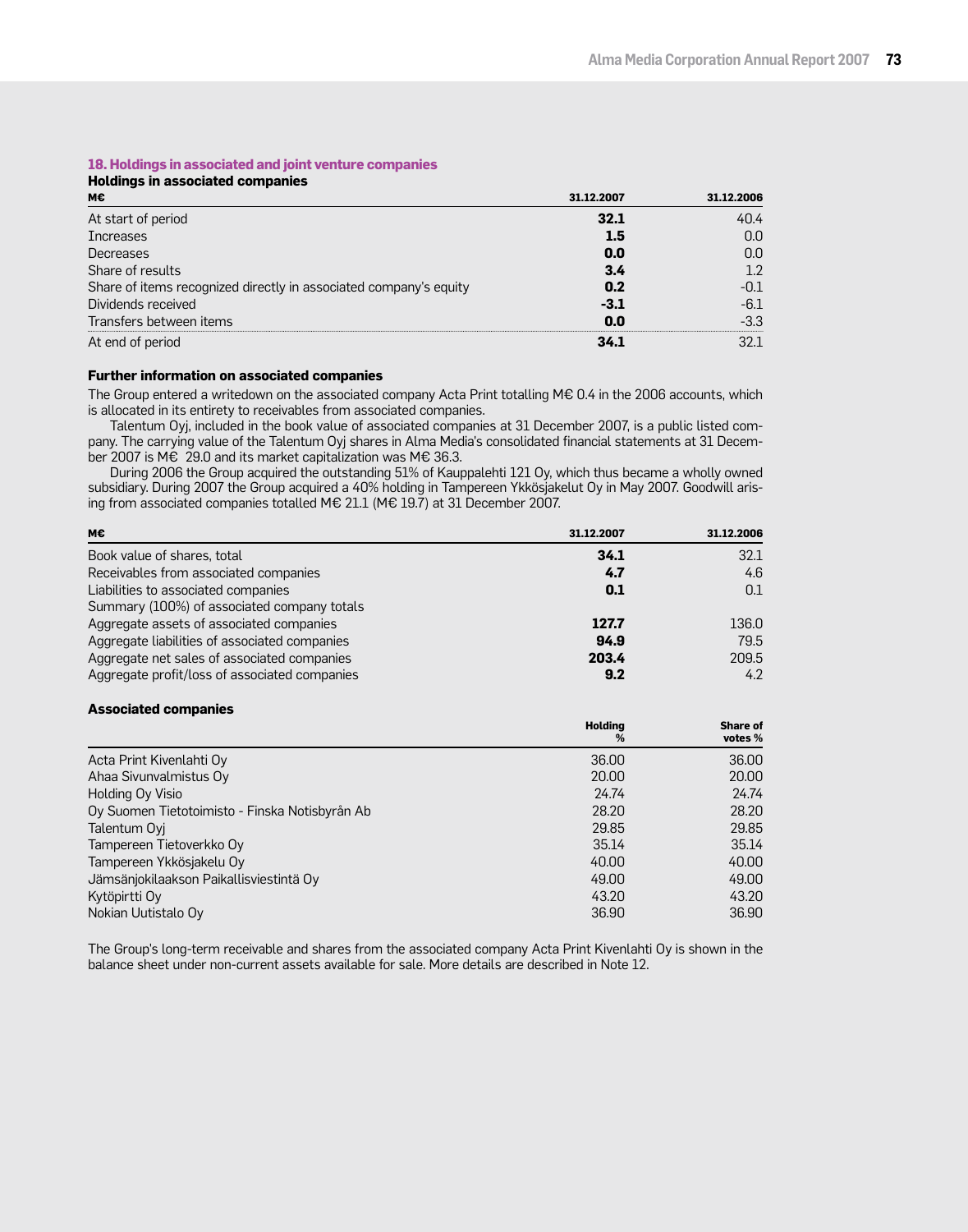### **18. Holdings in associated and joint venture companies**

| <b>Holdings in associated companies</b>                           |            |            |  |  |
|-------------------------------------------------------------------|------------|------------|--|--|
| м€                                                                | 31.12.2007 | 31.12.2006 |  |  |
| At start of period                                                | 32.1       | 40.4       |  |  |
| <b>Increases</b>                                                  | 1.5        | 0.0        |  |  |
| Decreases                                                         | 0.0        | 0.0        |  |  |
| Share of results                                                  | 3.4        | 1.2        |  |  |
| Share of items recognized directly in associated company's equity | 0.2        | -0.1       |  |  |
| Dividends received                                                | $-3.1$     | -6.1       |  |  |
| Transfers between items                                           | 0.0        | $-3.3$     |  |  |
| At end of period                                                  | 34.1       |            |  |  |

#### **Further information on associated companies**

The Group entered a writedown on the associated company Acta Print totalling M€ 0.4 in the 2006 accounts, which is allocated in its entirety to receivables from associated companies.

Talentum Oyj, included in the book value of associated companies at 31 December 2007, is a public listed company. The carrying value of the Talentum Oyj shares in Alma Media's consolidated financial statements at 31 December 2007 is M€ 29.0 and its market capitalization was M€ 36.3.

During 2006 the Group acquired the outstanding 51% of Kauppalehti 121 Oy, which thus became a wholly owned subsidiary. During 2007 the Group acquired a 40% holding in Tampereen Ykkösjakelut Oy in May 2007. Goodwill arising from associated companies totalled M€ 21.1 (M€ 19.7) at 31 December 2007.

| M€                                            | 31.12.2007 | 31.12.2006 |
|-----------------------------------------------|------------|------------|
| Book value of shares, total                   | 34.1       | 32.1       |
| Receivables from associated companies         | 4.7        | 4.6        |
| Liabilities to associated companies           | 0.1        | 0.1        |
| Summary (100%) of associated company totals   |            |            |
| Aggregate assets of associated companies      | 127.7      | 136.0      |
| Aggregate liabilities of associated companies | 94.9       | 79.5       |
| Aggregate net sales of associated companies   | 203.4      | 209.5      |
| Aggregate profit/loss of associated companies | 9.2        | 4.2        |

#### **Associated companies**

|                                                | <b>Holding</b><br>% | Share of<br>votes % |
|------------------------------------------------|---------------------|---------------------|
| Acta Print Kivenlahti Oy                       | 36,00               | 36.00               |
| Ahaa Sivunvalmistus Oy                         | 20,00               | 20,00               |
| Holding Oy Visio                               | 24.74               | 24.74               |
| Oy Suomen Tietotoimisto - Finska Notisbyrån Ab | 28.20               | 28.20               |
| Talentum Oyi                                   | 29.85               | 29.85               |
| Tampereen Tietoverkko Oy                       | 35.14               | 35.14               |
| Tampereen Ykkösjakelu Oy                       | 40.00               | 40.00               |
| Jämsänjokilaakson Paikallisviestintä Oy        | 49.00               | 49.00               |
| Kytöpirtti Oy                                  | 43.20               | 43.20               |
| Nokian Uutistalo Oy                            | 36.90               | 36.90               |

The Group's long-term receivable and shares from the associated company Acta Print Kivenlahti Oy is shown in the balance sheet under non-current assets available for sale. More details are described in Note 12.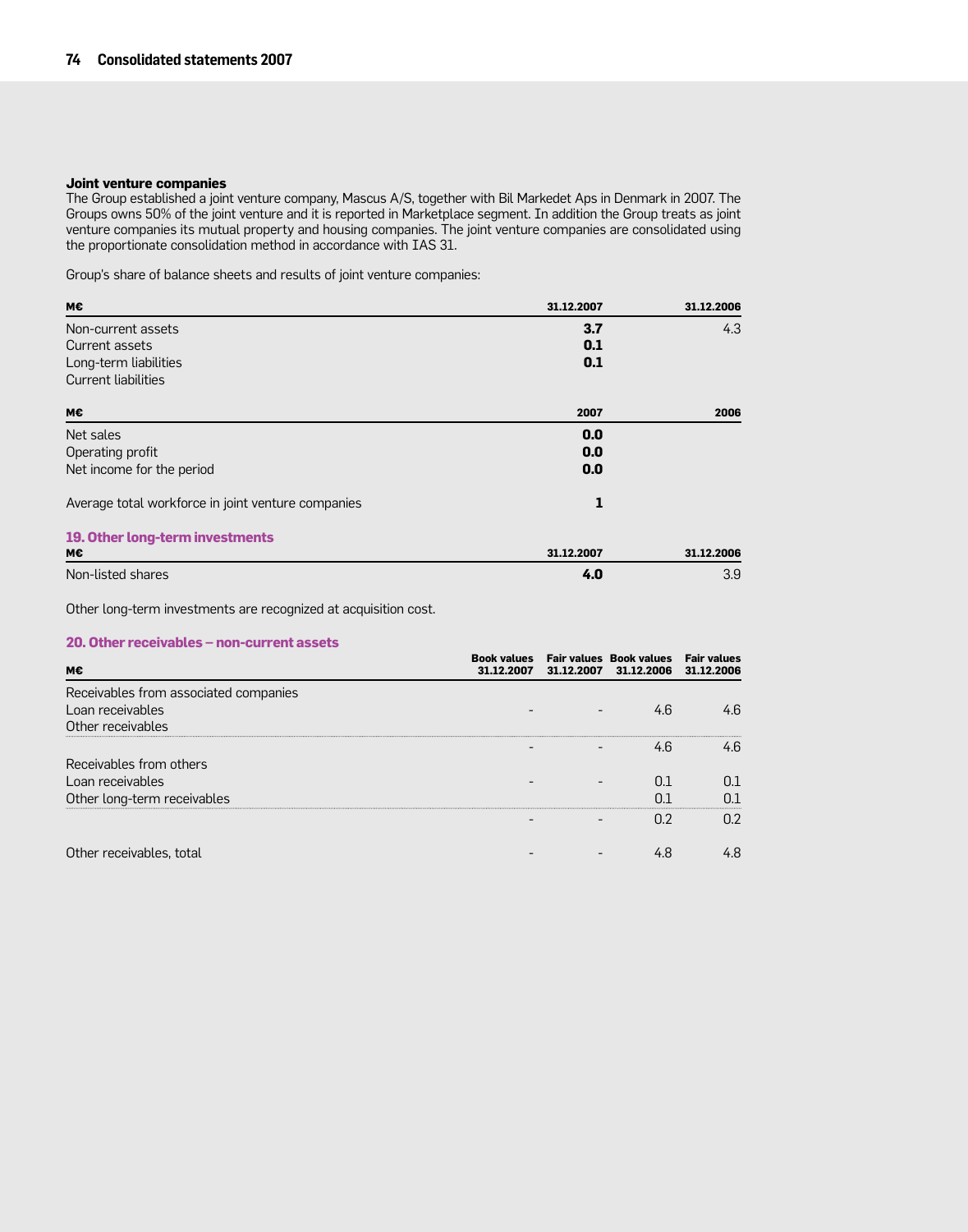#### **Joint venture companies**

The Group established a joint venture company, Mascus A/S, together with Bil Markedet Aps in Denmark in 2007. The Groups owns 50% of the joint venture and it is reported in Marketplace segment. In addition the Group treats as joint venture companies its mutual property and housing companies. The joint venture companies are consolidated using the proportionate consolidation method in accordance with IAS 31.

Group's share of balance sheets and results of joint venture companies:

| M€                                                 | 31.12.2007 | 31.12.2006 |
|----------------------------------------------------|------------|------------|
| Non-current assets                                 | 3.7        | 4.3        |
| Current assets                                     | 0.1        |            |
| Long-term liabilities                              | 0.1        |            |
| Current liabilities                                |            |            |
| M€                                                 | 2007       | 2006       |
| Net sales                                          | 0.0        |            |
| Operating profit                                   | 0.0        |            |
| Net income for the period                          | 0.0        |            |
| Average total workforce in joint venture companies | 1          |            |
| 19. Other long-term investments                    |            |            |
| м€                                                 | 31.12.2007 | 31.12.2006 |
| Non-listed shares                                  | 4.0        | 3.9        |

Other long-term investments are recognized at acquisition cost.

#### **20. Other receivables – non-current assets**

| м€                                    | <b>Book values</b><br>31.12.2007 | <b>Fair values Book values</b><br>31.12.2007 31.12.2006 | <b>Fair values</b><br>31.12.2006 |
|---------------------------------------|----------------------------------|---------------------------------------------------------|----------------------------------|
| Receivables from associated companies |                                  |                                                         |                                  |
| Loan receivables                      |                                  | 4.6                                                     | 4.6                              |
| Other receivables                     |                                  |                                                         |                                  |
|                                       |                                  |                                                         | 4 հ                              |
| Receivables from others               |                                  |                                                         |                                  |
| Loan receivables                      |                                  |                                                         |                                  |
| Other long-term receivables           |                                  |                                                         |                                  |
|                                       |                                  |                                                         | በ ን                              |
|                                       |                                  |                                                         |                                  |
| Other receivables, total              |                                  |                                                         |                                  |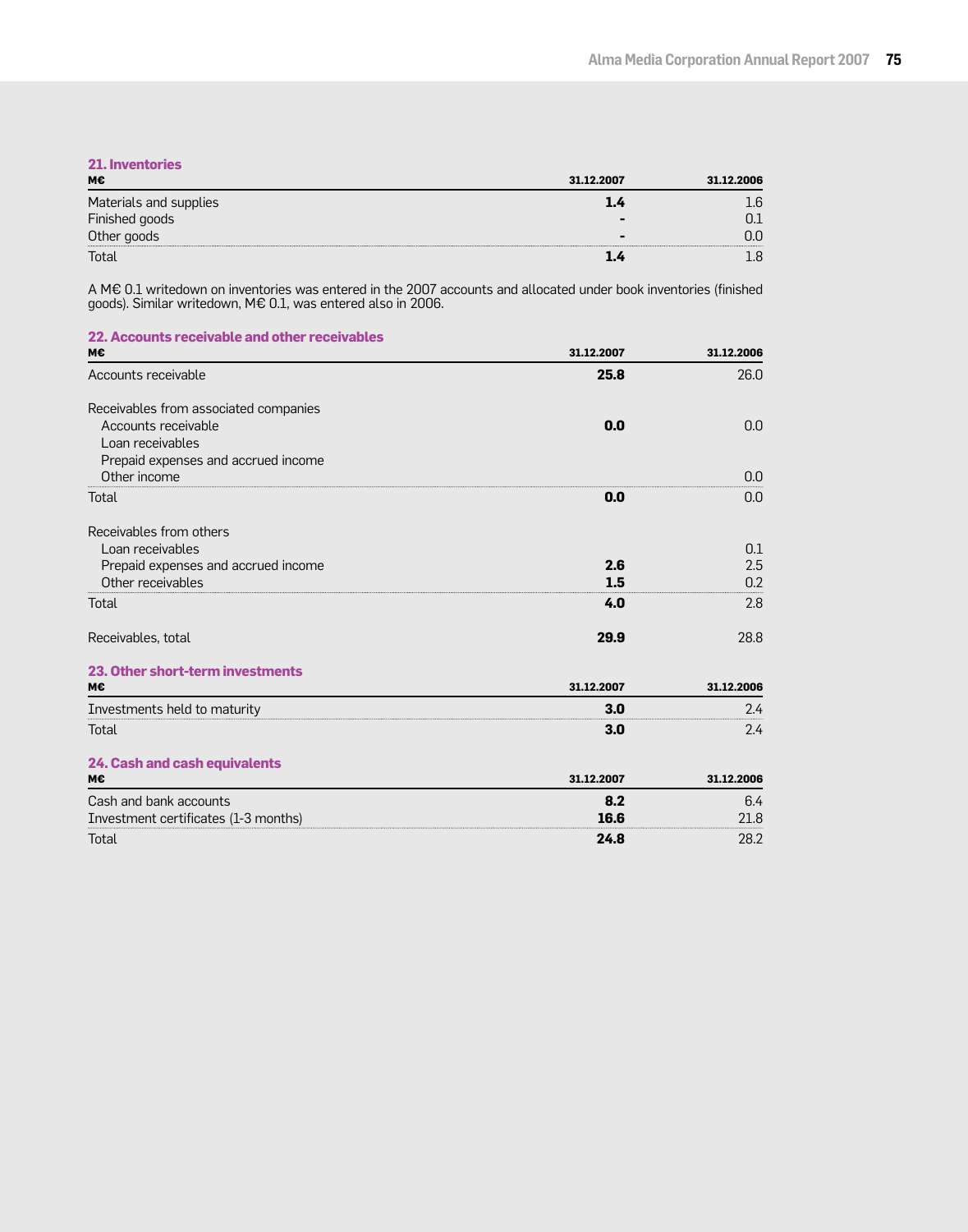| <b>21. Inventories</b> |            |            |
|------------------------|------------|------------|
| м€                     | 31.12.2007 | 31.12.2006 |
| Materials and supplies |            |            |
| Finished goods         |            |            |
| Other goods            |            |            |
| Total                  |            |            |

A M€ 0.1 writedown on inventories was entered in the 2007 accounts and allocated under book inventories (finished goods). Similar writedown, M€ 0.1, was entered also in 2006.

| 22. Accounts receivable and other receivables |            |            |
|-----------------------------------------------|------------|------------|
| м€                                            | 31.12.2007 | 31.12.2006 |
| Accounts receivable                           | 25.8       | 26.0       |
| Receivables from associated companies         |            |            |
| Accounts receivable                           | 0.0        | 0.0        |
| Loan receivables                              |            |            |
| Prepaid expenses and accrued income           |            |            |
| Other income                                  |            | 0.0        |
| Total                                         | 0.0        | 0.0        |
| Receivables from others                       |            |            |
| Loan receivables                              |            | 0.1        |
| Prepaid expenses and accrued income           | 2.6        | 2.5        |
| Other receivables                             | 1.5        | 0.2        |
| Total                                         | 4.0        | 2.8        |
| Receivables, total                            | 29.9       | 28.8       |
| 23. Other short-term investments              |            |            |
| М€                                            | 31.12.2007 | 31.12.2006 |
| Investments held to maturity                  | 3.0        | 2.4        |
| Total                                         | 3.0        | 2.4        |
| 24. Cash and cash equivalents                 |            |            |
| М€                                            | 31.12.2007 | 31.12.2006 |
| Cash and bank accounts                        | 8.2        | 6.4        |
| Investment certificates (1-3 months)          | 16.6       | 21.8       |
| Total                                         | 24.8       | 28.2       |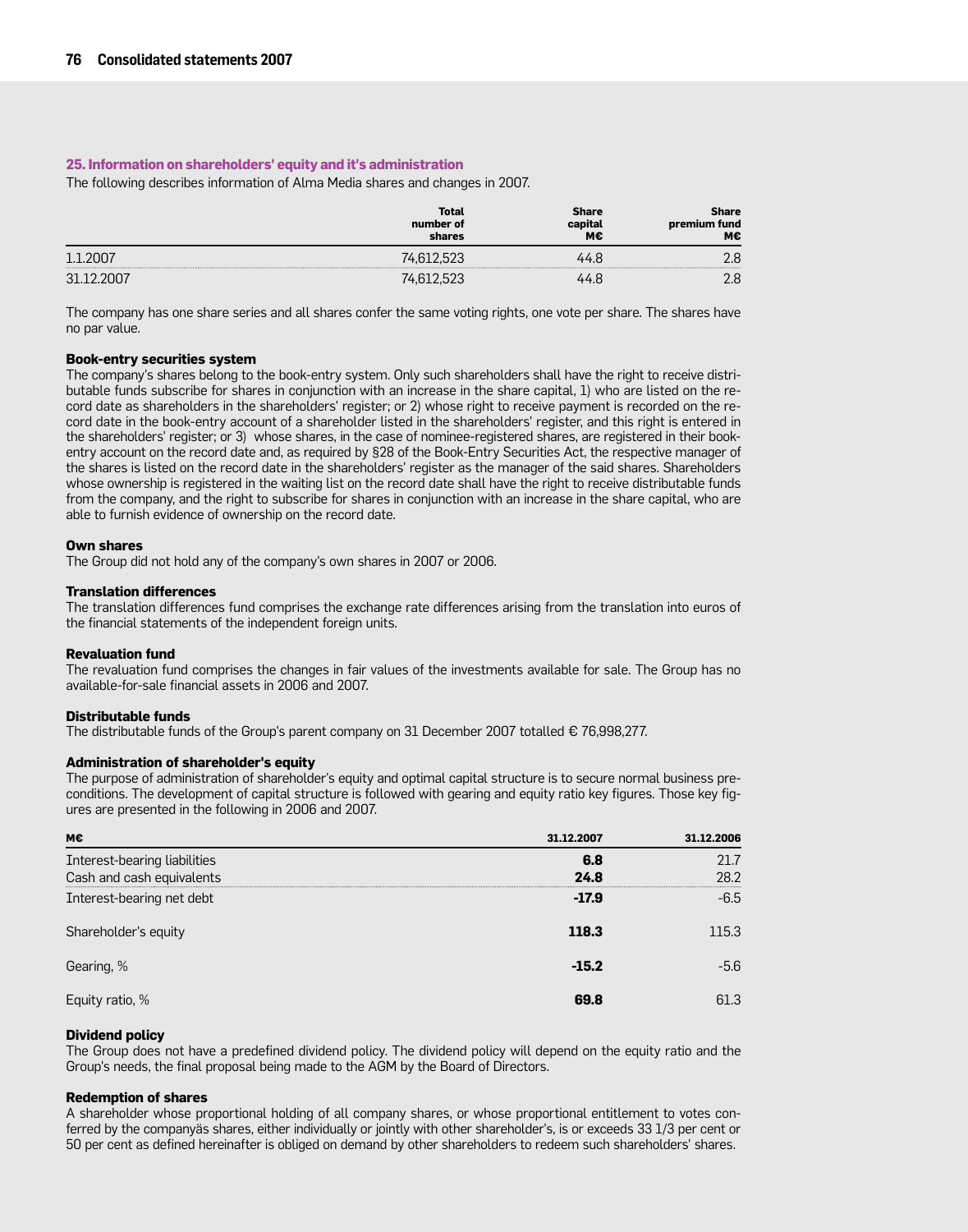#### **25. Information on shareholders' equity and it's administration**

The following describes information of Alma Media shares and changes in 2007.

|                 | Total<br>number of<br>shares | Share<br>capital<br>М€ | Share<br>premium fund<br>М€ |
|-----------------|------------------------------|------------------------|-----------------------------|
|                 |                              |                        | ם ר                         |
| 21 <sup>-</sup> |                              |                        | ם ר                         |

The company has one share series and all shares confer the same voting rights, one vote per share. The shares have no par value.

#### **Book-entry securities system**

The company's shares belong to the book-entry system. Only such shareholders shall have the right to receive distributable funds subscribe for shares in conjunction with an increase in the share capital, 1) who are listed on the record date as shareholders in the shareholders' register; or 2) whose right to receive payment is recorded on the record date in the book-entry account of a shareholder listed in the shareholders' register, and this right is entered in the shareholders' register; or 3) whose shares, in the case of nominee-registered shares, are registered in their bookentry account on the record date and, as required by §28 of the Book-Entry Securities Act, the respective manager of the shares is listed on the record date in the shareholders' register as the manager of the said shares. Shareholders whose ownership is registered in the waiting list on the record date shall have the right to receive distributable funds from the company, and the right to subscribe for shares in conjunction with an increase in the share capital, who are able to furnish evidence of ownership on the record date.

#### **Own shares**

The Group did not hold any of the company's own shares in 2007 or 2006.

#### **Translation differences**

The translation differences fund comprises the exchange rate differences arising from the translation into euros of the financial statements of the independent foreign units.

#### **Revaluation fund**

The revaluation fund comprises the changes in fair values of the investments available for sale. The Group has no available-for-sale financial assets in 2006 and 2007.

#### **Distributable funds**

The distributable funds of the Group's parent company on 31 December 2007 totalled € 76,998,277.

#### **Administration of shareholder's equity**

The purpose of administration of shareholder's equity and optimal capital structure is to secure normal business preconditions. The development of capital structure is followed with gearing and equity ratio key figures. Those key figures are presented in the following in 2006 and 2007.

| м€                                                        | 31.12.2007  | 31.12.2006   |
|-----------------------------------------------------------|-------------|--------------|
| Interest-bearing liabilities<br>Cash and cash equivalents | 6.8<br>24.8 | 21.7<br>28.2 |
| Interest-bearing net debt                                 | $-17.9$     | $-6.5$       |
| Shareholder's equity                                      | 118.3       | 115.3        |
| Gearing, %                                                | $-15.2$     | -5.6         |
| Equity ratio, %                                           | 69.8        | 61.3         |

#### **Dividend policy**

The Group does not have a predefined dividend policy. The dividend policy will depend on the equity ratio and the Group's needs, the final proposal being made to the AGM by the Board of Directors.

#### **Redemption of shares**

A shareholder whose proportional holding of all company shares, or whose proportional entitlement to votes conferred by the companyäs shares, either individually or jointly with other shareholder's, is or exceeds 33 1/3 per cent or 50 per cent as defined hereinafter is obliged on demand by other shareholders to redeem such shareholders' shares.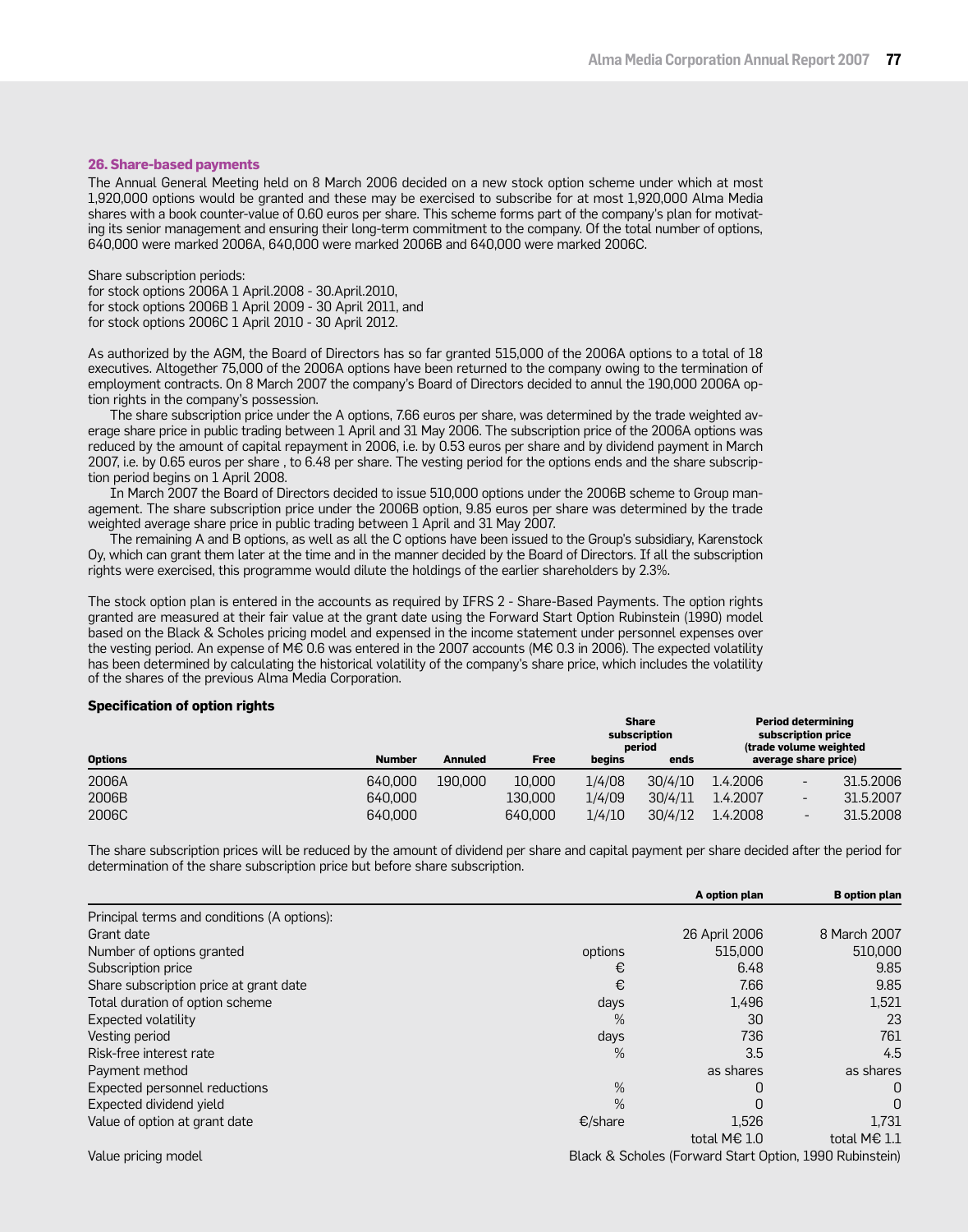#### **26. Share-based payments**

The Annual General Meeting held on 8 March 2006 decided on a new stock option scheme under which at most 1,920,000 options would be granted and these may be exercised to subscribe for at most 1,920,000 Alma Media shares with a book counter-value of 0.60 euros per share. This scheme forms part of the company's plan for motivating its senior management and ensuring their long-term commitment to the company. Of the total number of options, 640,000 were marked 2006A, 640,000 were marked 2006B and 640,000 were marked 2006C.

Share subscription periods: for stock options 2006A 1 April.2008 - 30.April.2010, for stock options 2006B 1 April 2009 - 30 April 2011, and for stock options 2006C 1 April 2010 - 30 April 2012.

As authorized by the AGM, the Board of Directors has so far granted 515,000 of the 2006A options to a total of 18 executives. Altogether 75,000 of the 2006A options have been returned to the company owing to the termination of employment contracts. On 8 March 2007 the company's Board of Directors decided to annul the 190,000 2006A option rights in the company's possession.

The share subscription price under the A options, 7.66 euros per share, was determined by the trade weighted average share price in public trading between 1 April and 31 May 2006. The subscription price of the 2006A options was reduced by the amount of capital repayment in 2006, i.e. by 0.53 euros per share and by dividend payment in March 2007, i.e. by 0.65 euros per share , to 6.48 per share. The vesting period for the options ends and the share subscription period begins on 1 April 2008.

In March 2007 the Board of Directors decided to issue 510,000 options under the 2006B scheme to Group management. The share subscription price under the 2006B option, 9.85 euros per share was determined by the trade weighted average share price in public trading between 1 April and 31 May 2007.

The remaining A and B options, as well as all the C options have been issued to the Group's subsidiary, Karenstock Oy, which can grant them later at the time and in the manner decided by the Board of Directors. If all the subscription rights were exercised, this programme would dilute the holdings of the earlier shareholders by 2.3%.

The stock option plan is entered in the accounts as required by IFRS 2 - Share-Based Payments. The option rights granted are measured at their fair value at the grant date using the Forward Start Option Rubinstein (1990) model based on the Black & Scholes pricing model and expensed in the income statement under personnel expenses over the vesting period. An expense of M€ 0.6 was entered in the 2007 accounts (M€ 0.3 in 2006). The expected volatility has been determined by calculating the historical volatility of the company's share price, which includes the volatility of the shares of the previous Alma Media Corporation.

#### **Specification of option rights**

|                |               |                |         |        | <b>Share</b><br>subscription<br>period |          | <b>Period determining</b><br>subscription price<br>(trade volume weighted |           |
|----------------|---------------|----------------|---------|--------|----------------------------------------|----------|---------------------------------------------------------------------------|-----------|
| <b>Options</b> | <b>Number</b> | <b>Annuled</b> | Free    | begins | ends                                   |          | average share price)                                                      |           |
| 2006A          | 640,000       | 190,000        | 10,000  | 1/4/08 | 30/4/10                                | 1.4.2006 | $\qquad \qquad -$                                                         | 31.5.2006 |
| 2006B          | 640,000       |                | 130,000 | 1/4/09 | 30/4/11                                | 1.4.2007 | -                                                                         | 31.5.2007 |
| 2006C          | 640,000       |                | 640,000 | 1/4/10 | 30/4/12                                | 1.4.2008 | $\overline{\phantom{a}}$                                                  | 31.5.2008 |

The share subscription prices will be reduced by the amount of dividend per share and capital payment per share decided after the period for determination of the share subscription price but before share subscription.

|                                             |         | A option plan                                           | <b>B</b> option plan |
|---------------------------------------------|---------|---------------------------------------------------------|----------------------|
| Principal terms and conditions (A options): |         |                                                         |                      |
| Grant date                                  |         | 26 April 2006                                           | 8 March 2007         |
| Number of options granted                   | options | 515,000                                                 | 510,000              |
| Subscription price                          | €       | 6.48                                                    | 9.85                 |
| Share subscription price at grant date      | €       | 7.66                                                    | 9.85                 |
| Total duration of option scheme             | days    | 1,496                                                   | 1,521                |
| Expected volatility                         | $\%$    | 30                                                      | 23                   |
| Vesting period                              | days    | 736                                                     | 761                  |
| Risk-free interest rate                     | $\%$    | 3.5                                                     | 4.5                  |
| Payment method                              |         | as shares                                               | as shares            |
| Expected personnel reductions               | %       |                                                         | 0                    |
| Expected dividend yield                     | $\%$    | O                                                       | O                    |
| Value of option at grant date               | €/share | 1,526                                                   | 1,731                |
|                                             |         | total M $\epsilon$ 1.0                                  | total M€ 1.1         |
| Value pricing model                         |         | Black & Scholes (Forward Start Option, 1990 Rubinstein) |                      |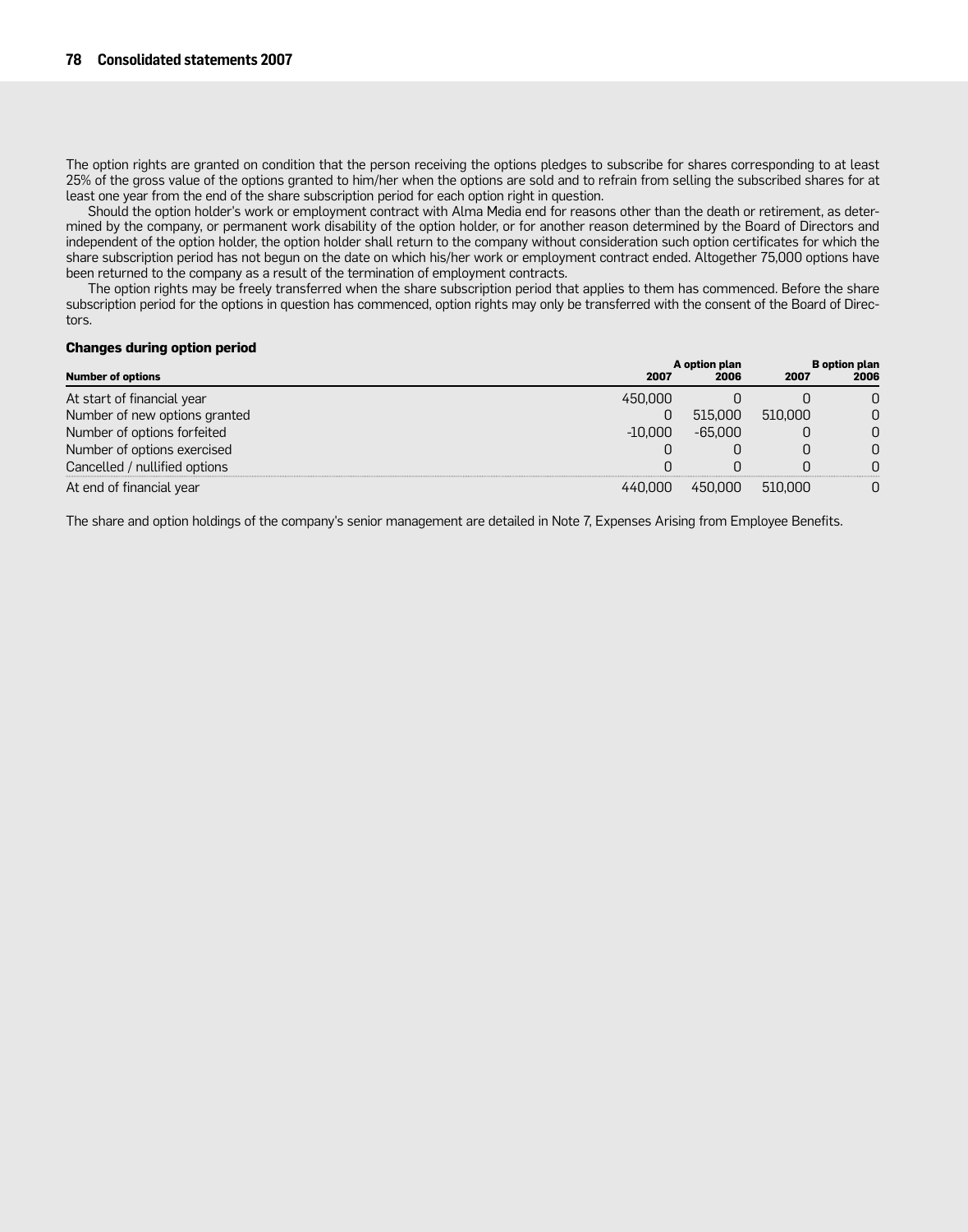The option rights are granted on condition that the person receiving the options pledges to subscribe for shares corresponding to at least 25% of the gross value of the options granted to him/her when the options are sold and to refrain from selling the subscribed shares for at least one year from the end of the share subscription period for each option right in question.

Should the option holder's work or employment contract with Alma Media end for reasons other than the death or retirement, as determined by the company, or permanent work disability of the option holder, or for another reason determined by the Board of Directors and independent of the option holder, the option holder shall return to the company without consideration such option certificates for which the share subscription period has not begun on the date on which his/her work or employment contract ended. Altogether 75,000 options have been returned to the company as a result of the termination of employment contracts.

The option rights may be freely transferred when the share subscription period that applies to them has commenced. Before the share subscription period for the options in question has commenced, option rights may only be transferred with the consent of the Board of Directors.

#### **Changes during option period**

|                               |           | A option plan |         | <b>B</b> option plan |
|-------------------------------|-----------|---------------|---------|----------------------|
| <b>Number of options</b>      | 2007      | 2006          | 2007    | 2006                 |
| At start of financial year    | 450,000   |               |         | 0                    |
| Number of new options granted | 0         | 515,000       | 510,000 | $\Omega$             |
| Number of options forfeited   | $-10.000$ | $-65.000$     |         | $\Omega$             |
| Number of options exercised   |           |               |         | $\Omega$             |
| Cancelled / nullified options |           |               |         | $\Omega$             |
| At end of financial year      | 440,000   | 450,000       | 510,000 | $\Omega$             |

The share and option holdings of the company's senior management are detailed in Note 7, Expenses Arising from Employee Benefits.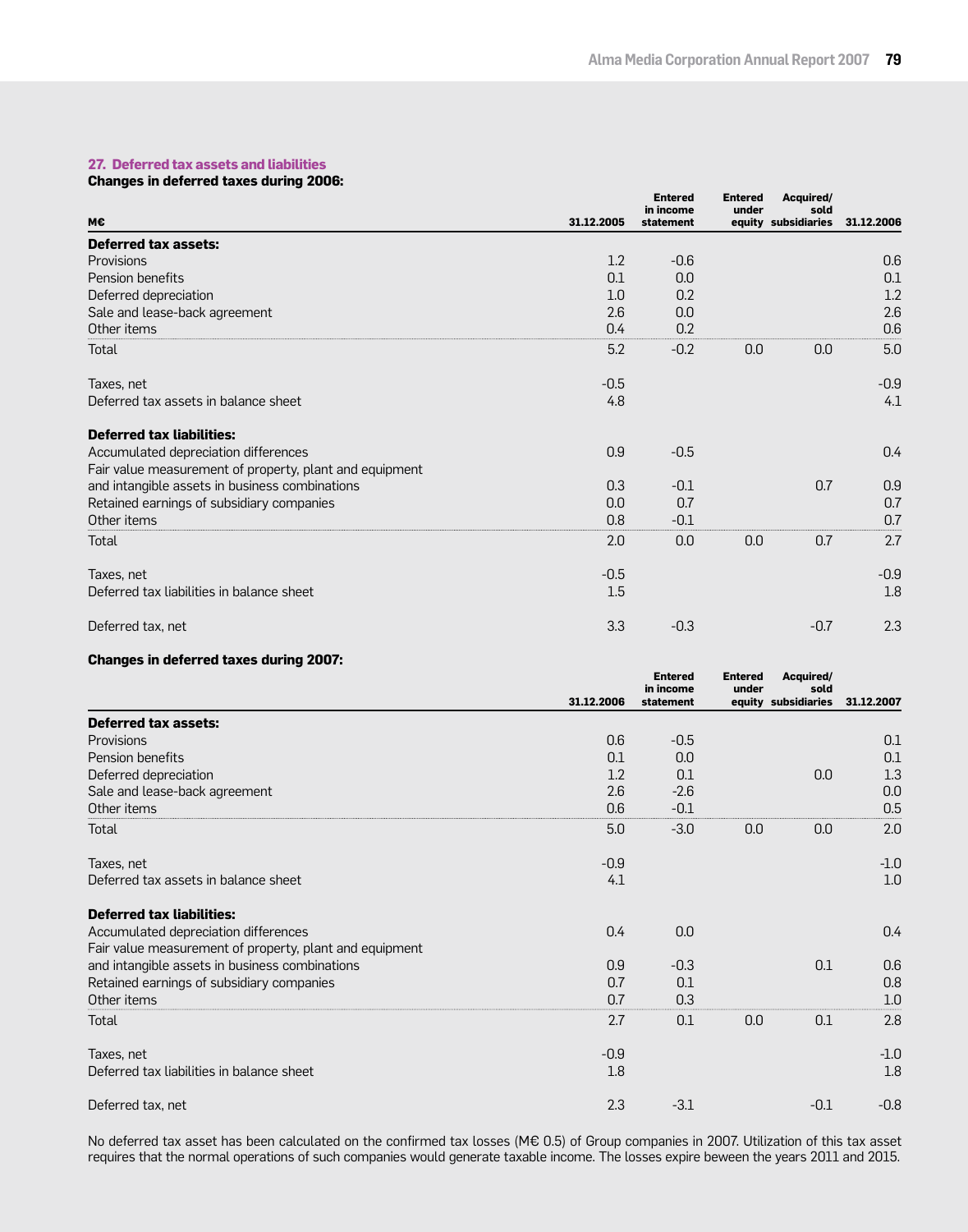## **27. Deferred tax assets and liabilities**

### **Changes in deferred taxes during 2006:**

|                                                         |            | <b>Entered</b><br>in income | <b>Entered</b><br>under | Acquired/<br>sold   |            |
|---------------------------------------------------------|------------|-----------------------------|-------------------------|---------------------|------------|
| М€                                                      | 31.12.2005 | statement                   |                         | equity subsidiaries | 31.12.2006 |
| <b>Deferred tax assets:</b>                             |            |                             |                         |                     |            |
| <b>Provisions</b>                                       | 1.2        | $-0.6$                      |                         |                     | 0.6        |
| Pension benefits                                        | 0.1        | 0.0                         |                         |                     | 0.1        |
| Deferred depreciation                                   | 1.0        | 0.2                         |                         |                     | 1.2        |
| Sale and lease-back agreement                           | 2.6        | 0.0                         |                         |                     | 2.6        |
| Other items                                             | 0.4        | 0.2                         |                         |                     | 0.6        |
| Total                                                   | 5.2        | $-0.2$                      | 0.0                     | 0.0                 | 5.0        |
| Taxes, net                                              | $-0.5$     |                             |                         |                     | $-0.9$     |
| Deferred tax assets in balance sheet                    | 4.8        |                             |                         |                     | 4.1        |
| <b>Deferred tax liabilities:</b>                        |            |                             |                         |                     |            |
| Accumulated depreciation differences                    | 0.9        | $-0.5$                      |                         |                     | 0.4        |
| Fair value measurement of property, plant and equipment |            |                             |                         |                     |            |
| and intangible assets in business combinations          | 0.3        | $-0.1$                      |                         | 0.7                 | 0.9        |
| Retained earnings of subsidiary companies               | 0.0        | 0.7                         |                         |                     | 0.7        |
| Other items                                             | 0.8        | $-0.1$                      |                         |                     | 0.7        |
| Total                                                   | 2.0        | 0.0                         | 0.0                     | 0.7                 | 2.7        |
| Taxes, net                                              | $-0.5$     |                             |                         |                     | $-0.9$     |
| Deferred tax liabilities in balance sheet               | 1.5        |                             |                         |                     | 1.8        |
| Deferred tax, net                                       | 3.3        | $-0.3$                      |                         | $-0.7$              | 2.3        |

### **Changes in deferred taxes during 2007:**

|                                                         |            | <b>Entered</b><br>in income | <b>Entered</b><br>under | Acquired/<br>sold   |            |
|---------------------------------------------------------|------------|-----------------------------|-------------------------|---------------------|------------|
|                                                         | 31.12.2006 | statement                   |                         | equity subsidiaries | 31.12.2007 |
| <b>Deferred tax assets:</b>                             |            |                             |                         |                     |            |
| Provisions                                              | 0.6        | $-0.5$                      |                         |                     | 0.1        |
| Pension benefits                                        | 0.1        | 0.0                         |                         |                     | 0.1        |
| Deferred depreciation                                   | 1.2        | 0.1                         |                         | 0.0                 | 1.3        |
| Sale and lease-back agreement                           | 2.6        | $-2.6$                      |                         |                     | 0.0        |
| Other items                                             | 0.6        | $-0.1$                      |                         |                     | 0.5        |
| Total                                                   | 5.0        | $-3.0$                      | 0.0                     | 0.0                 | 2.0        |
| Taxes, net                                              | $-0.9$     |                             |                         |                     | $-1.0$     |
| Deferred tax assets in balance sheet                    | 4.1        |                             |                         |                     | 1.0        |
| <b>Deferred tax liabilities:</b>                        |            |                             |                         |                     |            |
| Accumulated depreciation differences                    | 0.4        | 0.0                         |                         |                     | 0.4        |
| Fair value measurement of property, plant and equipment |            |                             |                         |                     |            |
| and intangible assets in business combinations          | 0.9        | $-0.3$                      |                         | 0.1                 | 0.6        |
| Retained earnings of subsidiary companies               | 0.7        | 0.1                         |                         |                     | 0.8        |
| Other items                                             | 0.7        | 0.3                         |                         |                     | 1.0        |
| Total                                                   | 2.7        | 0.1                         | 0.0                     | 0.1                 | 2.8        |
| Taxes, net                                              | $-0.9$     |                             |                         |                     | $-1.0$     |
| Deferred tax liabilities in balance sheet               | 1.8        |                             |                         |                     | 1.8        |
| Deferred tax, net                                       | 2.3        | $-3.1$                      |                         | $-0.1$              | $-0.8$     |

No deferred tax asset has been calculated on the confirmed tax losses (M€ 0.5) of Group companies in 2007. Utilization of this tax asset requires that the normal operations of such companies would generate taxable income. The losses expire beween the years 2011 and 2015.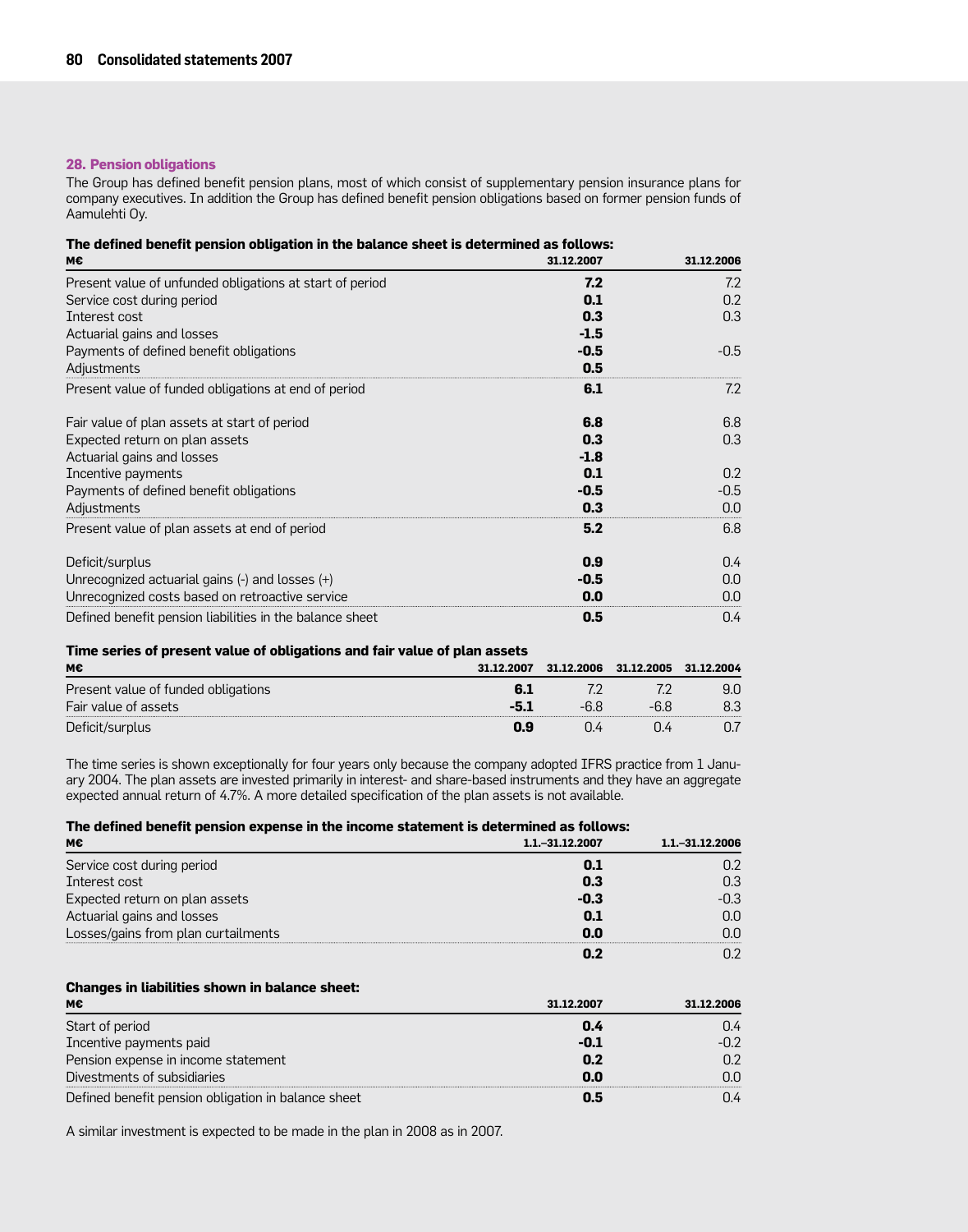### **28. Pension obligations**

The Group has defined benefit pension plans, most of which consist of supplementary pension insurance plans for company executives. In addition the Group has defined benefit pension obligations based on former pension funds of Aamulehti Oy.

|  |  |  |  | The defined benefit pension obligation in the balance sheet is determined as follows: |  |
|--|--|--|--|---------------------------------------------------------------------------------------|--|
|  |  |  |  |                                                                                       |  |

| M€                                                       | 31.12.2007 | 31.12.2006       |
|----------------------------------------------------------|------------|------------------|
| Present value of unfunded obligations at start of period | 7.2        | 7.2              |
| Service cost during period                               | 0.1        | 0.2              |
| Interest cost                                            | 0.3        | 0.3              |
| Actuarial gains and losses                               | $-1.5$     |                  |
| Payments of defined benefit obligations                  | $-0.5$     | $-0.5$           |
| Adjustments                                              | 0.5        |                  |
| Present value of funded obligations at end of period     | 6.1        | 7.2              |
| Fair value of plan assets at start of period             | 6.8        | 6.8              |
| Expected return on plan assets                           | 0.3        | 0.3              |
| Actuarial gains and losses                               | $-1.8$     |                  |
| Incentive payments                                       | 0.1        | 0.2              |
| Payments of defined benefit obligations                  | $-0.5$     | $-0.5$           |
| Adjustments                                              | 0.3        | 0.0              |
| Present value of plan assets at end of period            | 5.2        | 6.8              |
| Deficit/surplus                                          | 0.9        | 0.4 <sub>1</sub> |
| Unrecognized actuarial gains $(-)$ and losses $(+)$      | $-0.5$     | 0.0              |
| Unrecognized costs based on retroactive service          | 0.0        | 0.0              |
| Defined benefit pension liabilities in the balance sheet | 0.5        | 0.4              |

#### **Time series of present value of obligations and fair value of plan assets**

| м€                                  | 31.12.2007 | 31.12.2006 | 31.12.2005 | 31.12.2004 |
|-------------------------------------|------------|------------|------------|------------|
| Present value of funded obligations |            |            |            | 9.0        |
| Fair value of assets                |            |            |            |            |
| Deficit/surplus                     | n g        |            |            |            |

The time series is shown exceptionally for four years only because the company adopted IFRS practice from 1 January 2004. The plan assets are invested primarily in interest- and share-based instruments and they have an aggregate expected annual return of 4.7%. A more detailed specification of the plan assets is not available.

#### **The defined benefit pension expense in the income statement is determined as follows:**

| М€                                  | 1.1. - 31.12.2007 | 1.1. - 31.12.2006 |
|-------------------------------------|-------------------|-------------------|
| Service cost during period          | 0.1               |                   |
| Interest cost                       | 0.3               | 0.3               |
| Expected return on plan assets      | $-0.3$            | $-0.3$            |
| Actuarial gains and losses          | 0.1               | 0.0               |
| Losses/gains from plan curtailments | 0.0               |                   |
|                                     |                   |                   |

## **Changes in liabilities shown in balance sheet:**

| мє                                                  | 31.12.2007 | 31.12.2006 |
|-----------------------------------------------------|------------|------------|
| Start of period                                     | 0.4        | J.4        |
| Incentive payments paid                             | -0.1       |            |
| Pension expense in income statement                 | 0.2        |            |
| Divestments of subsidiaries                         | 0.0        |            |
| Defined benefit pension obligation in balance sheet | 0.5        |            |

A similar investment is expected to be made in the plan in 2008 as in 2007.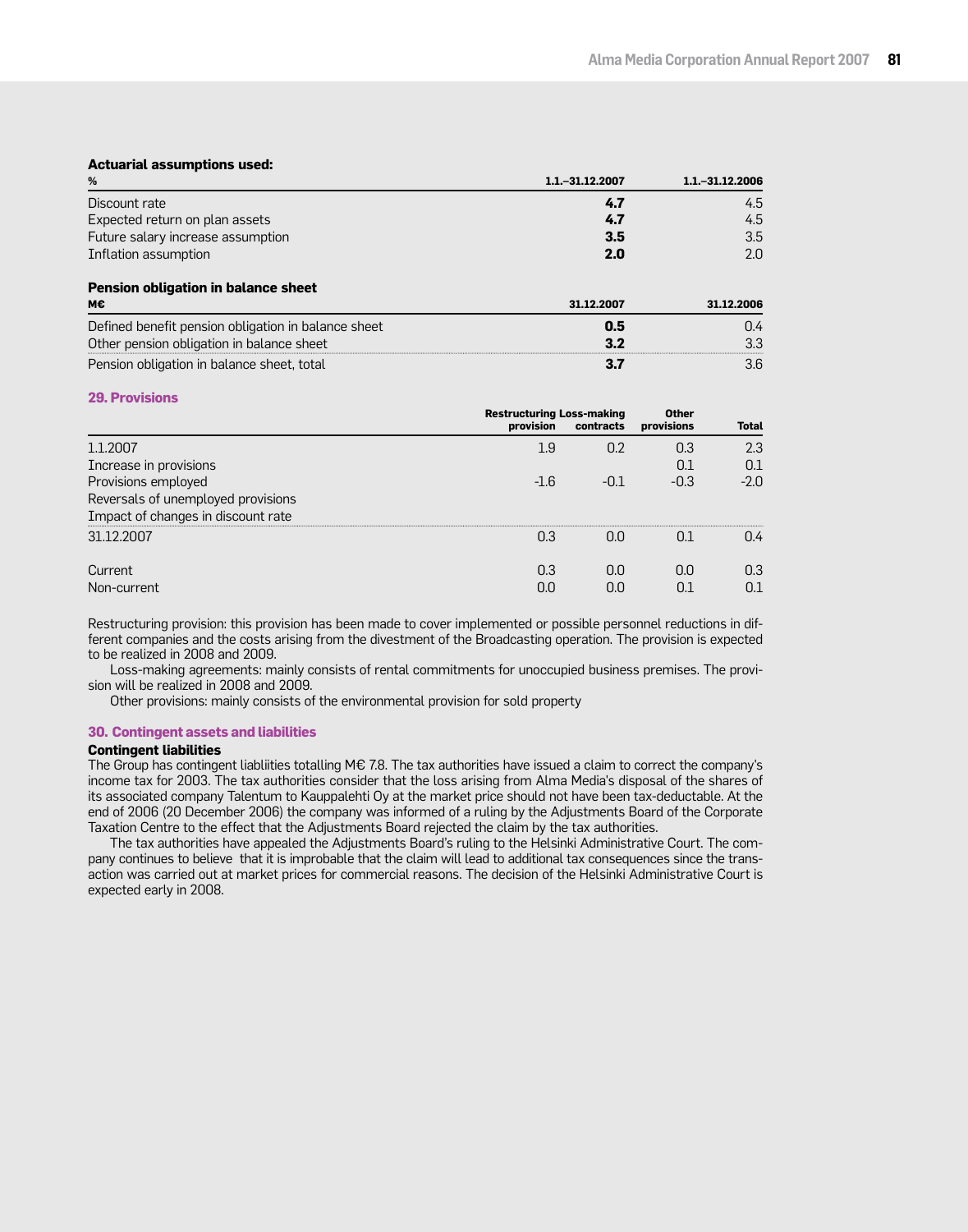### **Actuarial assumptions used:**

| %                                                   | 1.1. - 31.12.2007 | 1.1. - 31.12.2006 |
|-----------------------------------------------------|-------------------|-------------------|
| Discount rate                                       | 4.7               | 4.5               |
| Expected return on plan assets                      | 4.7               | 4.5               |
| Future salary increase assumption                   | 3.5               | 3.5               |
| Inflation assumption                                | 2.0               | 2.0               |
| Pension obligation in balance sheet                 |                   |                   |
| м€                                                  | 31.12.2007        | 31.12.2006        |
| Defined benefit pension obligation in balance sheet | 0.5               | 0.4               |
| Other pension obligation in balance sheet           | 3.2               | 3.3               |

Pension obligation in balance sheet, total **3.7** 3.6

#### **29. Provisions**

|                                                                          | <b>Restructuring Loss-making</b><br>provision | contracts | <b>Other</b><br>provisions | <b>Total</b>  |
|--------------------------------------------------------------------------|-----------------------------------------------|-----------|----------------------------|---------------|
| 1.1.2007                                                                 | 1.9                                           | 0.2       | 0.3                        | 2.3           |
| Increase in provisions                                                   |                                               |           | 0.1                        | 0.1           |
| Provisions employed                                                      | $-1.6$                                        | -01       | $-0.3$                     | $-2.0$        |
| Reversals of unemployed provisions<br>Impact of changes in discount rate |                                               |           |                            |               |
| 31.12.2007                                                               | 0.3                                           | n.n       | N 1                        | $0.4^{\circ}$ |
| Current                                                                  | 0.3                                           | 0.0       | 0.O                        | 0.3           |
| Non-current                                                              | O.C                                           | O.C       |                            |               |

Restructuring provision: this provision has been made to cover implemented or possible personnel reductions in different companies and the costs arising from the divestment of the Broadcasting operation. The provision is expected to be realized in 2008 and 2009.

Loss-making agreements: mainly consists of rental commitments for unoccupied business premises. The provision will be realized in 2008 and 2009.

Other provisions: mainly consists of the environmental provision for sold property

#### **30. Contingent assets and liabilities**

#### **Contingent liabilities**

The Group has contingent liabliities totalling M€ 7.8. The tax authorities have issued a claim to correct the company's income tax for 2003. The tax authorities consider that the loss arising from Alma Media's disposal of the shares of its associated company Talentum to Kauppalehti Oy at the market price should not have been tax-deductable. At the end of 2006 (20 December 2006) the company was informed of a ruling by the Adjustments Board of the Corporate Taxation Centre to the effect that the Adjustments Board rejected the claim by the tax authorities.

The tax authorities have appealed the Adjustments Board's ruling to the Helsinki Administrative Court. The company continues to believe that it is improbable that the claim will lead to additional tax consequences since the transaction was carried out at market prices for commercial reasons. The decision of the Helsinki Administrative Court is expected early in 2008.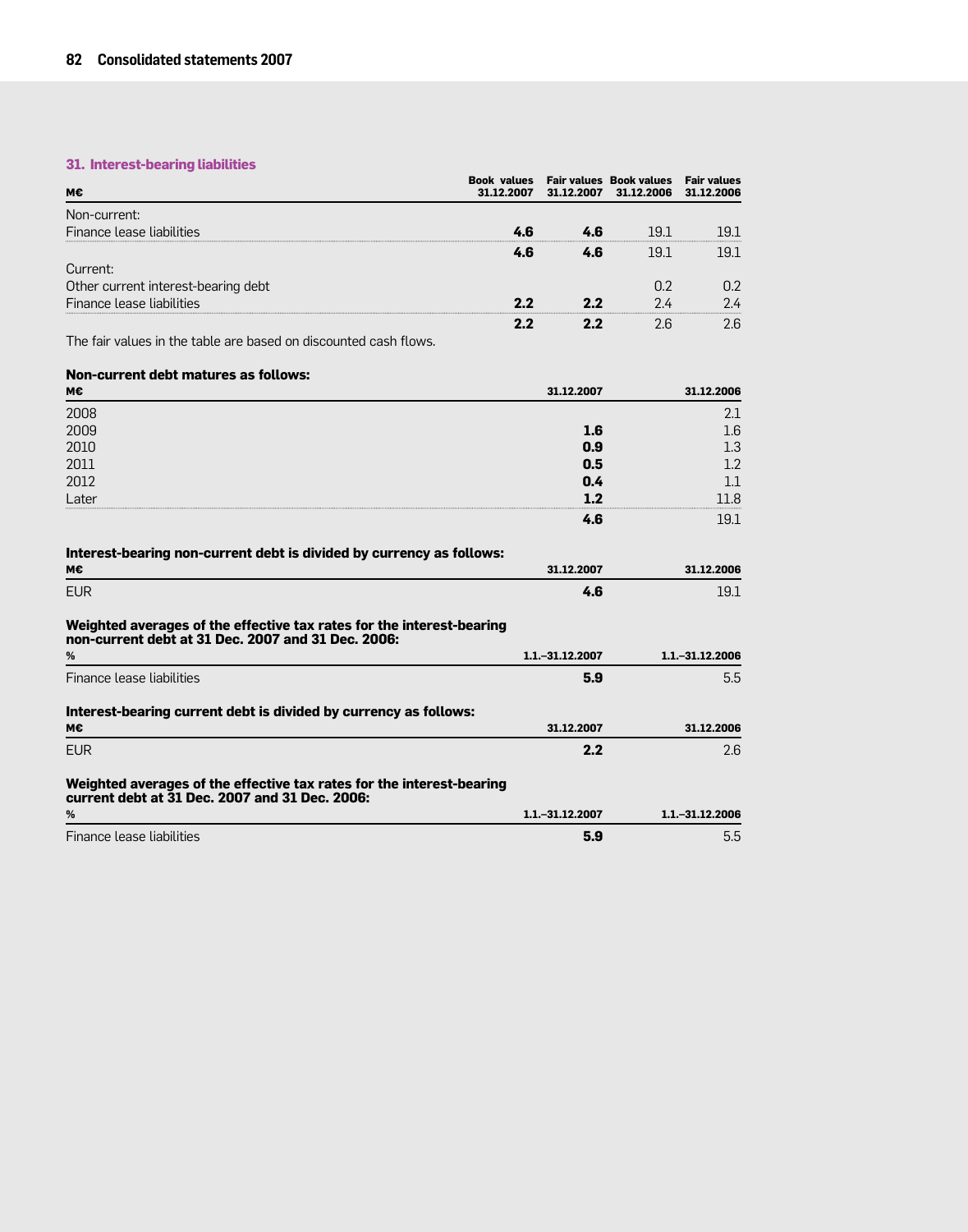## **31. Interest-bearing liabilities**

| мє                                                                                                                          | <b>Book values</b><br>31.12.2007 | 31.12.2007        | <b>Fair values Book values</b><br>31.12.2006 | <b>Fair values</b><br>31.12.2006 |
|-----------------------------------------------------------------------------------------------------------------------------|----------------------------------|-------------------|----------------------------------------------|----------------------------------|
| Non-current:                                                                                                                |                                  |                   |                                              |                                  |
| Finance lease liabilities                                                                                                   | 4.6                              | 4.6               | 19.1                                         | 19.1                             |
|                                                                                                                             | 4.6                              | 4.6               | 19.1                                         | 19.1                             |
| Current:                                                                                                                    |                                  |                   |                                              |                                  |
| Other current interest-bearing debt                                                                                         |                                  |                   | 0.2                                          | 0.2                              |
| Finance lease liabilities                                                                                                   | 2.2                              | 2.2               | 2.4                                          | 2.4                              |
|                                                                                                                             | 2.2                              | 2.2               | 2.6                                          | 2.6                              |
| The fair values in the table are based on discounted cash flows.                                                            |                                  |                   |                                              |                                  |
| Non-current debt matures as follows:                                                                                        |                                  |                   |                                              |                                  |
| м€                                                                                                                          |                                  | 31.12.2007        |                                              | 31.12.2006                       |
| 2008                                                                                                                        |                                  |                   |                                              | 2.1                              |
| 2009                                                                                                                        |                                  | 1.6               |                                              | 1.6                              |
| 2010                                                                                                                        |                                  | 0.9               |                                              | 1.3                              |
| 2011                                                                                                                        |                                  | 0.5               |                                              | 1.2                              |
| 2012                                                                                                                        |                                  | 0.4               |                                              | 1.1                              |
| Later                                                                                                                       |                                  | 1.2               |                                              | 11.8                             |
|                                                                                                                             |                                  | 4.6               |                                              | 19.1                             |
| Interest-bearing non-current debt is divided by currency as follows:                                                        |                                  |                   |                                              |                                  |
| м€                                                                                                                          |                                  | 31.12.2007        |                                              | 31.12.2006                       |
| <b>EUR</b>                                                                                                                  |                                  | 4.6               |                                              | 19.1                             |
| Weighted averages of the effective tax rates for the interest-bearing<br>non-current debt at 31 Dec. 2007 and 31 Dec. 2006: |                                  |                   |                                              |                                  |
| %                                                                                                                           |                                  | 1.1. - 31.12.2007 |                                              | 1.1. - 31.12.2006                |
| Finance lease liabilities                                                                                                   |                                  | 5.9               |                                              | 5.5                              |
| Interest-bearing current debt is divided by currency as follows:                                                            |                                  |                   |                                              |                                  |
| м€                                                                                                                          |                                  | 31.12.2007        |                                              | 31.12.2006                       |
| <b>EUR</b>                                                                                                                  |                                  | 2.2               |                                              | 2.6                              |
| Weighted averages of the effective tax rates for the interest-bearing<br>current debt at 31 Dec. 2007 and 31 Dec. 2006:     |                                  |                   |                                              |                                  |
| %                                                                                                                           |                                  | 1.1. - 31.12.2007 |                                              | 1.1. - 31.12.2006                |
| Finance lease liabilities                                                                                                   |                                  | 5.9               |                                              | 5.5                              |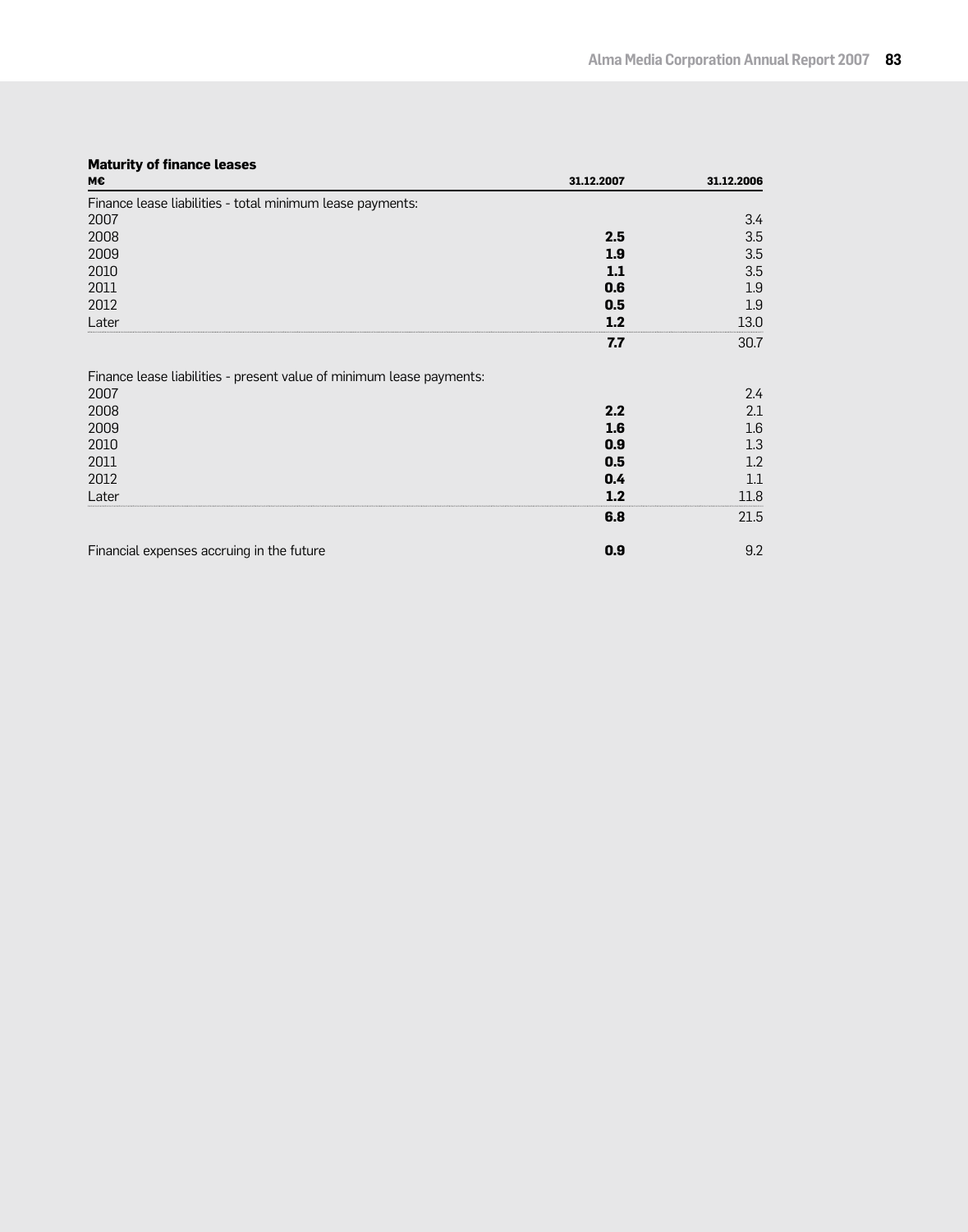## **Maturity of finance leases**

| M€                                                                   | 31.12.2007 | 31.12.2006 |
|----------------------------------------------------------------------|------------|------------|
| Finance lease liabilities - total minimum lease payments:            |            |            |
| 2007                                                                 |            | 3.4        |
| 2008                                                                 | 2.5        | 3.5        |
| 2009                                                                 | 1.9        | 3.5        |
| 2010                                                                 | 1.1        | 3.5        |
| 2011                                                                 | 0.6        | 1.9        |
| 2012                                                                 | 0.5        | 1.9        |
| Later                                                                | 1.2        | 13.0       |
|                                                                      | 7.7        | 30.7       |
| Finance lease liabilities - present value of minimum lease payments: |            |            |
| 2007                                                                 |            | 2.4        |
| 2008                                                                 | 2.2        | 2.1        |
| 2009                                                                 | 1.6        | 1.6        |
| 2010                                                                 | 0.9        | 1.3        |
| 2011                                                                 | 0.5        | 1.2        |
| 2012                                                                 | 0.4        | 1.1        |
| Later                                                                | 1.2        | 11.8       |
|                                                                      | 6.8        | 21.5       |
| Financial expenses accruing in the future                            | 0.9        | 9.2        |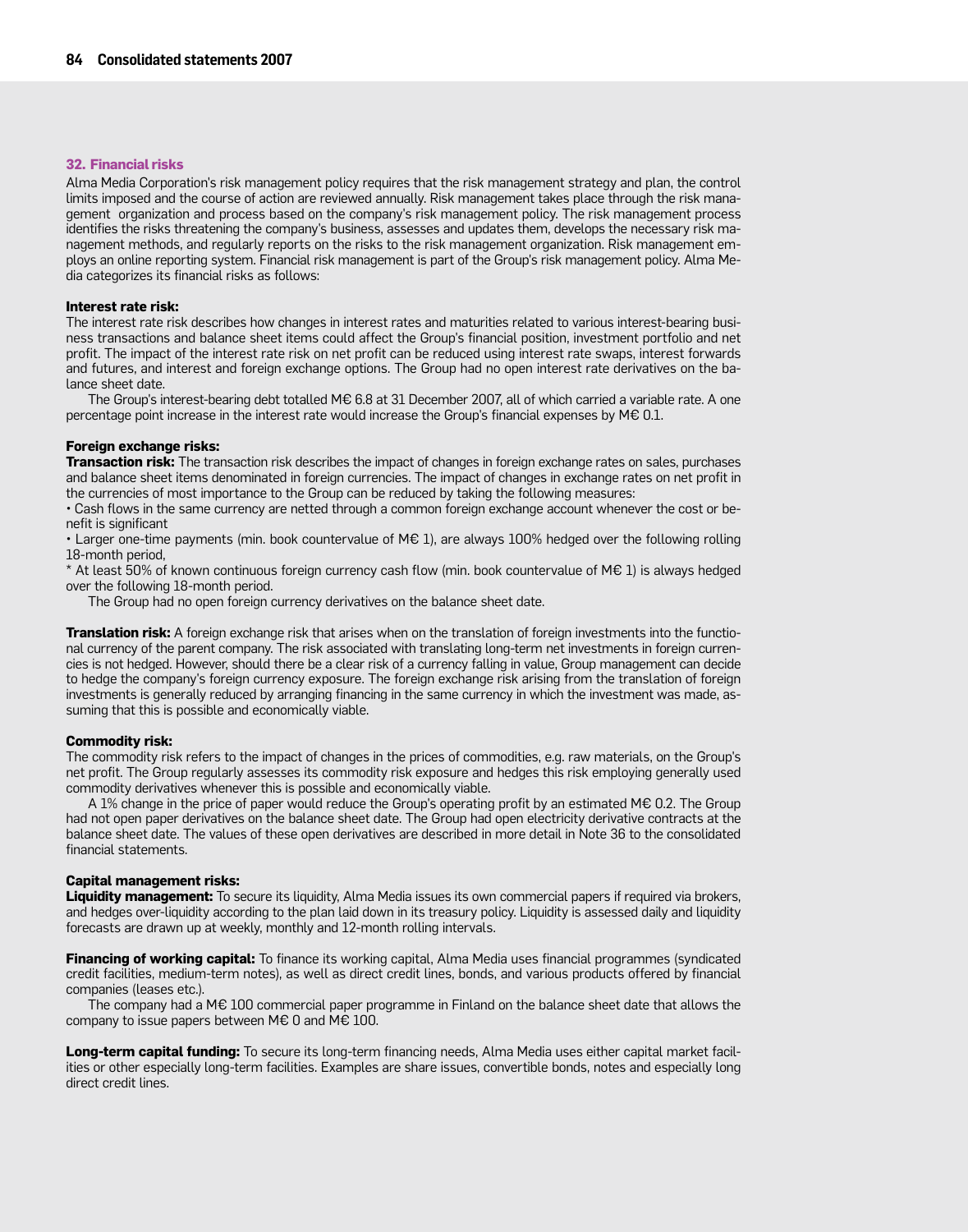#### **32. Financial risks**

Alma Media Corporation's risk management policy requires that the risk management strategy and plan, the control limits imposed and the course of action are reviewed annually. Risk management takes place through the risk management organization and process based on the company's risk management policy. The risk management process identifies the risks threatening the company's business, assesses and updates them, develops the necessary risk management methods, and regularly reports on the risks to the risk management organization. Risk management employs an online reporting system. Financial risk management is part of the Group's risk management policy. Alma Media categorizes its financial risks as follows:

#### **Interest rate risk:**

The interest rate risk describes how changes in interest rates and maturities related to various interest-bearing business transactions and balance sheet items could affect the Group's financial position, investment portfolio and net profit. The impact of the interest rate risk on net profit can be reduced using interest rate swaps, interest forwards and futures, and interest and foreign exchange options. The Group had no open interest rate derivatives on the balance sheet date.

The Group's interest-bearing debt totalled M€ 6.8 at 31 December 2007, all of which carried a variable rate. A one percentage point increase in the interest rate would increase the Group's financial expenses by M€ 0.1.

#### **Foreign exchange risks:**

**Transaction risk:** The transaction risk describes the impact of changes in foreign exchange rates on sales, purchases and balance sheet items denominated in foreign currencies. The impact of changes in exchange rates on net profit in the currencies of most importance to the Group can be reduced by taking the following measures:

• Cash flows in the same currency are netted through a common foreign exchange account whenever the cost or benefit is significant

• Larger one-time payments (min. book countervalue of M€ 1), are always 100% hedged over the following rolling 18-month period,

\* At least 50% of known continuous foreign currency cash flow (min. book countervalue of M€ 1) is always hedged over the following 18-month period.

The Group had no open foreign currency derivatives on the balance sheet date.

**Translation risk:** A foreign exchange risk that arises when on the translation of foreign investments into the functional currency of the parent company. The risk associated with translating long-term net investments in foreign currencies is not hedged. However, should there be a clear risk of a currency falling in value, Group management can decide to hedge the company's foreign currency exposure. The foreign exchange risk arising from the translation of foreign investments is generally reduced by arranging financing in the same currency in which the investment was made, assuming that this is possible and economically viable.

#### **Commodity risk:**

The commodity risk refers to the impact of changes in the prices of commodities, e.g. raw materials, on the Group's net profit. The Group regularly assesses its commodity risk exposure and hedges this risk employing generally used commodity derivatives whenever this is possible and economically viable.

A 1% change in the price of paper would reduce the Group's operating profit by an estimated M€ 0.2. The Group had not open paper derivatives on the balance sheet date. The Group had open electricity derivative contracts at the balance sheet date. The values of these open derivatives are described in more detail in Note 36 to the consolidated financial statements.

#### **Capital management risks:**

**Liquidity management:** To secure its liquidity, Alma Media issues its own commercial papers if required via brokers, and hedges over-liquidity according to the plan laid down in its treasury policy. Liquidity is assessed daily and liquidity forecasts are drawn up at weekly, monthly and 12-month rolling intervals.

**Financing of working capital:** To finance its working capital, Alma Media uses financial programmes (syndicated credit facilities, medium-term notes), as well as direct credit lines, bonds, and various products offered by financial companies (leases etc.).

The company had a M€ 100 commercial paper programme in Finland on the balance sheet date that allows the company to issue papers between M $\epsilon$  0 and M $\epsilon$  100.

**Long-term capital funding:** To secure its long-term financing needs, Alma Media uses either capital market facilities or other especially long-term facilities. Examples are share issues, convertible bonds, notes and especially long direct credit lines.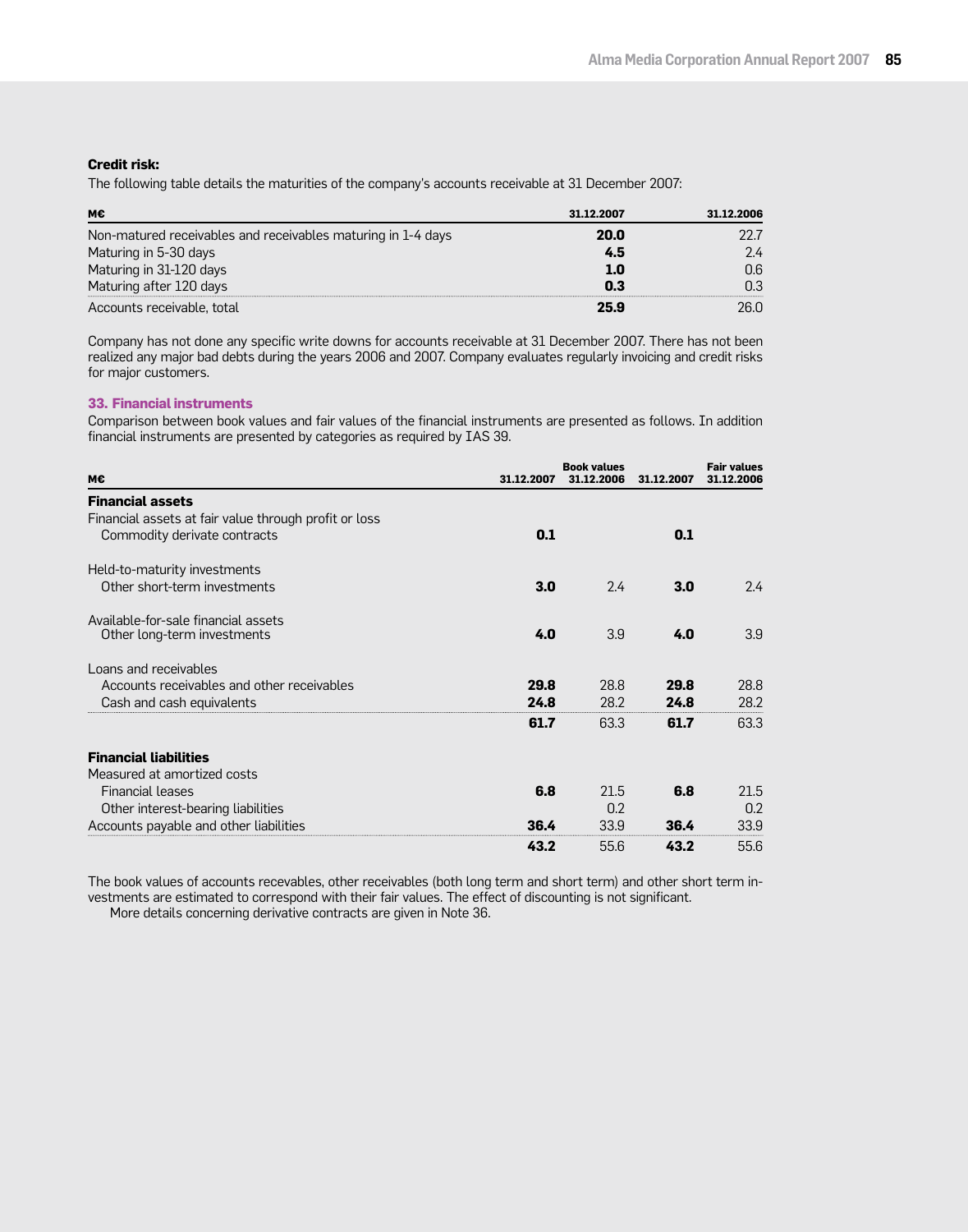### **Credit risk:**

The following table details the maturities of the company's accounts receivable at 31 December 2007:

| м€                                                           | 31.12.2007 | 31.12.2006 |
|--------------------------------------------------------------|------------|------------|
| Non-matured receivables and receivables maturing in 1-4 days | 20.0       |            |
| Maturing in 5-30 days                                        | 4.5        | 2.4        |
| Maturing in 31-120 days                                      | 1.0        | ೧.6        |
| Maturing after 120 days                                      | 0.3        | nз         |
| Accounts receivable, total                                   | 25.9       |            |

Company has not done any specific write downs for accounts receivable at 31 December 2007. There has not been realized any major bad debts during the years 2006 and 2007. Company evaluates regularly invoicing and credit risks for major customers.

### **33. Financial instruments**

Comparison between book values and fair values of the financial instruments are presented as follows. In addition financial instruments are presented by categories as required by IAS 39.

|                                                       |            | <b>Book values</b> |            | <b>Fair values</b> |
|-------------------------------------------------------|------------|--------------------|------------|--------------------|
| M€                                                    | 31.12.2007 | 31.12.2006         | 31.12.2007 | 31.12.2006         |
| <b>Financial assets</b>                               |            |                    |            |                    |
| Financial assets at fair value through profit or loss |            |                    |            |                    |
| Commodity derivate contracts                          | 0.1        |                    | 0.1        |                    |
| Held-to-maturity investments                          |            |                    |            |                    |
| Other short-term investments                          | 3.0        | 2.4                | 3.0        | 2.4                |
| Available-for-sale financial assets                   |            |                    |            |                    |
| Other long-term investments                           | 4.0        | 3.9                | 4.0        | 3.9                |
| Loans and receivables                                 |            |                    |            |                    |
| Accounts receivables and other receivables            | 29.8       | 28.8               | 29.8       | 28.8               |
| Cash and cash equivalents                             | 24.8       | 28.2               | 24.8       | 28.2               |
|                                                       | 61.7       | 63.3               | 61.7       | 63.3               |
| <b>Financial liabilities</b>                          |            |                    |            |                    |
| Measured at amortized costs                           |            |                    |            |                    |
| <b>Financial leases</b>                               | 6.8        | 21.5               | 6.8        | 21.5               |
| Other interest-bearing liabilities                    |            | 0.2                |            | 0.2                |
| Accounts payable and other liabilities                | 36.4       | 33.9               | 36.4       | 33.9               |
|                                                       | 43.2       | 55.6               | 43.2       | 55.6               |

The book values of accounts recevables, other receivables (both long term and short term) and other short term investments are estimated to correspond with their fair values. The effect of discounting is not significant.

More details concerning derivative contracts are given in Note 36.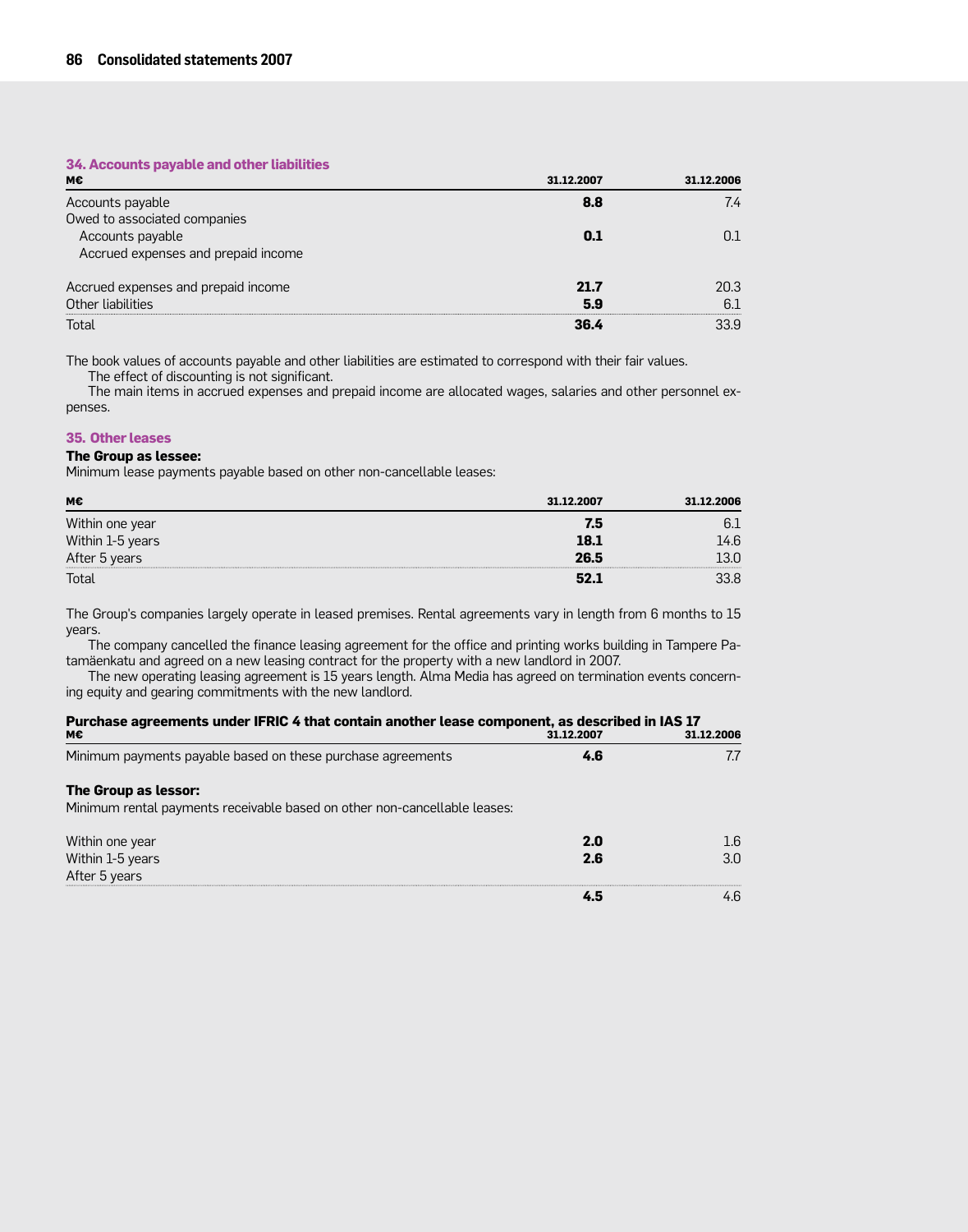### **34. Accounts payable and other liabilities**

| М€                                  | 31.12.2007 | 31.12.2006 |
|-------------------------------------|------------|------------|
| Accounts payable                    | 8.8        | 7.4        |
| Owed to associated companies        |            |            |
| Accounts payable                    | 0.1        |            |
| Accrued expenses and prepaid income |            |            |
| Accrued expenses and prepaid income | 21.7       | 20.3       |
| Other liabilities                   | 5.9        | 61         |
| Total                               | 36.4       | 33.9       |

The book values of accounts payable and other liabilities are estimated to correspond with their fair values.

The effect of discounting is not significant.

The main items in accrued expenses and prepaid income are allocated wages, salaries and other personnel expenses.

#### **35. Other leases**

#### **The Group as lessee:**

Minimum lease payments payable based on other non-cancellable leases:

| M€                                | 31.12.2007 | 31.12.2006 |
|-----------------------------------|------------|------------|
| Within one year                   | 7.5        |            |
| Within 1-5 years<br>After 5 years | 18.1       | 46         |
|                                   | 26.5       |            |
| Total                             |            |            |

The Group's companies largely operate in leased premises. Rental agreements vary in length from 6 months to 15 years.

The company cancelled the finance leasing agreement for the office and printing works building in Tampere Patamäenkatu and agreed on a new leasing contract for the property with a new landlord in 2007.

The new operating leasing agreement is 15 years length. Alma Media has agreed on termination events concerning equity and gearing commitments with the new landlord.

| Purchase agreements under IFRIC 4 that contain another lease component, as described in IAS 17<br>м€ | 31.12.2007 | 31.12.2006 |
|------------------------------------------------------------------------------------------------------|------------|------------|
| Minimum payments payable based on these purchase agreements                                          | 4.6        | 7.7        |
| The Group as lessor:<br>Minimum rental payments receivable based on other non-cancellable leases:    |            |            |
| Within one year                                                                                      | 2.0        | 1.6        |
| Within 1-5 years                                                                                     | 2.6        | 3.0        |
| After 5 years                                                                                        |            |            |
|                                                                                                      |            | 4 6        |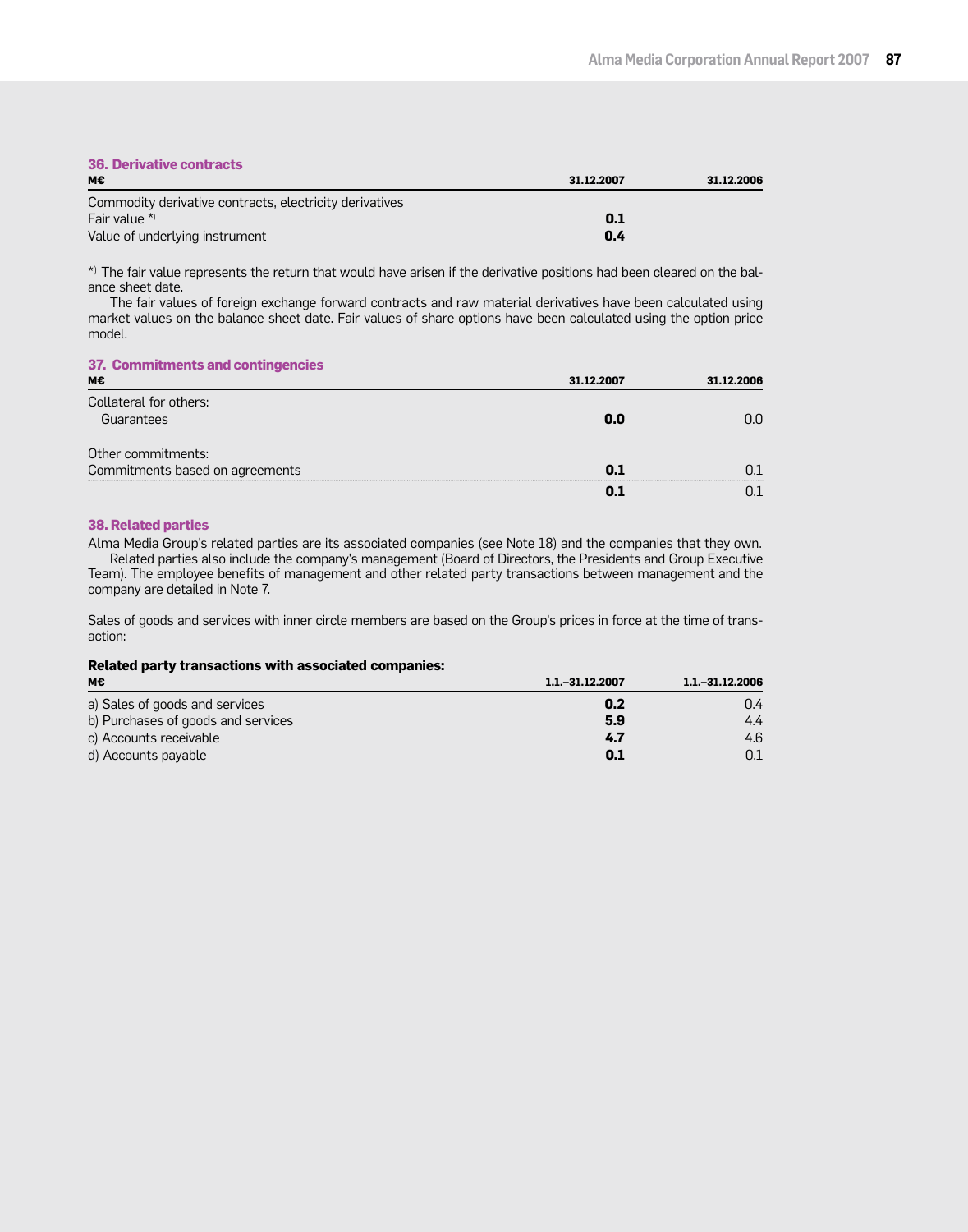# **36. Derivative contracts**

| мє                                                      | 31.12.2007 | 31.12.2006 |
|---------------------------------------------------------|------------|------------|
| Commodity derivative contracts, electricity derivatives |            |            |
| Fair value $*$                                          | 0.1        |            |
| Value of underlying instrument                          | 0.4        |            |

\*) The fair value represents the return that would have arisen if the derivative positions had been cleared on the balance sheet date.

The fair values of foreign exchange forward contracts and raw material derivatives have been calculated using market values on the balance sheet date. Fair values of share options have been calculated using the option price model.

#### **37. Commitments and contingencies**

| м€                              | 31.12.2007 | 31.12.2006 |
|---------------------------------|------------|------------|
| Collateral for others:          |            |            |
| Guarantees                      | 0.O        |            |
| Other commitments:              |            |            |
| Commitments based on agreements | n 1        |            |
|                                 |            |            |

#### **38. Related parties**

Alma Media Group's related parties are its associated companies (see Note 18) and the companies that they own. Related parties also include the company's management (Board of Directors, the Presidents and Group Executive Team). The employee benefits of management and other related party transactions between management and the company are detailed in Note 7.

Sales of goods and services with inner circle members are based on the Group's prices in force at the time of transaction:

## **Related party transactions with associated companies:**

| М€                                 | 1.1. - 31.12.2007 | $1.1 - 31.12.2006$ |
|------------------------------------|-------------------|--------------------|
| a) Sales of goods and services     | 0.2               | 0.4                |
| b) Purchases of goods and services | 5.9               | 4.4                |
| c) Accounts receivable             | 4.7               | 4.6                |
| d) Accounts payable                | 0.1               | 0.1                |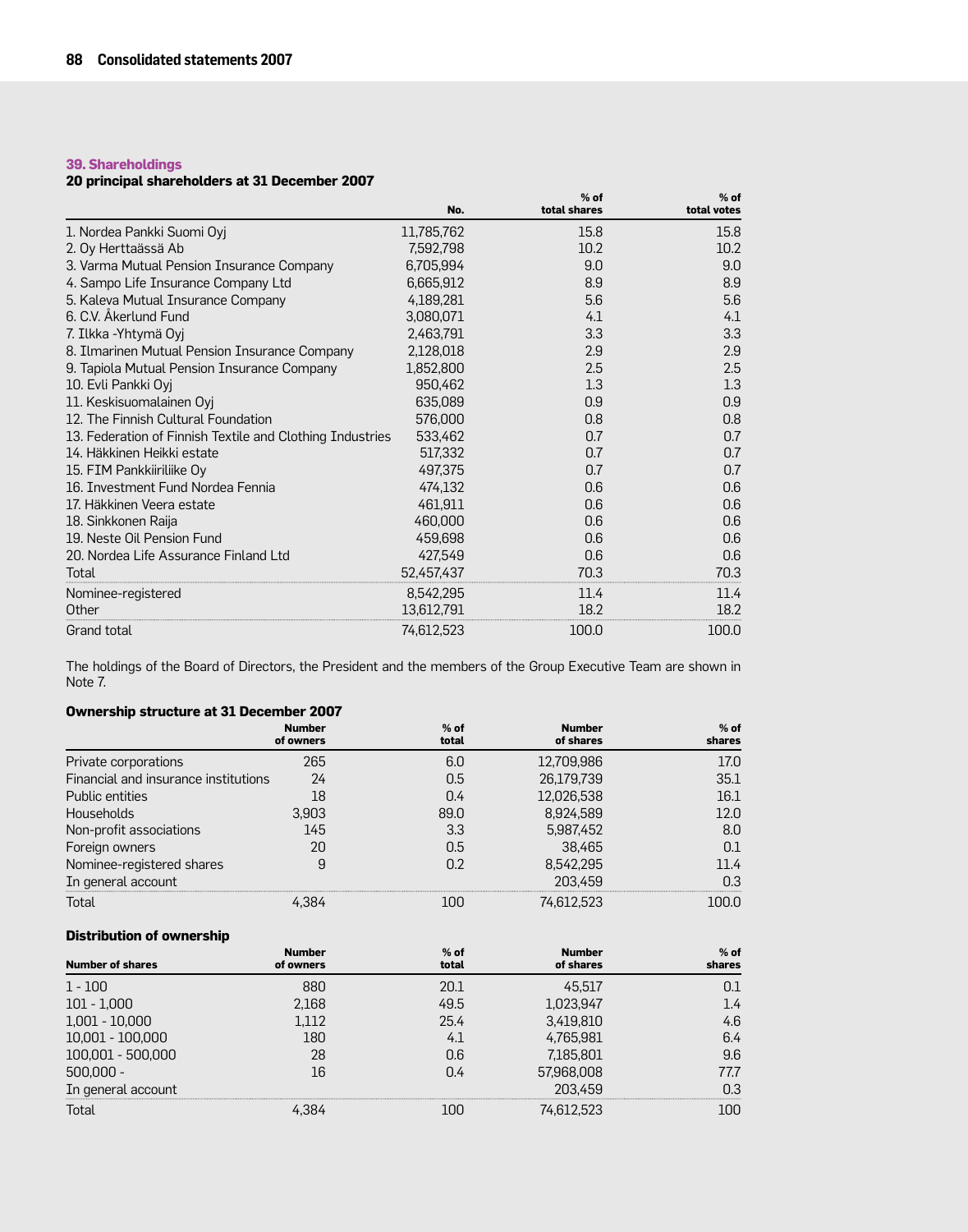## **39. Shareholdings**

## **20 principal shareholders at 31 December 2007**

|                                                           | No.        | $%$ of<br>total shares | $%$ of<br>total votes |
|-----------------------------------------------------------|------------|------------------------|-----------------------|
| 1. Nordea Pankki Suomi Oyj                                | 11,785,762 | 15.8                   | 15.8                  |
| 2. Oy Herttaässä Ab                                       | 7,592,798  | 10.2                   | 10.2                  |
| 3. Varma Mutual Pension Insurance Company                 | 6,705,994  | 9.0                    | 9.0                   |
| 4. Sampo Life Insurance Company Ltd                       | 6,665,912  | 8.9                    | 8.9                   |
| 5. Kaleva Mutual Insurance Company                        | 4,189,281  | 5.6                    | 5.6                   |
| 6. C.V. Åkerlund Fund                                     | 3,080,071  | 4.1                    | 4.1                   |
| 7. Ilkka -Yhtymä Oyj                                      | 2,463,791  | 3.3                    | 3.3                   |
| 8. Ilmarinen Mutual Pension Insurance Company             | 2,128,018  | 2.9                    | 2.9                   |
| 9. Tapiola Mutual Pension Insurance Company               | 1,852,800  | 2.5                    | 2.5                   |
| 10. Evli Pankki Oyj                                       | 950,462    | 1.3                    | 1.3                   |
| 11. Keskisuomalainen Oyj                                  | 635,089    | 0.9                    | 0.9                   |
| 12. The Finnish Cultural Foundation                       | 576,000    | 0.8                    | 0.8                   |
| 13. Federation of Finnish Textile and Clothing Industries | 533,462    | 0.7                    | 0.7                   |
| 14. Häkkinen Heikki estate                                | 517,332    | 0.7                    | 0.7                   |
| 15. FIM Pankkiiriliike Oy                                 | 497,375    | 0.7                    | 0.7                   |
| 16. Investment Fund Nordea Fennia                         | 474,132    | 0.6                    | 0.6                   |
| 17. Häkkinen Veera estate                                 | 461,911    | 0.6                    | 0.6                   |
| 18. Sinkkonen Raija                                       | 460,000    | 0.6                    | 0.6                   |
| 19. Neste Oil Pension Fund                                | 459,698    | 0.6                    | 0.6                   |
| 20. Nordea Life Assurance Finland Ltd                     | 427,549    | 0.6                    | 0.6                   |
| Total                                                     | 52,457,437 | 70.3                   | 70.3                  |
| Nominee-registered                                        | 8,542,295  | 11.4                   | 11.4                  |
| Other                                                     | 13,612,791 | 18.2                   | 18.2                  |
| Grand total                                               | 74,612,523 | 100.0                  | 100.0                 |

The holdings of the Board of Directors, the President and the members of the Group Executive Team are shown in Note 7.

## **Ownership structure at 31 December 2007**

|                                      | <b>Number</b><br>of owners | $%$ of<br>total | <b>Number</b><br>of shares | $%$ of<br>shares |
|--------------------------------------|----------------------------|-----------------|----------------------------|------------------|
| Private corporations                 | 265                        | 6.0             | 12,709,986                 | 17.0             |
| Financial and insurance institutions | 24                         | 0.5             | 26,179,739                 | 35.1             |
| Public entities                      | 18                         | 0.4             | 12,026,538                 | 16.1             |
| <b>Households</b>                    | 3,903                      | 89.0            | 8,924,589                  | 12.በ             |
| Non-profit associations              | 145                        | 3.3             | 5,987,452                  | 8.0              |
| Foreign owners                       | 20                         | 0.5             | 38.465                     |                  |
| Nominee-registered shares            | 9                          | 0.2             | 8,542,295                  | 11 4             |
| In general account                   |                            |                 | 203.459                    |                  |
| Total                                |                            |                 |                            | nn n             |

## **Distribution of ownership**

| <b>Number of shares</b> | <b>Number</b><br>of owners | $%$ of<br>total | <b>Number</b><br>of shares | $%$ of<br>shares |
|-------------------------|----------------------------|-----------------|----------------------------|------------------|
| $1 - 100$               | 880                        | 20.1            | 45.517                     |                  |
| $101 - 1,000$           | 2,168                      | 49.5            | 1,023,947                  | 1.4              |
| $1,001 - 10,000$        | .112                       | 25.4            | 3,419,810                  | 4.6              |
| $10,001 - 100,000$      | 180                        | 4.              | 765.981                    | 6.4              |
| 100,001 - 500,000       | 28                         | 0.6             | 7,185,801                  | 9.6              |
| $500,000 -$             | 16                         | 0.4             | 57,968,008                 | 77.7             |
| In general account      |                            |                 | 203.459                    | 0.3              |
| Total                   |                            |                 |                            |                  |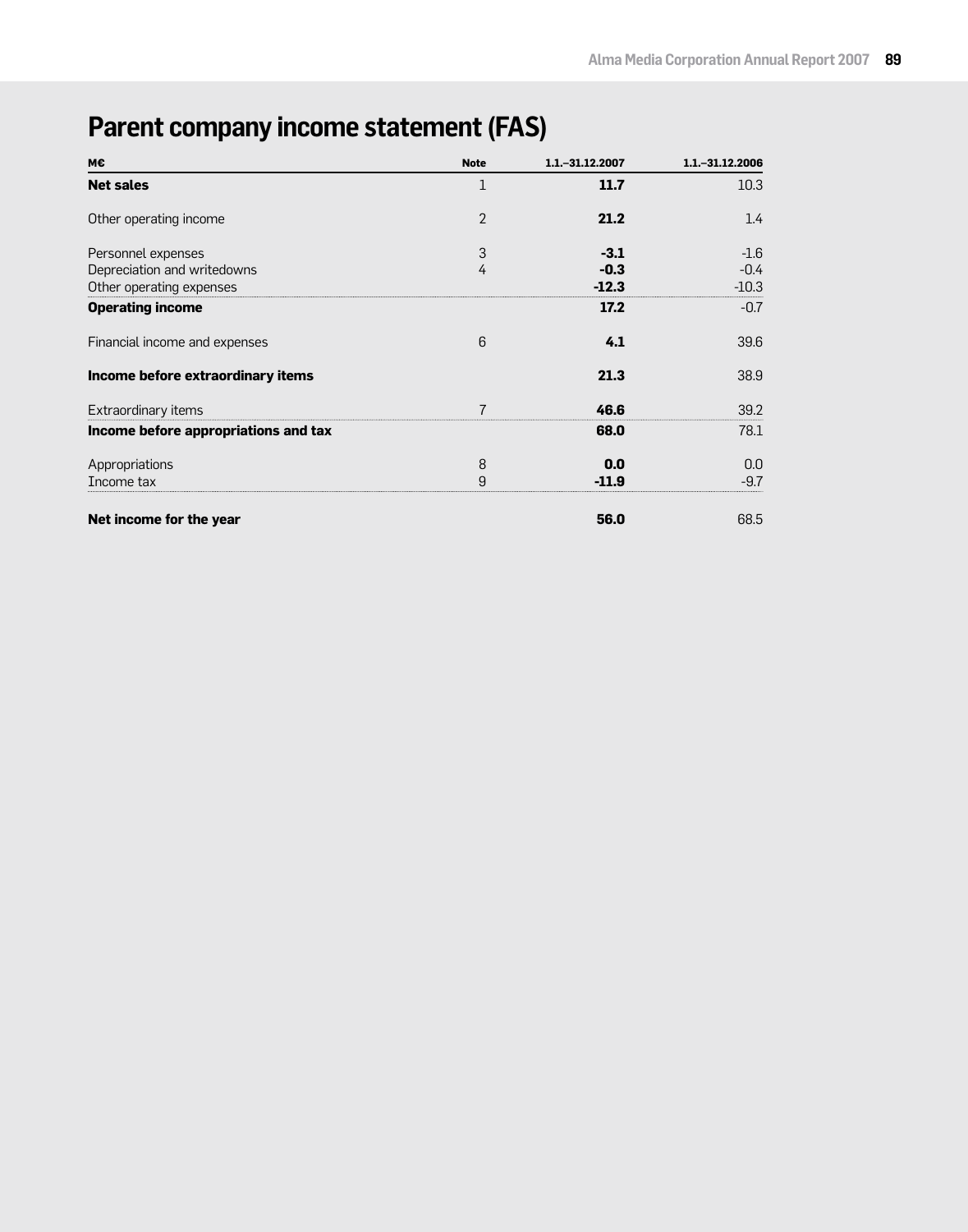# **Parent company income statement (FAS)**

| 11.7<br>10.3<br>21.2<br>1.4                                                                  |
|----------------------------------------------------------------------------------------------|
|                                                                                              |
|                                                                                              |
| $-1.6$                                                                                       |
| $-0.4$                                                                                       |
| $-10.3$                                                                                      |
| $-0.7$                                                                                       |
| 39.6                                                                                         |
| 38.9                                                                                         |
| 39.2                                                                                         |
| 78.1                                                                                         |
| 0.0                                                                                          |
| $-9.7$                                                                                       |
| 68.5                                                                                         |
| $-3.1$<br>$-0.3$<br>$-12.3$<br>17.2<br>4.1<br>21.3<br>46.6<br>68.0<br>0.0<br>$-11.9$<br>56.0 |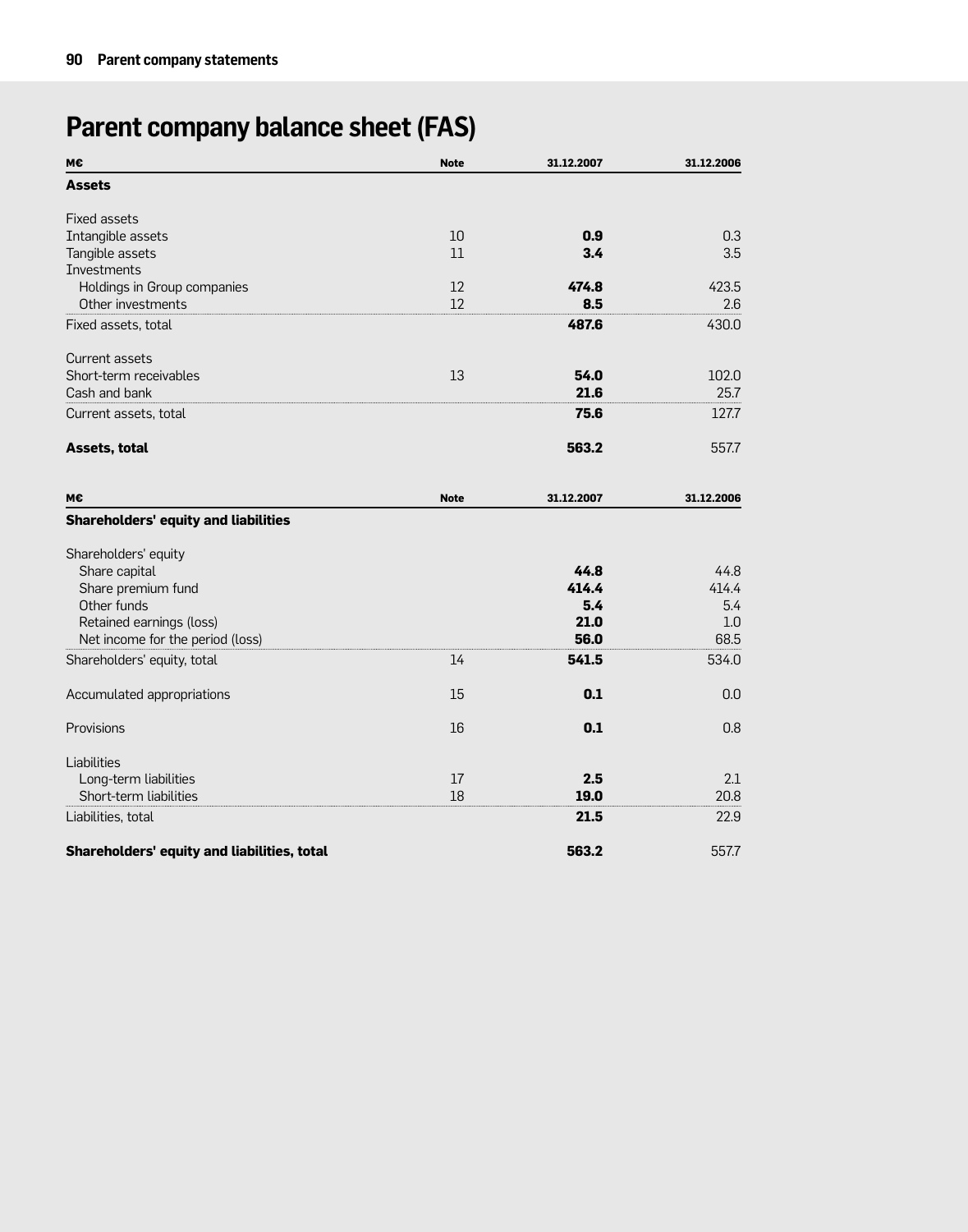# **Parent company balance sheet (FAS)**

| М€                                          | <b>Note</b> | 31.12.2007 | 31.12.2006 |
|---------------------------------------------|-------------|------------|------------|
| <b>Assets</b>                               |             |            |            |
| <b>Fixed assets</b>                         |             |            |            |
| Intangible assets                           | 10          | 0.9        | 0.3        |
| Tangible assets                             | 11          | 3.4        | 3.5        |
| <b>Investments</b>                          |             |            |            |
| Holdings in Group companies                 | 12          | 474.8      | 423.5      |
| Other investments                           | 12          | 8.5        | 2.6        |
| Fixed assets, total                         |             | 487.6      | 430.0      |
| Current assets                              |             |            |            |
| Short-term receivables                      | 13          | 54.0       | 102.0      |
| Cash and bank                               |             | 21.6       | 25.7       |
| Current assets, total                       |             | 75.6       | 127.7      |
| <b>Assets, total</b>                        |             | 563.2      | 557.7      |
| м€                                          | <b>Note</b> | 31.12.2007 | 31.12.2006 |
| <b>Shareholders' equity and liabilities</b> |             |            |            |
| Shareholders' equity                        |             |            |            |
| Share capital                               |             | 44.8       | 44.8       |
| Share premium fund                          |             | 414.4      | 414.4      |
| Other funds                                 |             | 5.4        | 5.4        |
| Retained earnings (loss)                    |             | 21.0       | 1.0        |
| Net income for the period (loss)            |             | 56.0       | 68.5       |
| Shareholders' equity, total                 | 14          | 541.5      | 534.0      |
| Accumulated appropriations                  | 15          | 0.1        | 0.0        |
| Provisions                                  | 16          | 0.1        | 0.8        |
| Liabilities                                 |             |            |            |
| Long-term liabilities                       | 17          | 2.5        | 2.1        |
| Short-term liabilities                      | 18          | 19.0       | 20.8       |
| Liabilities, total                          |             | 21.5       | 22.9       |
| Shareholders' equity and liabilities, total |             | 563.2      | 557.7      |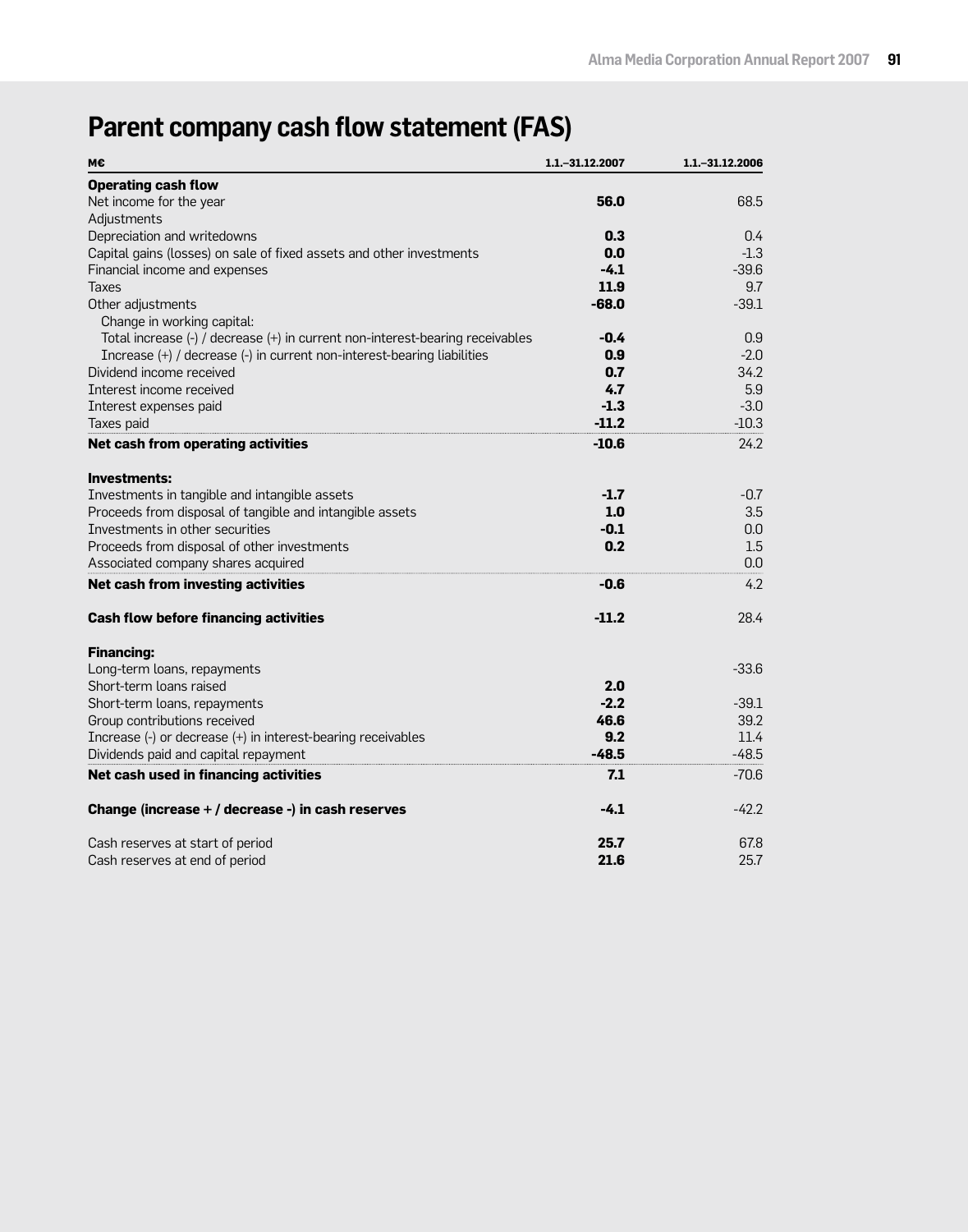# **Parent company cash flow statement (FAS)**

| M€                                                                            | 1.1. - 31.12.2007 | 1.1. - 31.12.2006 |
|-------------------------------------------------------------------------------|-------------------|-------------------|
| <b>Operating cash flow</b>                                                    |                   |                   |
| Net income for the year                                                       | 56.0              | 68.5              |
| Adjustments                                                                   |                   |                   |
| Depreciation and writedowns                                                   | 0.3               | 0.4               |
| Capital gains (losses) on sale of fixed assets and other investments          | 0.0               | $-1.3$            |
| Financial income and expenses                                                 | $-4.1$            | $-39.6$           |
| Taxes                                                                         | 11.9              | 9.7               |
| Other adjustments                                                             | $-68.0$           | $-39.1$           |
| Change in working capital:                                                    |                   |                   |
| Total increase (-) / decrease (+) in current non-interest-bearing receivables | $-0.4$            | 0.9               |
| Increase (+) / decrease (-) in current non-interest-bearing liabilities       | 0.9               | $-2.0$            |
| Dividend income received                                                      | 0.7               | 34.2              |
| Interest income received                                                      | 4.7               | 5.9               |
| Interest expenses paid                                                        | $-1.3$            | $-3.0$            |
| Taxes paid                                                                    | $-11.2$           | $-10.3$           |
| Net cash from operating activities                                            | $-10.6$           | 24.2              |
| <b>Investments:</b>                                                           |                   |                   |
| Investments in tangible and intangible assets                                 | $-1.7$            | $-0.7$            |
| Proceeds from disposal of tangible and intangible assets                      | 1.0               | 3.5               |
| Investments in other securities                                               | $-0.1$            | 0.0               |
| Proceeds from disposal of other investments                                   | 0.2               | 1.5               |
| Associated company shares acquired                                            |                   | 0.0               |
| Net cash from investing activities                                            | $-0.6$            | 4.2               |
| <b>Cash flow before financing activities</b>                                  | $-11.2$           | 28.4              |
| <b>Financing:</b>                                                             |                   |                   |
| Long-term loans, repayments                                                   |                   | $-33.6$           |
| Short-term loans raised                                                       | 2.0               |                   |
| Short-term loans, repayments                                                  | $-2.2$            | $-39.1$           |
| Group contributions received                                                  | 46.6              | 39.2              |
| Increase (-) or decrease (+) in interest-bearing receivables                  | 9.2               | 11.4              |
| Dividends paid and capital repayment                                          | $-48.5$           | $-48.5$           |
| Net cash used in financing activities                                         | 7.1               | $-70.6$           |
| Change (increase + / decrease -) in cash reserves                             | $-4.1$            | $-42.2$           |
| Cash reserves at start of period                                              | 25.7              | 67.8              |
| Cash reserves at end of period                                                | 21.6              | 25.7              |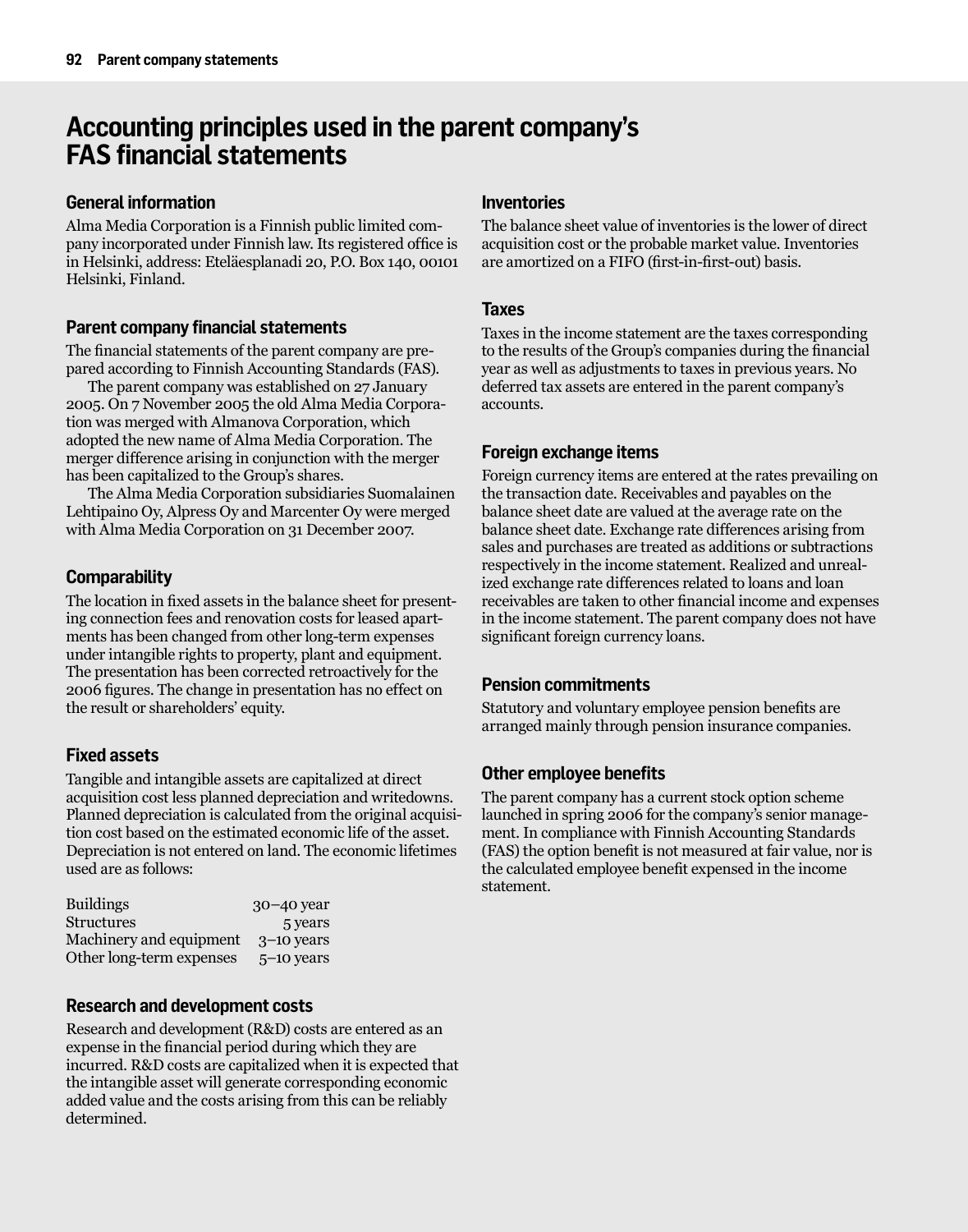# **Accounting principles used in the parent company's FAS financial statements**

# **General information**

Alma Media Corporation is a Finnish public limited company incorporated under Finnish law. Its registered office is in Helsinki, address: Eteläesplanadi 20, P.O. Box 140, 00101 Helsinki, Finland.

# **Parent company financial statements**

The financial statements of the parent company are prepared according to Finnish Accounting Standards (FAS).

The parent company was established on 27 January 2005. On 7 November 2005 the old Alma Media Corporation was merged with Almanova Corporation, which adopted the new name of Alma Media Corporation. The merger difference arising in conjunction with the merger has been capitalized to the Group's shares.

The Alma Media Corporation subsidiaries Suomalainen Lehtipaino Oy, Alpress Oy and Marcenter Oy were merged with Alma Media Corporation on 31 December 2007.

# **Comparability**

The location in fixed assets in the balance sheet for presenting connection fees and renovation costs for leased apartments has been changed from other long-term expenses under intangible rights to property, plant and equipment. The presentation has been corrected retroactively for the 2006 figures. The change in presentation has no effect on the result or shareholders' equity.

# **Fixed assets**

Tangible and intangible assets are capitalized at direct acquisition cost less planned depreciation and writedowns. Planned depreciation is calculated from the original acquisition cost based on the estimated economic life of the asset. Depreciation is not entered on land. The economic lifetimes used are as follows:

| <b>Buildings</b>         | $30-40$ year |
|--------------------------|--------------|
| Structures               | 5 years      |
| Machinery and equipment  | $3-10$ years |
| Other long-term expenses | $5-10$ vears |

# **Research and development costs**

Research and development (R&D) costs are entered as an expense in the financial period during which they are incurred. R&D costs are capitalized when it is expected that the intangible asset will generate corresponding economic added value and the costs arising from this can be reliably determined.

# **Inventories**

The balance sheet value of inventories is the lower of direct acquisition cost or the probable market value. Inventories are amortized on a FIFO (first-in-first-out) basis.

# **Taxes**

Taxes in the income statement are the taxes corresponding to the results of the Group's companies during the financial year as well as adjustments to taxes in previous years. No deferred tax assets are entered in the parent company's accounts.

# **Foreign exchange items**

Foreign currency items are entered at the rates prevailing on the transaction date. Receivables and payables on the balance sheet date are valued at the average rate on the balance sheet date. Exchange rate differences arising from sales and purchases are treated as additions or subtractions respectively in the income statement. Realized and unrealized exchange rate differences related to loans and loan receivables are taken to other financial income and expenses in the income statement. The parent company does not have significant foreign currency loans.

# **Pension commitments**

Statutory and voluntary employee pension benefits are arranged mainly through pension insurance companies.

# **Other employee benefits**

The parent company has a current stock option scheme launched in spring 2006 for the company's senior management. In compliance with Finnish Accounting Standards (FAS) the option benefit is not measured at fair value, nor is the calculated employee benefit expensed in the income statement.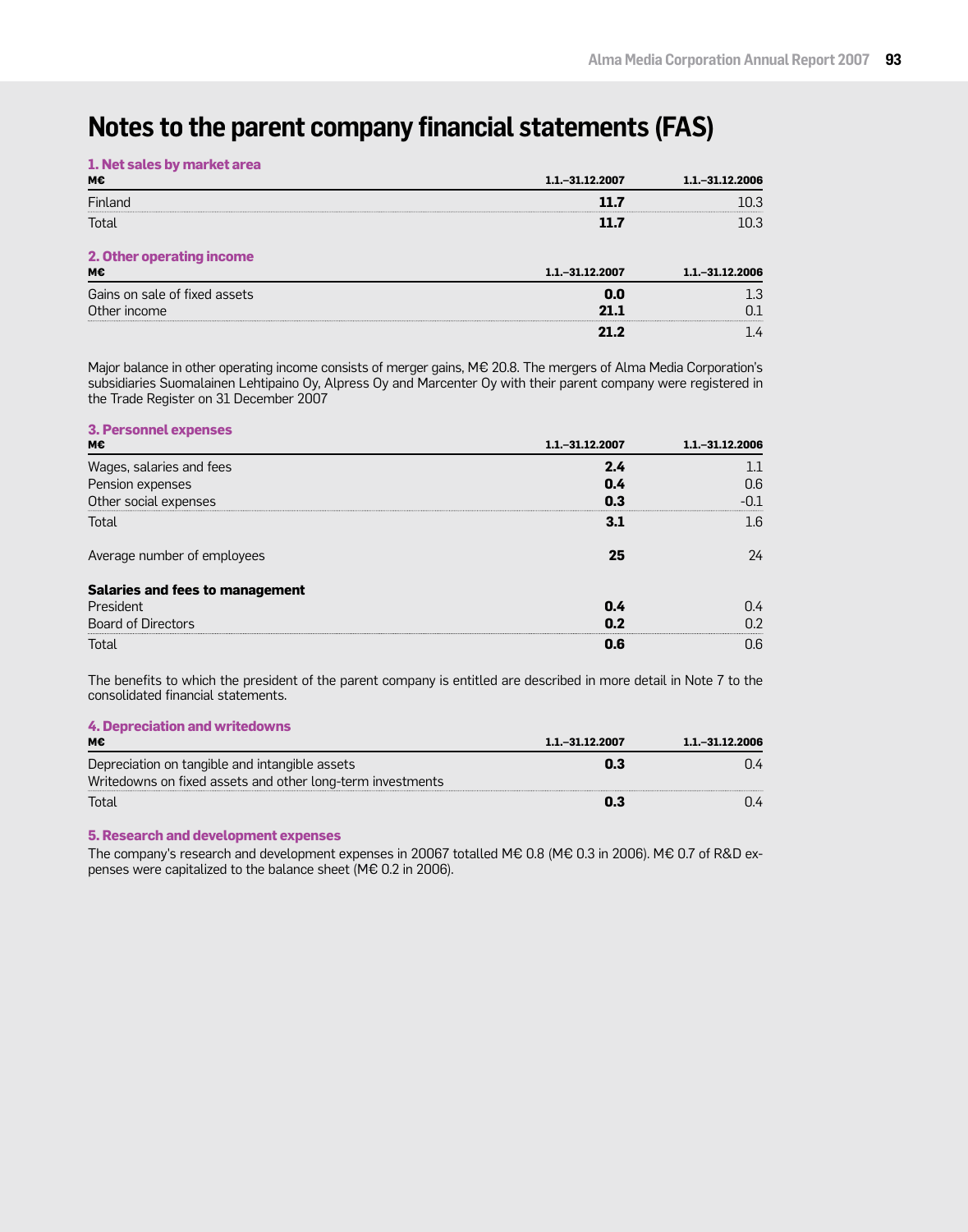# **Notes to the parent company financial statements (FAS)**

| 1. Net sales by market area |  |  |  |
|-----------------------------|--|--|--|
|-----------------------------|--|--|--|

| м€                            | 1.1. - 31.12.2007  | $1.1 - 31.12.2006$ |
|-------------------------------|--------------------|--------------------|
| Finland                       | 11 7               | 10.3               |
| Total                         | 11.7               | 10.3               |
| 2. Other operating income     |                    |                    |
| м€                            | $1.1 - 31.12.2007$ | 1.1. - 31.12.2006  |
| Gains on sale of fixed assets | 0.O                | .3                 |
| Other income                  |                    |                    |
|                               |                    |                    |

Major balance in other operating income consists of merger gains, M€ 20.8. The mergers of Alma Media Corporation's subsidiaries Suomalainen Lehtipaino Oy, Alpress Oy and Marcenter Oy with their parent company were registered in the Trade Register on 31 December 2007

# **3. Personnel expenses**

| м€                              | $1.1 - 31.12.2007$ | 1.1. - 31.12.2006 |
|---------------------------------|--------------------|-------------------|
| Wages, salaries and fees        | 24                 |                   |
| Pension expenses                | 0.4                | 0.6               |
| Other social expenses           | 0.3                |                   |
| Total                           | 31                 | 1.6               |
| Average number of employees     | 25                 | 24                |
| Salaries and fees to management |                    |                   |
| President                       | በ 4                | በ 4               |
| <b>Board of Directors</b>       | 0.2                | በ ን               |
| Total                           |                    | Ი.Ნ               |

The benefits to which the president of the parent company is entitled are described in more detail in Note 7 to the consolidated financial statements.

# **4. Depreciation and writedowns**

| мє                                                         | 1.1. - 31.12.2007 | 1.1. - 31.12.2006 |
|------------------------------------------------------------|-------------------|-------------------|
| Depreciation on tangible and intangible assets             | 0.3               | 7.4               |
| Writedowns on fixed assets and other long-term investments |                   |                   |
| Total                                                      | 0.3               | 14                |

### **5. Research and development expenses**

The company's research and development expenses in 20067 totalled M€ 0.8 (M€ 0.3 in 2006). M€ 0.7 of R&D expenses were capitalized to the balance sheet (M€ 0.2 in 2006).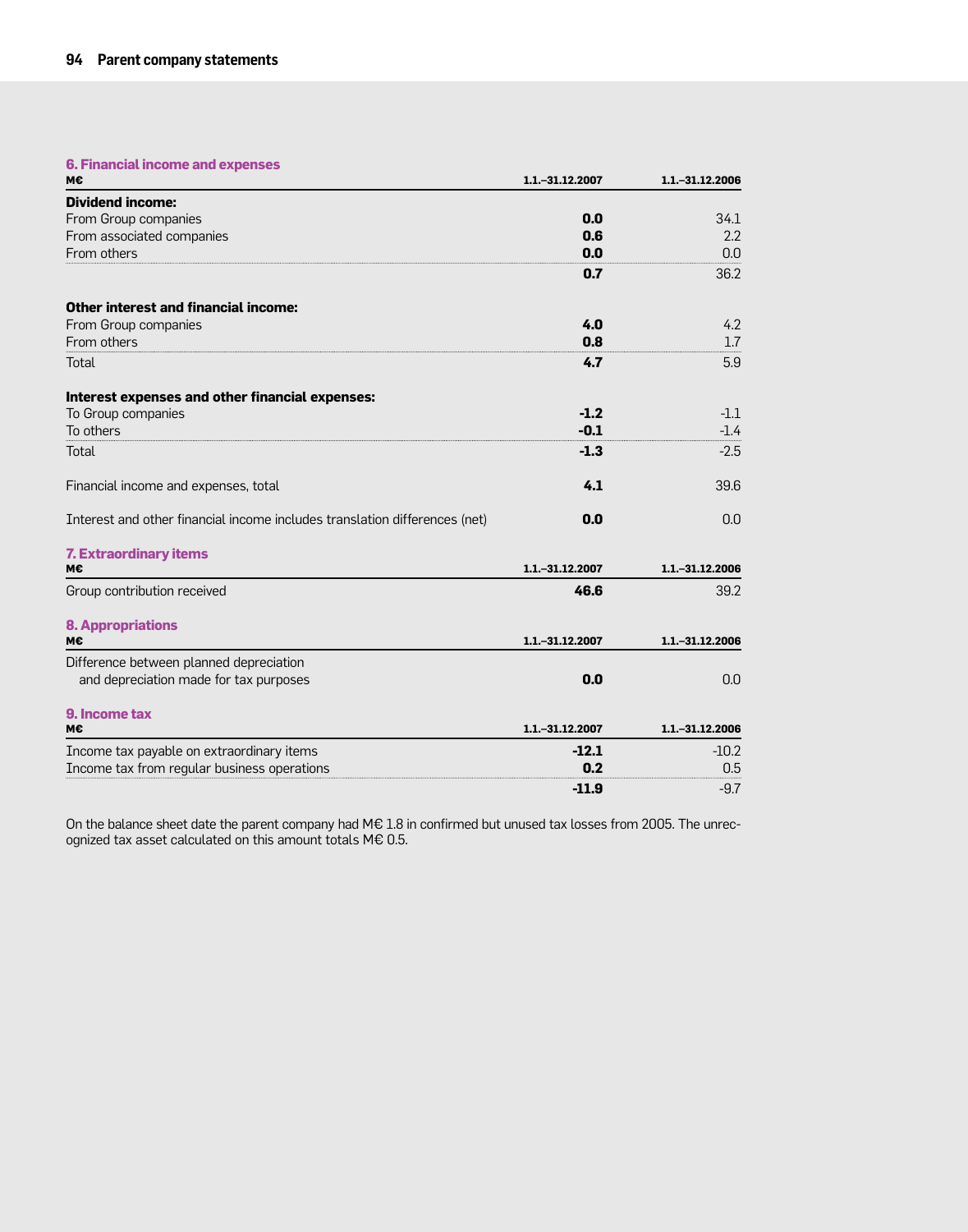## **6. Financial income and expenses**

| М€                                                                         | 1.1 .- 31.12.2007 | 1.1 .- 31.12.2006 |  |  |
|----------------------------------------------------------------------------|-------------------|-------------------|--|--|
| <b>Dividend income:</b>                                                    |                   |                   |  |  |
| From Group companies                                                       | 0.0               | 34.1              |  |  |
| From associated companies                                                  | 0.6               | 2.2               |  |  |
| From others                                                                | 0.0               | 0.0               |  |  |
|                                                                            | 0.7               | 36.2              |  |  |
| <b>Other interest and financial income:</b>                                |                   |                   |  |  |
| From Group companies                                                       | 4.0               | 4.2               |  |  |
| From others                                                                | 0.8               | 1.7               |  |  |
| Total                                                                      | 4.7               | 5.9               |  |  |
| Interest expenses and other financial expenses:                            |                   |                   |  |  |
| To Group companies                                                         | $-1.2$            | $-1.1$            |  |  |
| To others                                                                  | $-0.1$            | $-1.4$            |  |  |
| <b>Total</b>                                                               | $-1.3$            | $-2.5$            |  |  |
| Financial income and expenses, total                                       | 4.1               | 39.6              |  |  |
| Interest and other financial income includes translation differences (net) | 0.0               | 0.0               |  |  |
| <b>7. Extraordinary items</b>                                              |                   |                   |  |  |
| M€                                                                         | 1.1. - 31.12.2007 | 1.1. - 31.12.2006 |  |  |
| Group contribution received                                                | 46.6              | 39.2              |  |  |
| <b>8. Appropriations</b>                                                   |                   |                   |  |  |
| м€                                                                         | 1.1 .- 31.12.2007 | 1.1 .- 31.12.2006 |  |  |
| Difference between planned depreciation                                    |                   |                   |  |  |
| and depreciation made for tax purposes                                     | 0.0               | 0.0               |  |  |
| 9. Income tax                                                              |                   |                   |  |  |
| м€                                                                         | 1.1. - 31.12.2007 | 1.1 .- 31.12.2006 |  |  |
| Income tax payable on extraordinary items                                  | $-12.1$           | $-10.2$           |  |  |
| Income tax from regular business operations                                | 0.2               | 0.5               |  |  |
|                                                                            | $-11.9$           | $-9.7$            |  |  |

On the balance sheet date the parent company had M€ 1.8 in confirmed but unused tax losses from 2005. The unrecognized tax asset calculated on this amount totals M€ 0.5.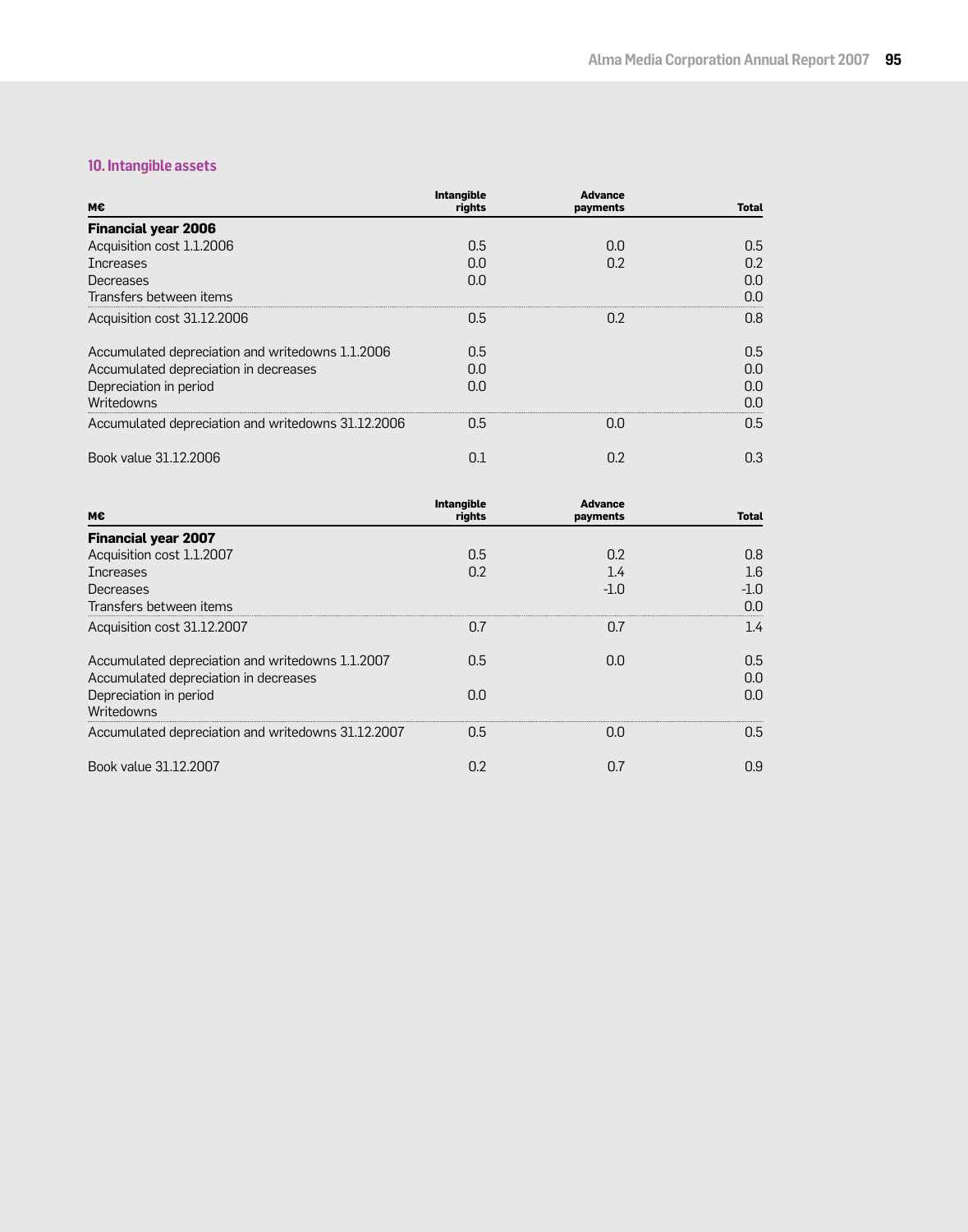## **10. Intangible assets**

| м€                                                 | <b>Intangible</b><br>rights | <b>Advance</b><br>payments | Total |
|----------------------------------------------------|-----------------------------|----------------------------|-------|
| <b>Financial year 2006</b>                         |                             |                            |       |
| Acquisition cost 1.1.2006                          | 0.5                         | 0.0                        | 0.5   |
| <b>Increases</b>                                   | 0.0                         | 0.2                        | 0.2   |
| Decreases                                          | 0.0                         |                            | 0.0   |
| Transfers between items                            |                             |                            | 0.0   |
| Acquisition cost 31.12.2006                        | 0.5                         | 0.2                        | 0.8   |
| Accumulated depreciation and writedowns 1.1.2006   | 0.5                         |                            | 0.5   |
| Accumulated depreciation in decreases              | 0.0                         |                            | 0.0   |
| Depreciation in period                             | 0.0                         |                            | 0.0   |
| Writedowns                                         |                             |                            | 0.0   |
| Accumulated depreciation and writedowns 31.12.2006 | 0.5                         | 0.0                        | 0.5   |
| Book value 31.12.2006                              | 0.1                         | 0.2                        | 0.3   |

| м€                                                                                        | <b>Intangible</b><br>rights | <b>Advance</b><br>payments | <b>Total</b> |
|-------------------------------------------------------------------------------------------|-----------------------------|----------------------------|--------------|
| <b>Financial year 2007</b>                                                                |                             |                            |              |
| Acquisition cost 1.1.2007                                                                 | 0.5                         | 0.2                        | 0.8          |
| <b>Increases</b>                                                                          | 0.2                         | 1.4                        | 1.6          |
| Decreases                                                                                 |                             | $-1.0$                     | $-1.0$       |
| Transfers between items                                                                   |                             |                            | 0.0          |
| Acquisition cost 31.12.2007                                                               | 0.7                         | 0.7                        | 1.4          |
| Accumulated depreciation and writedowns 1.1.2007<br>Accumulated depreciation in decreases | $0.5\,$                     | 0.0                        | 0.5<br>0.0   |
| Depreciation in period<br>Writedowns                                                      | 0.0                         |                            | 0.0          |
| Accumulated depreciation and writedowns 31.12.2007                                        | 0.5                         | n.n                        | 0.5          |
| Book value 31.12.2007                                                                     | 0.2                         | 0.7                        | 0.9          |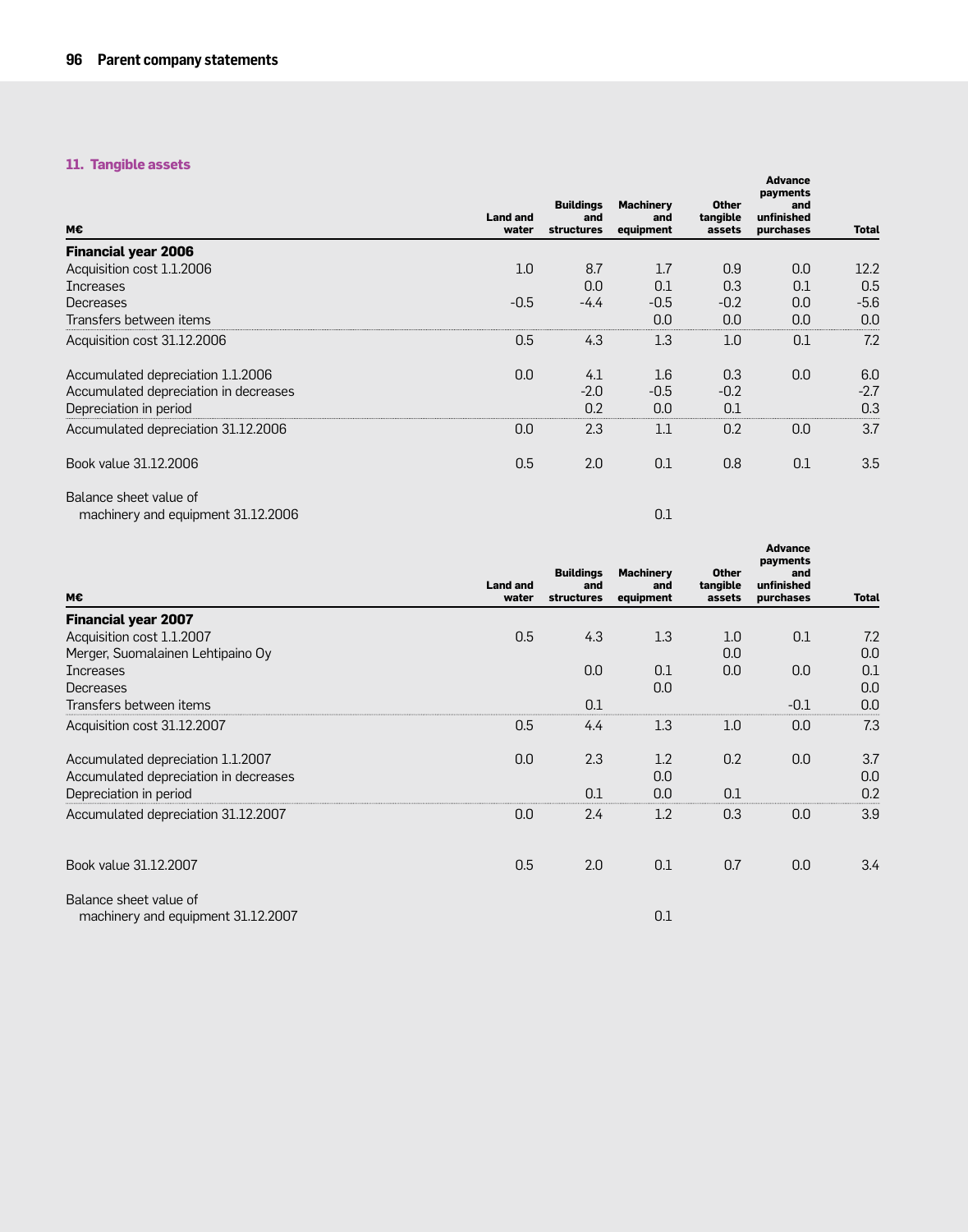## **11. Tangible assets**

| M€                                    | <b>Land and</b><br>water | <b>Buildings</b><br>and<br><b>structures</b> | <b>Machinery</b><br>and<br>equipment | <b>Other</b><br>tangible<br>assets | <b>Advance</b><br>payments<br>and<br>unfinished<br>purchases | <b>Total</b> |
|---------------------------------------|--------------------------|----------------------------------------------|--------------------------------------|------------------------------------|--------------------------------------------------------------|--------------|
| <b>Financial year 2006</b>            |                          |                                              |                                      |                                    |                                                              |              |
| Acquisition cost 1.1.2006             | 1.0                      | 8.7                                          | 1.7                                  | 0.9                                | 0.0                                                          | 12.2         |
| <b>Increases</b>                      |                          | 0.0                                          | 0.1                                  | 0.3                                | 0.1                                                          | 0.5          |
| Decreases                             | $-0.5$                   | $-4.4$                                       | $-0.5$                               | $-0.2$                             | 0.0                                                          | $-5.6$       |
| Transfers between items               |                          |                                              | 0.0                                  | 0.0                                | 0.0                                                          | 0.0          |
| Acquisition cost 31.12.2006           | 0.5                      | 4.3                                          | 1.3                                  | 1.0                                | 0.1                                                          | 7.2          |
| Accumulated depreciation 1.1.2006     | 0.0                      | 4.1                                          | 1.6                                  | 0.3                                | 0.0                                                          | 6.0          |
| Accumulated depreciation in decreases |                          | $-2.0$                                       | $-0.5$                               | $-0.2$                             |                                                              | $-2.7$       |
| Depreciation in period                |                          | 0.2                                          | 0.0                                  | 0.1                                |                                                              | 0.3          |
| Accumulated depreciation 31.12.2006   | 0.0                      | 2.3                                          | 1.1                                  | 0.2                                | 0.0                                                          | 3.7          |
| Book value 31.12.2006                 | 0.5                      | 2.0                                          | 0.1                                  | 0.8                                | 0.1                                                          | 3.5          |
| Balance sheet value of                |                          |                                              |                                      |                                    |                                                              |              |
| machinery and equipment 31.12.2006    |                          |                                              | 0.1                                  |                                    |                                                              |              |

|                                                              |                          | <b>Buildings</b>         | <b>Machinery</b> | <b>Other</b>       | <b>Advance</b><br>payments<br>and |              |
|--------------------------------------------------------------|--------------------------|--------------------------|------------------|--------------------|-----------------------------------|--------------|
| М€                                                           | <b>Land and</b><br>water | and<br><b>structures</b> | and<br>equipment | tangible<br>assets | unfinished<br>purchases           | <b>Total</b> |
| <b>Financial year 2007</b>                                   |                          |                          |                  |                    |                                   |              |
| Acquisition cost 1.1.2007                                    | 0.5                      | 4.3                      | 1.3              | 1.0                | 0.1                               | 7.2          |
| Merger, Suomalainen Lehtipaino Oy                            |                          |                          |                  | 0.0                |                                   | 0.0          |
| <b>Increases</b>                                             |                          | 0.0                      | 0.1              | 0.0                | 0.0                               | 0.1          |
| Decreases                                                    |                          |                          | 0.0              |                    |                                   | 0.0          |
| Transfers between items                                      |                          | 0.1                      |                  |                    | $-0.1$                            | 0.0          |
| Acquisition cost 31.12.2007                                  | 0.5                      | 4.4                      | 1.3              | 1.0                | 0.0                               | 7.3          |
| Accumulated depreciation 1.1.2007                            | 0.0                      | 2.3                      | 1.2              | 0.2                | 0.0                               | 3.7          |
| Accumulated depreciation in decreases                        |                          |                          | 0.0              |                    |                                   | 0.0          |
| Depreciation in period                                       |                          | 0.1                      | 0.0              | 0.1                |                                   | 0.2          |
| Accumulated depreciation 31.12.2007                          | 0.0                      | 2.4                      | 1.2              | 0.3                | 0.0                               | 3.9          |
| Book value 31.12.2007                                        | 0.5                      | 2.0                      | 0.1              | 0.7                | 0.0                               | 3.4          |
| Balance sheet value of<br>machinery and equipment 31.12.2007 |                          |                          | 0.1              |                    |                                   |              |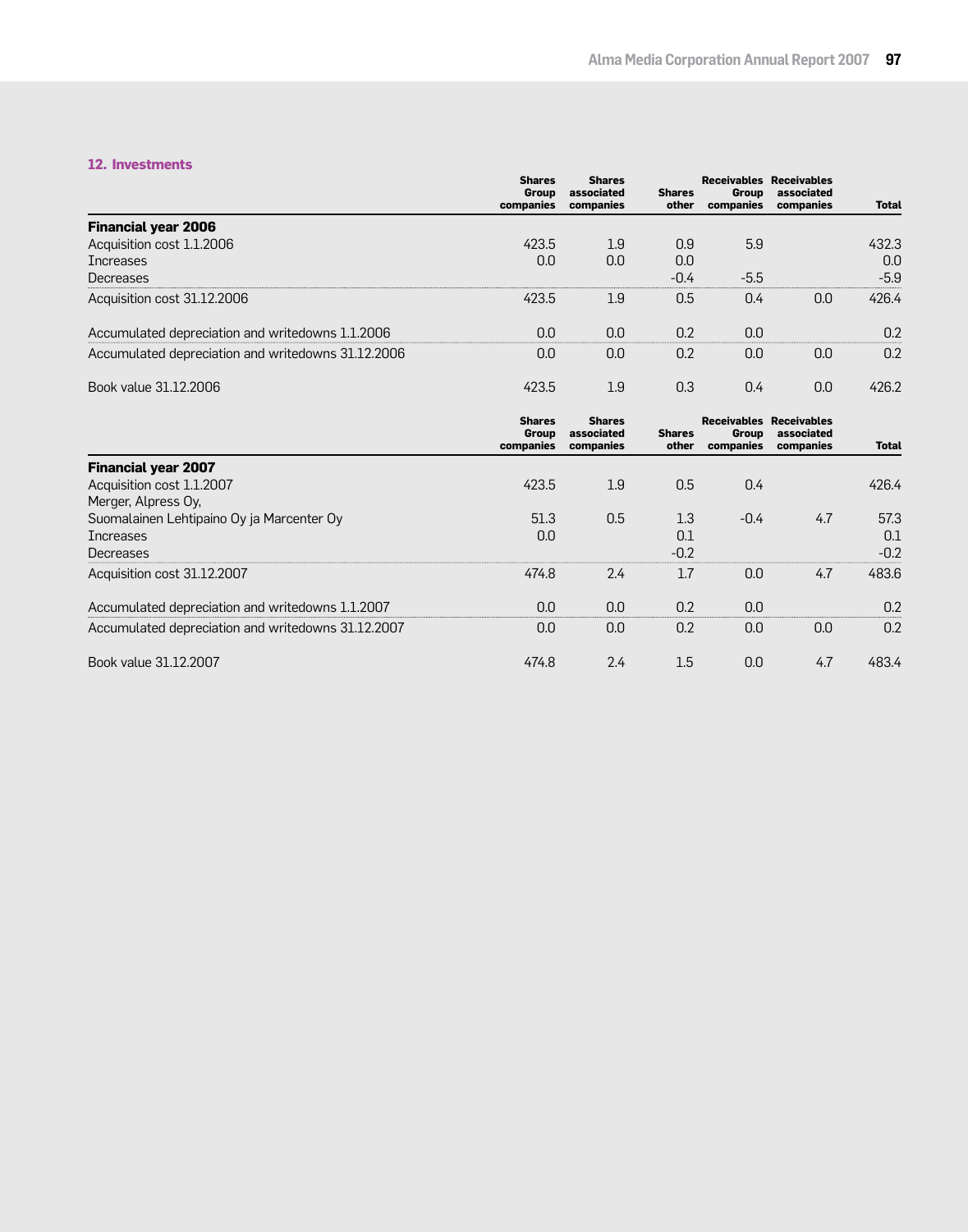#### **12. Investments**

|                                                    | <b>Shares</b><br>Group<br>companies        | <b>Shares</b><br>associated<br>companies | <b>Shares</b><br>other | Group<br>companies        | <b>Receivables Receivables</b><br>associated<br>companies | <b>Total</b> |
|----------------------------------------------------|--------------------------------------------|------------------------------------------|------------------------|---------------------------|-----------------------------------------------------------|--------------|
| <b>Financial year 2006</b>                         |                                            |                                          |                        |                           |                                                           |              |
| Acquisition cost 1.1.2006                          | 423.5                                      | 1.9                                      | 0.9                    | 5.9                       |                                                           | 432.3        |
| <b>Increases</b>                                   | 0.0                                        | 0.0                                      | 0.0                    |                           |                                                           | 0.0          |
| Decreases                                          |                                            |                                          | $-0.4$                 | $-5.5$                    |                                                           | $-5.9$       |
| Acquisition cost 31.12.2006                        | 423.5                                      | 1.9                                      | 0.5                    | 0.4                       | 0.0                                                       | 426.4        |
| Accumulated depreciation and writedowns 1.1.2006   | 0.0                                        | 0.0                                      | 0.2                    | 0.0                       |                                                           | 0.2          |
| Accumulated depreciation and writedowns 31.12.2006 | 0.0                                        | 0.0                                      | 0.2                    | 0.0                       | 0.0                                                       | 0.2          |
| Book value 31.12.2006                              | 423.5                                      | 1.9                                      | 0.3                    | 0.4                       | 0.0                                                       | 426.2        |
|                                                    | <b>Shares</b><br><b>Group</b><br>companies | <b>Shares</b><br>associated<br>companies | <b>Shares</b><br>other | <b>Group</b><br>companies | <b>Receivables Receivables</b><br>associated<br>companies | <b>Total</b> |
| <b>Financial year 2007</b>                         |                                            |                                          |                        |                           |                                                           |              |
| Acquisition cost 1.1.2007                          | 423.5                                      | 1.9                                      | 0.5                    | 0.4                       |                                                           | 426.4        |
| Merger, Alpress Oy,                                |                                            |                                          |                        |                           |                                                           |              |
| Suomalainen Lehtipaino Oy ja Marcenter Oy          | 51.3                                       | 0.5                                      | 1.3                    | $-0.4$                    | 4.7                                                       | 57.3         |
| Increases                                          | 0.0                                        |                                          | 0.1                    |                           |                                                           | 0.1          |

| Decreases                                          |       |     |     |     |     | $-0.2$ |
|----------------------------------------------------|-------|-----|-----|-----|-----|--------|
| Acquisition cost 31.12.2007                        | 474.8 | 2.4 |     | 0.0 | 4.7 | 483.6  |
| Accumulated depreciation and writedowns 1.1.2007   | 0.0   | 0.0 | 0.2 | 0.0 |     | 0.2    |
| Accumulated depreciation and writedowns 31.12.2007 | 0.0   | 0.0 | n 2 | 0.0 | 0.0 | 0.2    |
| Book value 31.12.2007                              | 474.8 | 2.4 | L.b | 0.0 | 4.7 | +83.4  |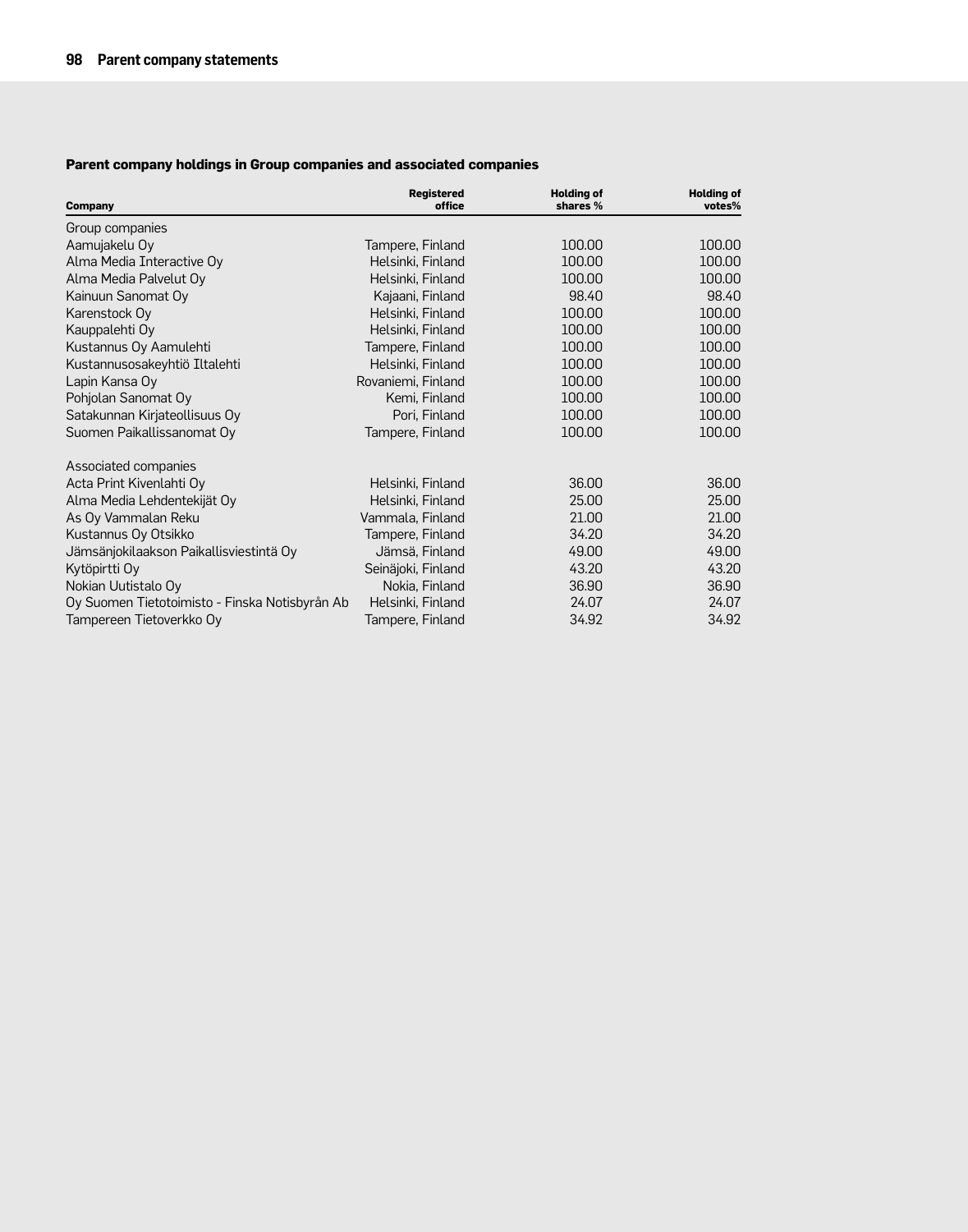## **Parent company holdings in Group companies and associated companies**

| <b>Company</b>                                 | <b>Registered</b><br>office | <b>Holding of</b><br>shares % | <b>Holding of</b><br>votes% |
|------------------------------------------------|-----------------------------|-------------------------------|-----------------------------|
| Group companies                                |                             |                               |                             |
| Aamujakelu Oy                                  | Tampere, Finland            | 100.00                        | 100.00                      |
| Alma Media Interactive Oy                      | Helsinki, Finland           | 100.00                        | 100.00                      |
| Alma Media Palvelut Oy                         | Helsinki, Finland           | 100.00                        | 100.00                      |
| Kainuun Sanomat Oy                             | Kajaani, Finland            | 98.40                         | 98.40                       |
| Karenstock Oy                                  | Helsinki, Finland           | 100.00                        | 100.00                      |
| Kauppalehti Oy                                 | Helsinki, Finland           | 100.00                        | 100.00                      |
| Kustannus Oy Aamulehti                         | Tampere, Finland            | 100.00                        | 100,00                      |
| Kustannusosakeyhtiö Iltalehti                  | Helsinki, Finland           | 100.00                        | 100.00                      |
| Lapin Kansa Oy                                 | Rovaniemi, Finland          | 100.00                        | 100.00                      |
| Pohjolan Sanomat Oy                            | Kemi, Finland               | 100.00                        | 100.00                      |
| Satakunnan Kirjateollisuus Oy                  | Pori, Finland               | 100.00                        | 100.00                      |
| Suomen Paikallissanomat Oy                     | Tampere, Finland            | 100.00                        | 100.00                      |
| Associated companies                           |                             |                               |                             |
| Acta Print Kivenlahti Oy                       | Helsinki, Finland           | 36.00                         | 36.00                       |
| Alma Media Lehdentekijät Oy                    | Helsinki, Finland           | 25.00                         | 25.00                       |
| As Oy Vammalan Reku                            | Vammala, Finland            | 21.00                         | 21.00                       |
| Kustannus Oy Otsikko                           | Tampere, Finland            | 34.20                         | 34.20                       |
| Jämsänjokilaakson Paikallisviestintä Oy        | Jämsä, Finland              | 49.00                         | 49.00                       |
| Kytöpirtti Oy                                  | Seinäjoki, Finland          | 43.20                         | 43.20                       |
| Nokian Uutistalo Oy                            | Nokia, Finland              | 36.90                         | 36.90                       |
| Oy Suomen Tietotoimisto - Finska Notisbyrån Ab | Helsinki, Finland           | 24.07                         | 24.07                       |
| Tampereen Tietoverkko Oy                       | Tampere, Finland            | 34.92                         | 34.92                       |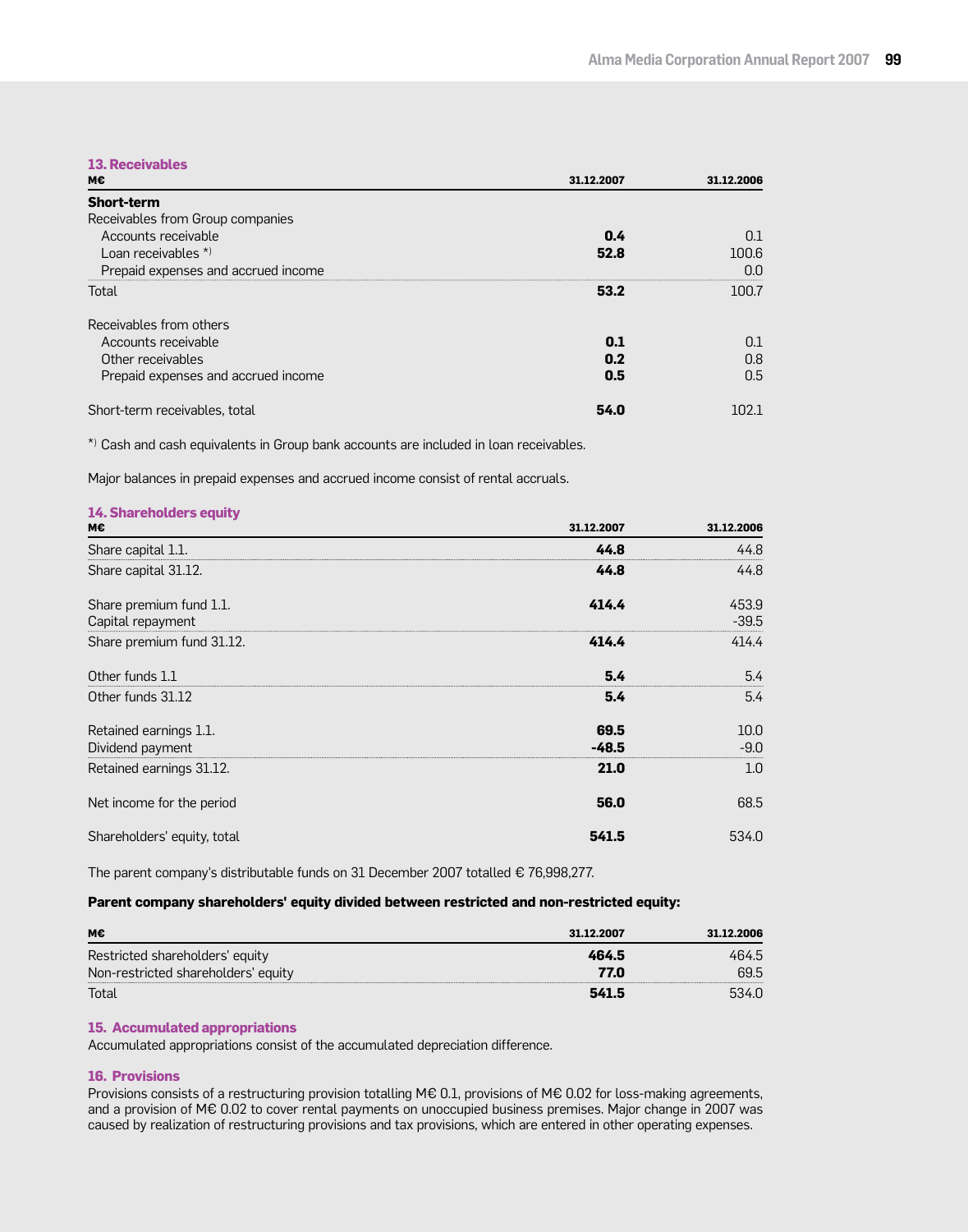### **13. Receivables**

| М€                                  | 31.12.2007 | 31.12.2006 |
|-------------------------------------|------------|------------|
| <b>Short-term</b>                   |            |            |
| Receivables from Group companies    |            |            |
| Accounts receivable                 | 0.4        | 0.1        |
| Loan receivables $*$                | 52.8       | 100.6      |
| Prepaid expenses and accrued income |            | nn         |
| Total                               | 53.2       | 100.7      |
| Receivables from others             |            |            |
| Accounts receivable                 | 0.1        | 0.1        |
| Other receivables                   | 0.2        | 0.8        |
| Prepaid expenses and accrued income | 0.5        | 0.5        |
| Short-term receivables, total       | 54.0       | 102.1      |

\*) Cash and cash equivalents in Group bank accounts are included in loan receivables.

Major balances in prepaid expenses and accrued income consist of rental accruals.

| <b>14. Shareholders equity</b><br>м€         | 31.12.2007      | 31.12.2006       |
|----------------------------------------------|-----------------|------------------|
| Share capital 1.1.                           | 44.8            | 44.8             |
| Share capital 31.12.                         | 44.8            | 44.8             |
| Share premium fund 1.1.<br>Capital repayment | 414.4           | 453.9<br>$-39.5$ |
| Share premium fund 31.12.                    | 414.4           | 414.4            |
| Other funds 1.1                              | 5.4             | 5.4              |
| Other funds 31.12                            | 5.4             | 5.4              |
| Retained earnings 1.1.<br>Dividend payment   | 69.5<br>$-48.5$ | 10.0<br>$-9.0$   |
| Retained earnings 31.12.                     | 21.0            | 1.0              |
| Net income for the period                    | 56.0            | 68.5             |
| Shareholders' equity, total                  | 541.5           | 534.0            |

The parent company's distributable funds on 31 December 2007 totalled € 76,998,277.

#### **Parent company shareholders' equity divided between restricted and non-restricted equity:**

| м€                                  | 31.12.2007 | 31.12.2006 |
|-------------------------------------|------------|------------|
| Restricted shareholders' equity     | 464.5      | 464.5      |
| Non-restricted shareholders' equity | 77.0       | 69.5       |
| Total                               | 541.5      |            |

#### **15. Accumulated appropriations**

Accumulated appropriations consist of the accumulated depreciation difference.

#### **16. Provisions**

Provisions consists of a restructuring provision totalling M€ 0.1, provisions of M€ 0.02 for loss-making agreements, and a provision of M€ 0.02 to cover rental payments on unoccupied business premises. Major change in 2007 was caused by realization of restructuring provisions and tax provisions, which are entered in other operating expenses.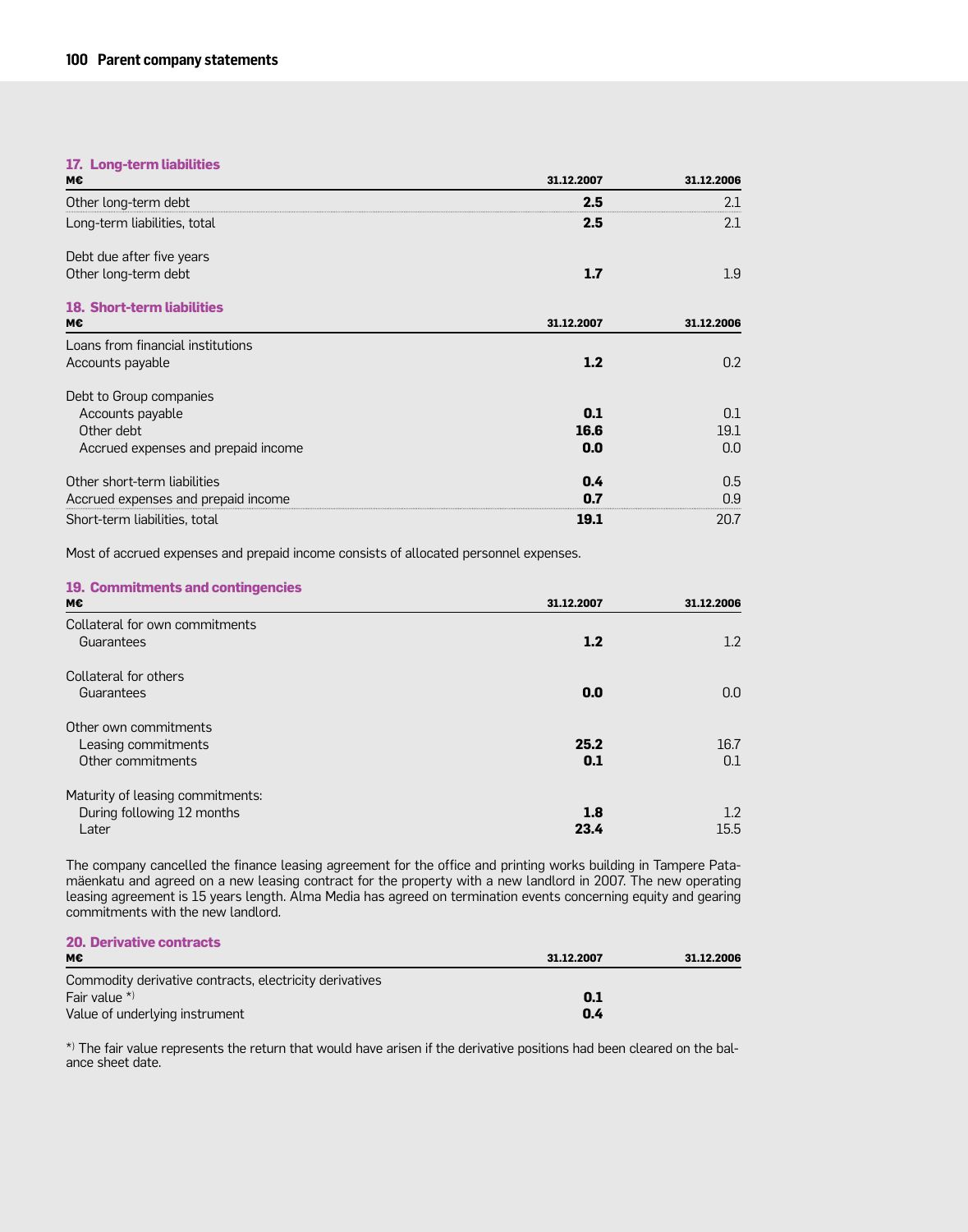## **17. Long-term liabilities**

| М€                                  | 31.12.2007 | 31.12.2006 |
|-------------------------------------|------------|------------|
| Other long-term debt                | 2.5        | 2.1        |
| Long-term liabilities, total        | 2.5        | 2.1        |
| Debt due after five years           |            |            |
| Other long-term debt                | 1.7        | 1.9        |
| <b>18. Short-term liabilities</b>   |            |            |
| м€                                  | 31.12.2007 | 31.12.2006 |
| Loans from financial institutions   |            |            |
| Accounts payable                    | 1.2        | 0.2        |
| Debt to Group companies             |            |            |
| Accounts payable                    | 0.1        | 0.1        |
| Other debt                          | 16.6       | 19.1       |
| Accrued expenses and prepaid income | 0.0        | 0.0        |
| Other short-term liabilities        | 0.4        | 0.5        |
| Accrued expenses and prepaid income | 0.7        | 0.9        |
| Short-term liabilities, total       | 19.1       | 20.7       |

Most of accrued expenses and prepaid income consists of allocated personnel expenses.

#### **19. Commitments and contingencies**

| м€                                           | 31.12.2007 | 31.12.2006 |
|----------------------------------------------|------------|------------|
| Collateral for own commitments<br>Guarantees | 1.2        | 1.2        |
|                                              |            |            |
| Collateral for others                        |            |            |
| Guarantees                                   | 0.0        | 0.0        |
| Other own commitments                        |            |            |
| Leasing commitments                          | 25.2       | 16.7       |
| Other commitments                            | 0.1        | 0.1        |
| Maturity of leasing commitments:             |            |            |
| During following 12 months                   | 1.8        | 1.2        |
| Later                                        | 23.4       | 15.5       |

The company cancelled the finance leasing agreement for the office and printing works building in Tampere Patamäenkatu and agreed on a new leasing contract for the property with a new landlord in 2007. The new operating leasing agreement is 15 years length. Alma Media has agreed on termination events concerning equity and gearing commitments with the new landlord.

#### **20. Derivative contracts**

| М€                                                      | 31.12.2007 | 31.12.2006 |
|---------------------------------------------------------|------------|------------|
| Commodity derivative contracts, electricity derivatives |            |            |
| Fair value $*$                                          | 0.1        |            |
| Value of underlying instrument                          | 0.4        |            |

\*) The fair value represents the return that would have arisen if the derivative positions had been cleared on the balance sheet date.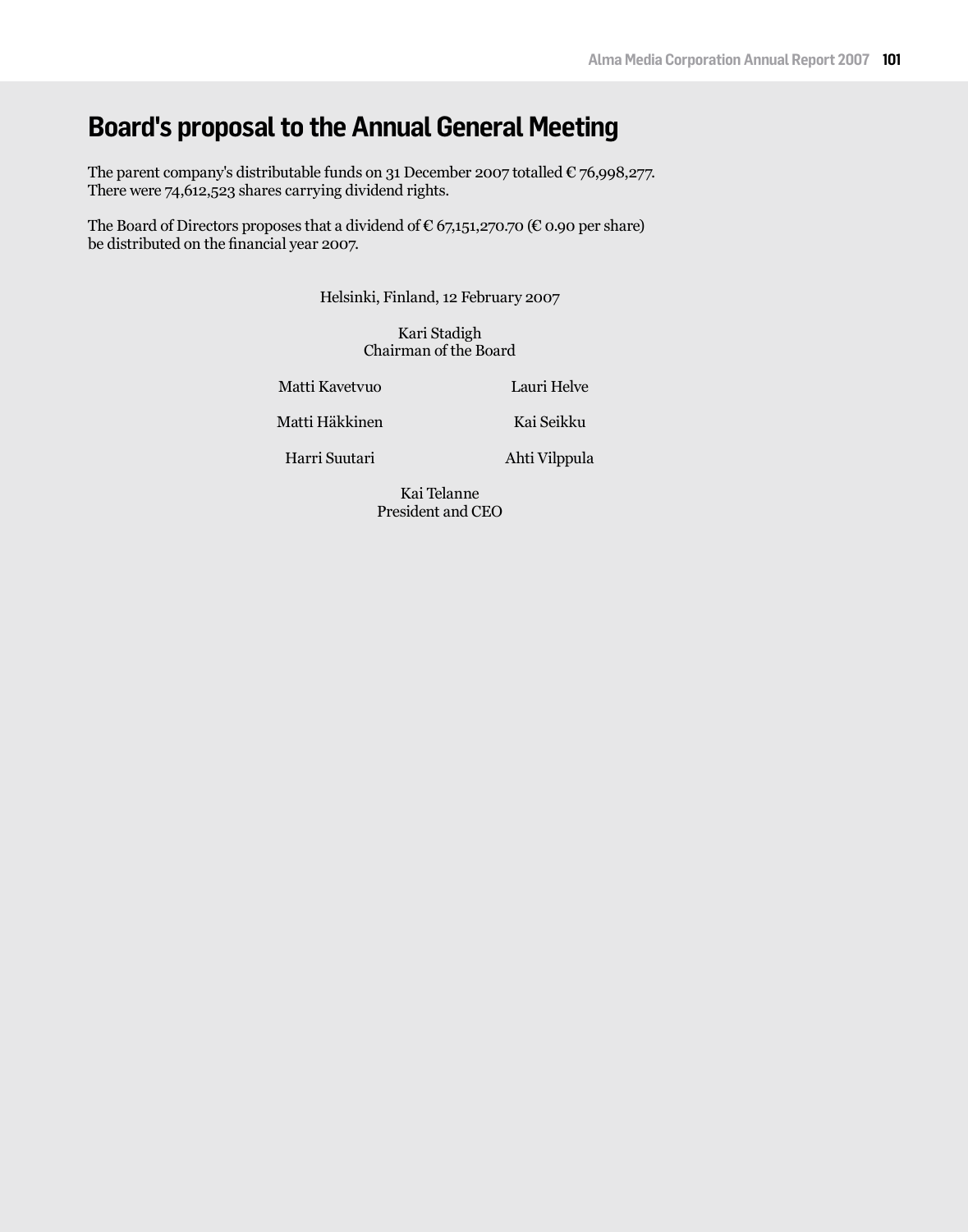# **Board's proposal to the Annual General Meeting**

The parent company's distributable funds on 31 December 2007 totalled  $\epsilon$  76,998,277. There were 74,612,523 shares carrying dividend rights.

The Board of Directors proposes that a dividend of  $\epsilon$  67,151,270.70 ( $\epsilon$  0.90 per share) be distributed on the financial year 2007.

Helsinki, Finland, 12 February 2007

Kari Stadigh Chairman of the Board

Matti Kavetvuo Lauri Helve

Matti Häkkinen Kai Seikku

Harri Suutari Ahti Vilppula

Kai Telanne President and CEO